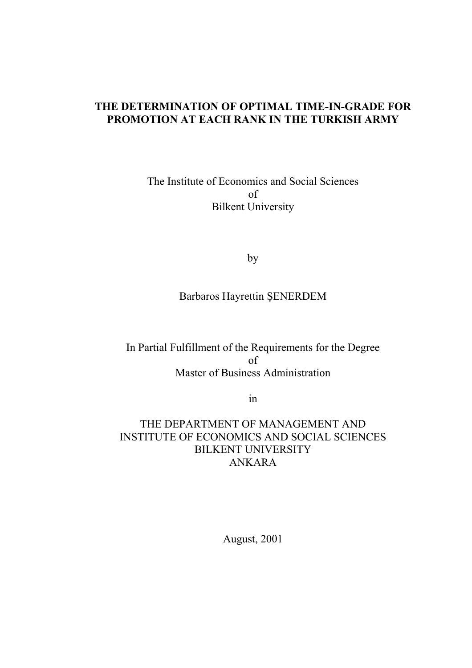## **THE DETERMINATION OF OPTIMAL TIME-IN-GRADE FOR PROMOTION AT EACH RANK IN THE TURKISH ARMY**

The Institute of Economics and Social Sciences of Bilkent University

by

Barbaros Hayrettin ŞENERDEM

In Partial Fulfillment of the Requirements for the Degree of Master of Business Administration

in

THE DEPARTMENT OF MANAGEMENT AND INSTITUTE OF ECONOMICS AND SOCIAL SCIENCES BILKENT UNIVERSITY ANKARA

August, 2001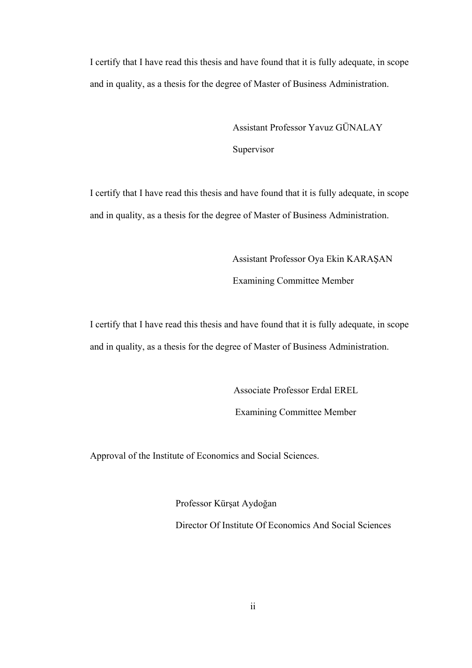I certify that I have read this thesis and have found that it is fully adequate, in scope and in quality, as a thesis for the degree of Master of Business Administration.

> Assistant Professor Yavuz GÜNALAY **Supervisor**

I certify that I have read this thesis and have found that it is fully adequate, in scope and in quality, as a thesis for the degree of Master of Business Administration.

> Assistant Professor Oya Ekin KARAŞAN Examining Committee Member

I certify that I have read this thesis and have found that it is fully adequate, in scope and in quality, as a thesis for the degree of Master of Business Administration.

Associate Professor Erdal EREL

Examining Committee Member

Approval of the Institute of Economics and Social Sciences.

Professor Kürşat Aydoğan Director Of Institute Of Economics And Social Sciences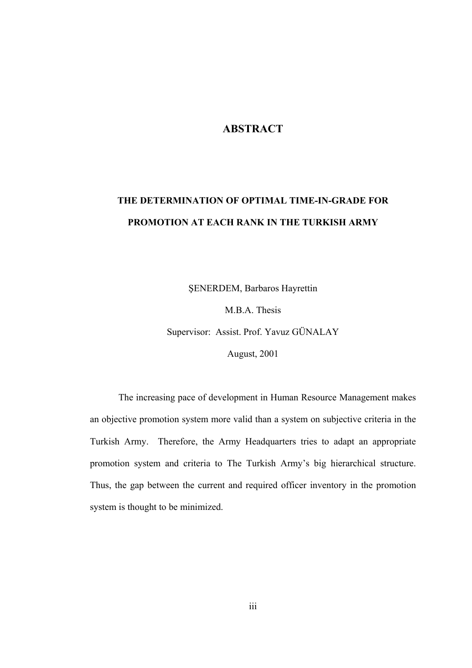## **ABSTRACT**

## **THE DETERMINATION OF OPTIMAL TIME-IN-GRADE FOR PROMOTION AT EACH RANK IN THE TURKISH ARMY**

ŞENERDEM, Barbaros Hayrettin

M.B.A. Thesis

Supervisor: Assist. Prof. Yavuz GÜNALAY

August, 2001

The increasing pace of development in Human Resource Management makes an objective promotion system more valid than a system on subjective criteria in the Turkish Army. Therefore, the Army Headquarters tries to adapt an appropriate promotion system and criteria to The Turkish Army's big hierarchical structure. Thus, the gap between the current and required officer inventory in the promotion system is thought to be minimized.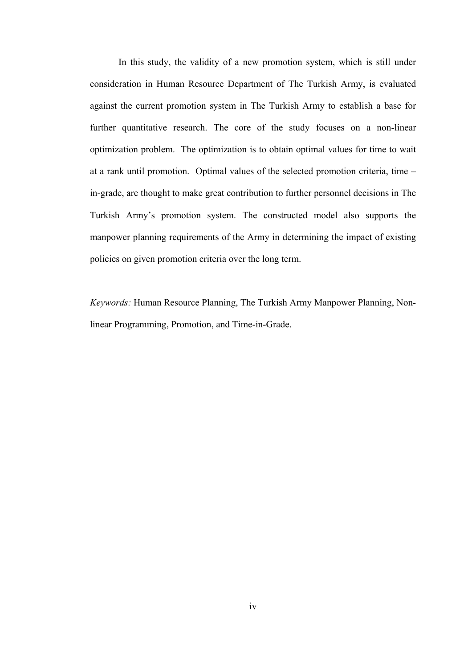In this study, the validity of a new promotion system, which is still under consideration in Human Resource Department of The Turkish Army, is evaluated against the current promotion system in The Turkish Army to establish a base for further quantitative research. The core of the study focuses on a non-linear optimization problem. The optimization is to obtain optimal values for time to wait at a rank until promotion. Optimal values of the selected promotion criteria, time – in-grade, are thought to make great contribution to further personnel decisions in The Turkish Army's promotion system. The constructed model also supports the manpower planning requirements of the Army in determining the impact of existing policies on given promotion criteria over the long term.

*Keywords:* Human Resource Planning, The Turkish Army Manpower Planning, Nonlinear Programming, Promotion, and Time-in-Grade.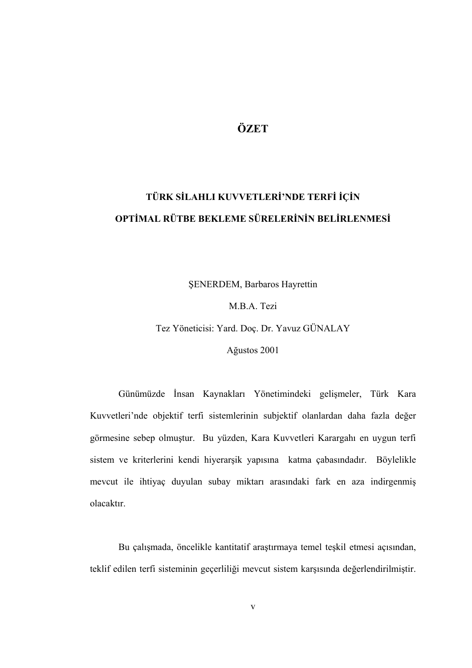## **ÖZET**

# **TÜRK SİLAHLI KUVVETLERİ'NDE TERFİ İÇİN OPTİMAL RÜTBE BEKLEME SÜRELERİNİN BELİRLENMESİ**

ŞENERDEM, Barbaros Hayrettin

M.B.A. Tezi

Tez Yöneticisi: Yard. Doç. Dr. Yavuz GÜNALAY

Ağustos 2001

Günümüzde İnsan Kaynakları Yönetimindeki gelişmeler, Türk Kara Kuvvetleri'nde objektif terfi sistemlerinin subjektif olanlardan daha fazla değer görmesine sebep olmuştur. Bu yüzden, Kara Kuvvetleri Karargahı en uygun terfi sistem ve kriterlerini kendi hiyerarşik yapısına katma çabasındadır. Böylelikle mevcut ile ihtiyaç duyulan subay miktarı arasındaki fark en aza indirgenmiş olacaktır.

Bu çalışmada, öncelikle kantitatif araştırmaya temel teşkil etmesi açısından, teklif edilen terfi sisteminin geçerliliği mevcut sistem karşısında değerlendirilmiştir.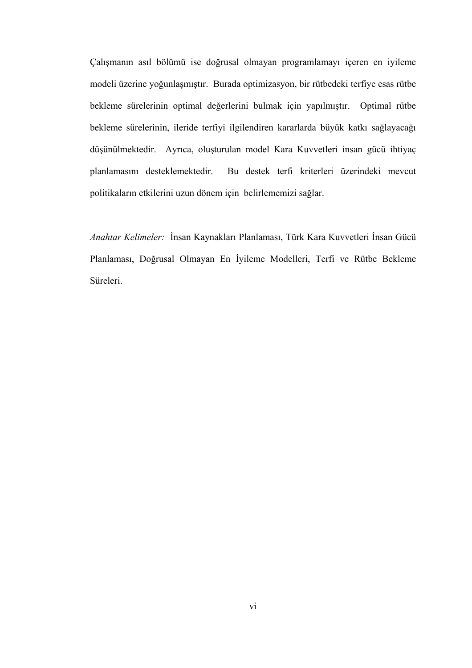Çalışmanın asıl bölümü ise doğrusal olmayan programlamayı içeren en iyileme modeli üzerine yoğunlaşmıştır. Burada optimizasyon, bir rütbedeki terfiye esas rütbe bekleme sürelerinin optimal değerlerini bulmak için yapılmıştır. Optimal rütbe bekleme sürelerinin, ileride terfiyi ilgilendiren kararlarda büyük katkı sağlayacağı düşünülmektedir. Ayrıca, oluşturulan model Kara Kuvvetleri insan gücü ihtiyaç planlamasını desteklemektedir. Bu destek terfi kriterleri üzerindeki mevcut politikaların etkilerini uzun dönem için belirlememizi sağlar.

*Anahtar Kelimeler:* İnsan Kaynakları Planlaması, Türk Kara Kuvvetleri İnsan Gücü Planlaması, Doğrusal Olmayan En İyileme Modelleri, Terfi ve Rütbe Bekleme Süreleri.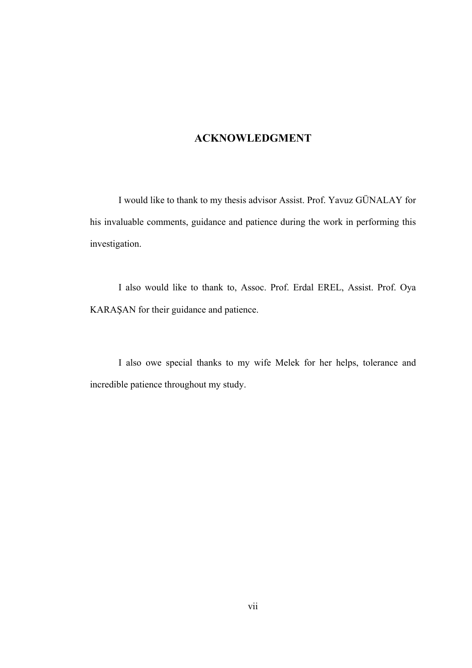## **ACKNOWLEDGMENT**

I would like to thank to my thesis advisor Assist. Prof. Yavuz GÜNALAY for his invaluable comments, guidance and patience during the work in performing this investigation.

I also would like to thank to, Assoc. Prof. Erdal EREL, Assist. Prof. Oya KARAŞAN for their guidance and patience.

I also owe special thanks to my wife Melek for her helps, tolerance and incredible patience throughout my study.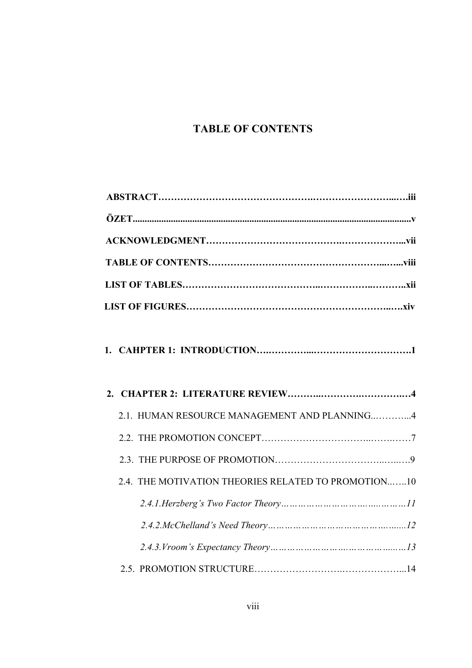## **TABLE OF CONTENTS**

|--|--|--|--|--|

|  | 2.1. HUMAN RESOURCE MANAGEMENT AND PLANNING4        |  |  |
|--|-----------------------------------------------------|--|--|
|  |                                                     |  |  |
|  |                                                     |  |  |
|  | 2.4. THE MOTIVATION THEORIES RELATED TO PROMOTION10 |  |  |
|  |                                                     |  |  |
|  |                                                     |  |  |
|  |                                                     |  |  |
|  |                                                     |  |  |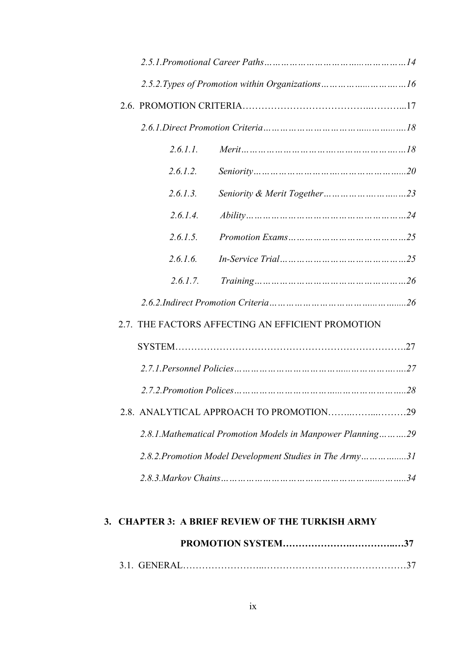| 2.6.1.1. |                                                              |     |  |  |
|----------|--------------------------------------------------------------|-----|--|--|
| 2.6.1.2. |                                                              |     |  |  |
| 2.6.1.3. |                                                              |     |  |  |
| 2.6.1.4. |                                                              |     |  |  |
| 2.6.1.5. |                                                              |     |  |  |
| 2.6.1.6. |                                                              |     |  |  |
| 2.6.1.7. |                                                              |     |  |  |
|          |                                                              |     |  |  |
|          | 2.7. THE FACTORS AFFECTING AN EFFICIENT PROMOTION            |     |  |  |
|          |                                                              |     |  |  |
|          |                                                              |     |  |  |
|          |                                                              |     |  |  |
|          | 2.8. ANALYTICAL APPROACH TO PROMOTION                        | .29 |  |  |
|          | 2.8.1. Mathematical Promotion Models in Manpower Planning 29 |     |  |  |
|          | 2.8.2. Promotion Model Development Studies in The Army31     |     |  |  |
|          |                                                              |     |  |  |
|          |                                                              |     |  |  |

## **3. CHAPTER 3: A BRIEF REVIEW OF THE TURKISH ARMY**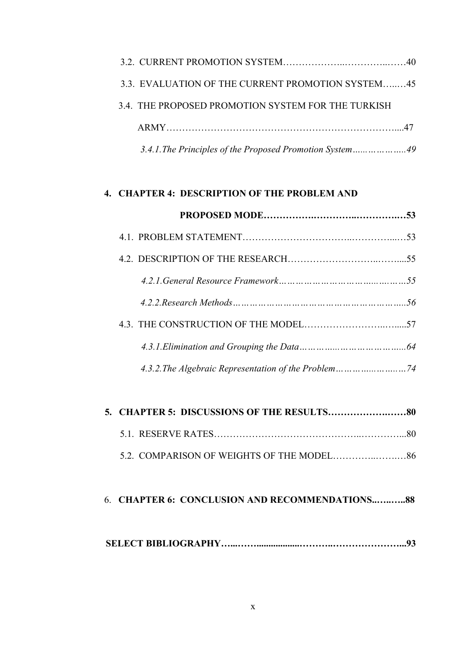| 3.3. EVALUATION OF THE CURRENT PROMOTION SYSTEM45        |  |
|----------------------------------------------------------|--|
| 3.4. THE PROPOSED PROMOTION SYSTEM FOR THE TURKISH       |  |
|                                                          |  |
| 3.4.1. The Principles of the Proposed Promotion System49 |  |

## **4. CHAPTER 4: DESCRIPTION OF THE PROBLEM AND**

## 6. **CHAPTER 6: CONCLUSION AND RECOMMENDATIONS..…..…..88**

|--|--|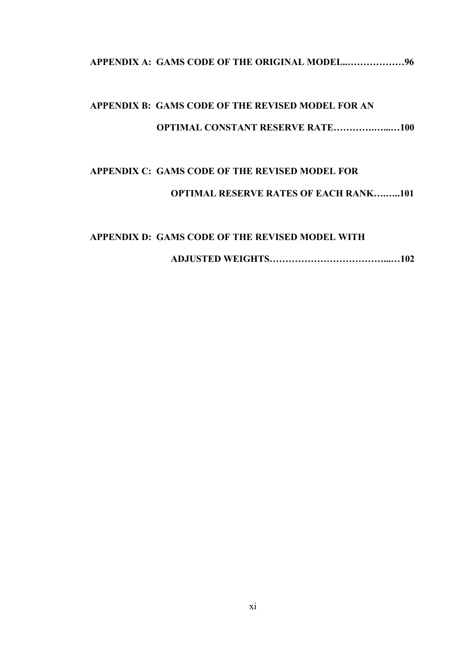**APPENDIX A: GAMS CODE OF THE ORIGINAL MODEL..………………96**

# **APPENDIX B: GAMS CODE OF THE REVISED MODEL FOR AN OPTIMAL CONSTANT RESERVE RATE………….…...…100**

# **APPENDIX C: GAMS CODE OF THE REVISED MODEL FOR OPTIMAL RESERVE RATES OF EACH RANK….…..101**

# **APPENDIX D: GAMS CODE OF THE REVISED MODEL WITH ADJUSTED WEIGHTS………………………………...…102**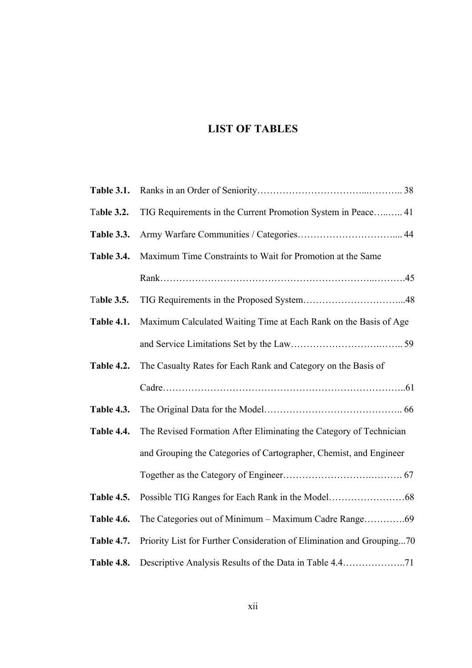## **LIST OF TABLES**

| <b>Table 3.1.</b> |                                                                       |
|-------------------|-----------------------------------------------------------------------|
| <b>Table 3.2.</b> | TIG Requirements in the Current Promotion System in Peace 41          |
| Table 3.3.        |                                                                       |
| Table 3.4.        | Maximum Time Constraints to Wait for Promotion at the Same            |
|                   |                                                                       |
| <b>Table 3.5.</b> |                                                                       |
| <b>Table 4.1.</b> | Maximum Calculated Waiting Time at Each Rank on the Basis of Age      |
|                   |                                                                       |
| <b>Table 4.2.</b> | The Casualty Rates for Each Rank and Category on the Basis of         |
|                   |                                                                       |
| <b>Table 4.3.</b> |                                                                       |
| Table 4.4.        | The Revised Formation After Eliminating the Category of Technician    |
|                   | and Grouping the Categories of Cartographer, Chemist, and Engineer    |
|                   |                                                                       |
| <b>Table 4.5.</b> |                                                                       |
| Table 4.6.        |                                                                       |
| <b>Table 4.7.</b> | Priority List for Further Consideration of Elimination and Grouping70 |
| Table 4.8.        |                                                                       |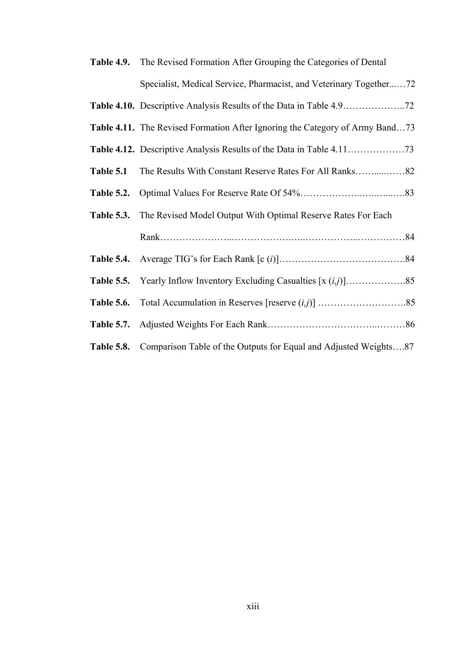|                   | Table 4.9. The Revised Formation After Grouping the Categories of Dental     |  |
|-------------------|------------------------------------------------------------------------------|--|
|                   | Specialist, Medical Service, Pharmacist, and Veterinary Together72           |  |
|                   |                                                                              |  |
|                   | Table 4.11. The Revised Formation After Ignoring the Category of Army Band73 |  |
|                   |                                                                              |  |
| Table 5.1         |                                                                              |  |
| <b>Table 5.2.</b> |                                                                              |  |
| <b>Table 5.3.</b> | The Revised Model Output With Optimal Reserve Rates For Each                 |  |
|                   |                                                                              |  |
|                   |                                                                              |  |
| <b>Table 5.5.</b> |                                                                              |  |
| <b>Table 5.6.</b> |                                                                              |  |
| <b>Table 5.7.</b> |                                                                              |  |
| <b>Table 5.8.</b> | Comparison Table of the Outputs for Equal and Adjusted Weights87             |  |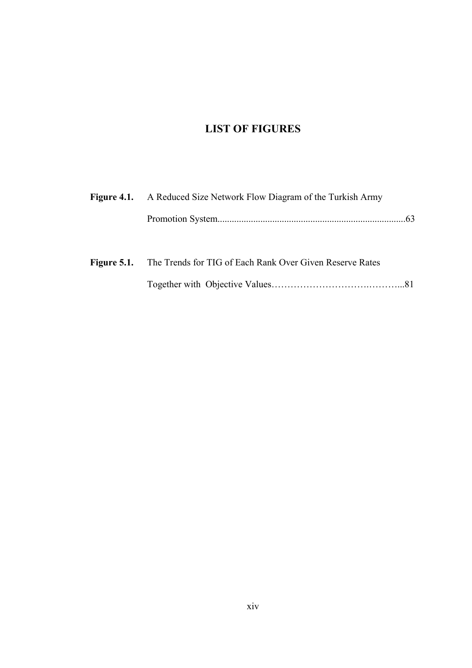## **LIST OF FIGURES**

| <b>Figure 4.1.</b> A Reduced Size Network Flow Diagram of the Turkish Army |  |
|----------------------------------------------------------------------------|--|
|                                                                            |  |
|                                                                            |  |

|  | <b>Figure 5.1.</b> The Trends for TIG of Each Rank Over Given Reserve Rates |
|--|-----------------------------------------------------------------------------|
|  |                                                                             |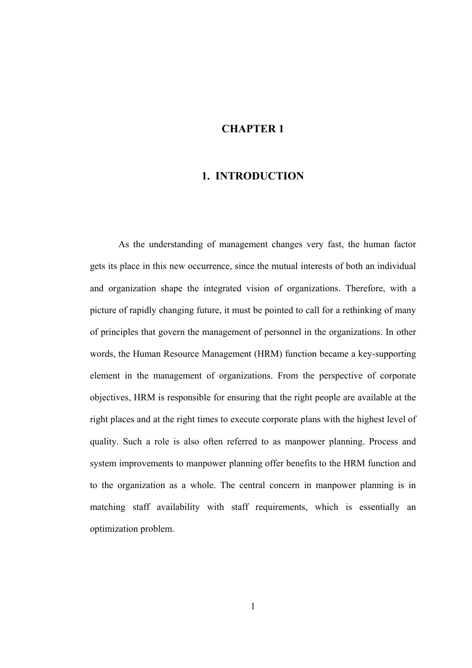## **CHAPTER 1**

## **1. INTRODUCTION**

As the understanding of management changes very fast, the human factor gets its place in this new occurrence, since the mutual interests of both an individual and organization shape the integrated vision of organizations. Therefore, with a picture of rapidly changing future, it must be pointed to call for a rethinking of many of principles that govern the management of personnel in the organizations. In other words, the Human Resource Management (HRM) function became a key-supporting element in the management of organizations. From the perspective of corporate objectives, HRM is responsible for ensuring that the right people are available at the right places and at the right times to execute corporate plans with the highest level of quality. Such a role is also often referred to as manpower planning. Process and system improvements to manpower planning offer benefits to the HRM function and to the organization as a whole. The central concern in manpower planning is in matching staff availability with staff requirements, which is essentially an optimization problem.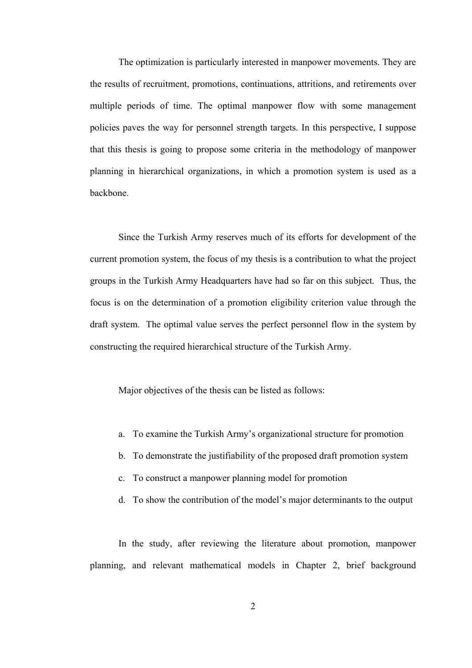The optimization is particularly interested in manpower movements. They are the results of recruitment, promotions, continuations, attritions, and retirements over multiple periods of time. The optimal manpower flow with some management policies paves the way for personnel strength targets. In this perspective, I suppose that this thesis is going to propose some criteria in the methodology of manpower planning in hierarchical organizations, in which a promotion system is used as a backbone.

Since the Turkish Army reserves much of its efforts for development of the current promotion system, the focus of my thesis is a contribution to what the project groups in the Turkish Army Headquarters have had so far on this subject. Thus, the focus is on the determination of a promotion eligibility criterion value through the draft system. The optimal value serves the perfect personnel flow in the system by constructing the required hierarchical structure of the Turkish Army.

Major objectives of the thesis can be listed as follows:

- a. To examine the Turkish Army's organizational structure for promotion
- b. To demonstrate the justifiability of the proposed draft promotion system
- c. To construct a manpower planning model for promotion
- d. To show the contribution of the model's major determinants to the output

In the study, after reviewing the literature about promotion, manpower planning, and relevant mathematical models in Chapter 2, brief background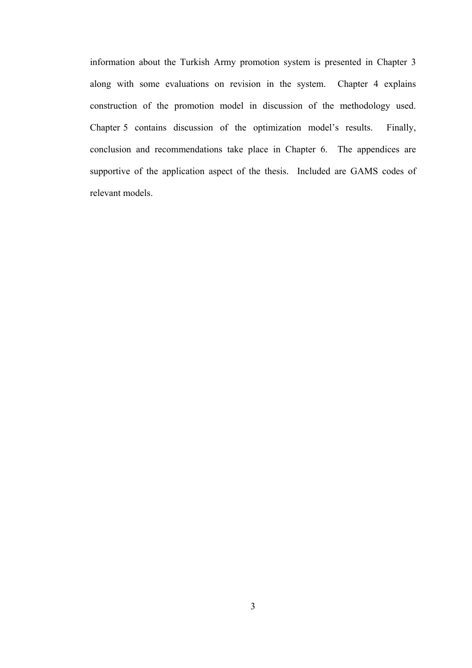information about the Turkish Army promotion system is presented in Chapter 3 along with some evaluations on revision in the system. Chapter 4 explains construction of the promotion model in discussion of the methodology used. Chapter 5 contains discussion of the optimization model's results. Finally, conclusion and recommendations take place in Chapter 6. The appendices are supportive of the application aspect of the thesis. Included are GAMS codes of relevant models.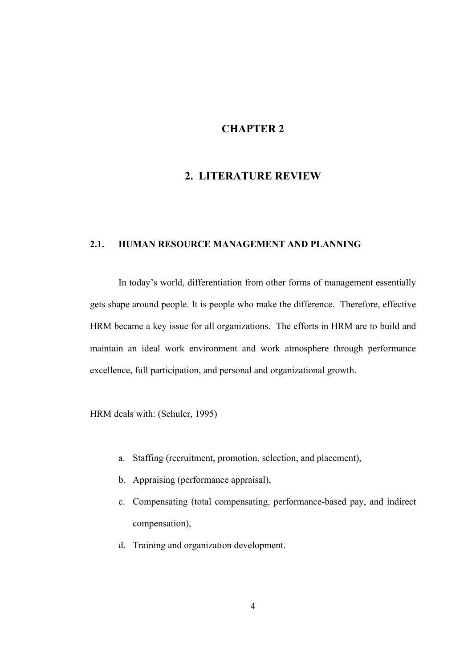## **CHAPTER 2**

## **2. LITERATURE REVIEW**

### **2.1. HUMAN RESOURCE MANAGEMENT AND PLANNING**

In today's world, differentiation from other forms of management essentially gets shape around people. It is people who make the difference. Therefore, effective HRM became a key issue for all organizations. The efforts in HRM are to build and maintain an ideal work environment and work atmosphere through performance excellence, full participation, and personal and organizational growth.

HRM deals with: (Schuler, 1995)

- a. Staffing (recruitment, promotion, selection, and placement),
- b. Appraising (performance appraisal),
- c. Compensating (total compensating, performance-based pay, and indirect compensation),
- d. Training and organization development.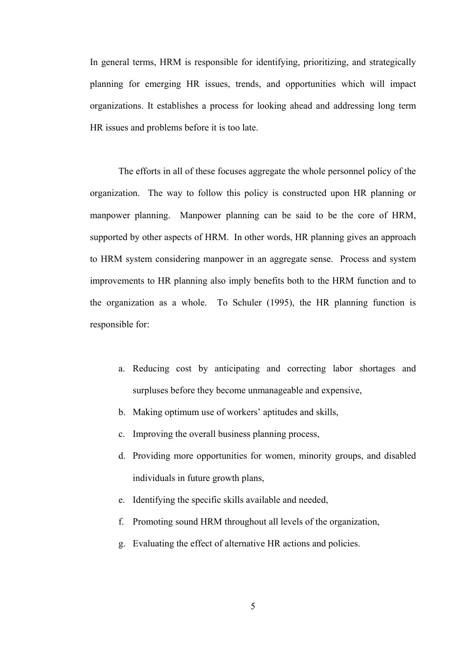In general terms, HRM is responsible for identifying, prioritizing, and strategically planning for emerging HR issues, trends, and opportunities which will impact organizations. It establishes a process for looking ahead and addressing long term HR issues and problems before it is too late.

The efforts in all of these focuses aggregate the whole personnel policy of the organization. The way to follow this policy is constructed upon HR planning or manpower planning. Manpower planning can be said to be the core of HRM, supported by other aspects of HRM. In other words, HR planning gives an approach to HRM system considering manpower in an aggregate sense. Process and system improvements to HR planning also imply benefits both to the HRM function and to the organization as a whole. To Schuler (1995), the HR planning function is responsible for:

- a. Reducing cost by anticipating and correcting labor shortages and surpluses before they become unmanageable and expensive,
- b. Making optimum use of workers' aptitudes and skills,
- c. Improving the overall business planning process,
- d. Providing more opportunities for women, minority groups, and disabled individuals in future growth plans,
- e. Identifying the specific skills available and needed,
- f. Promoting sound HRM throughout all levels of the organization,
- g. Evaluating the effect of alternative HR actions and policies.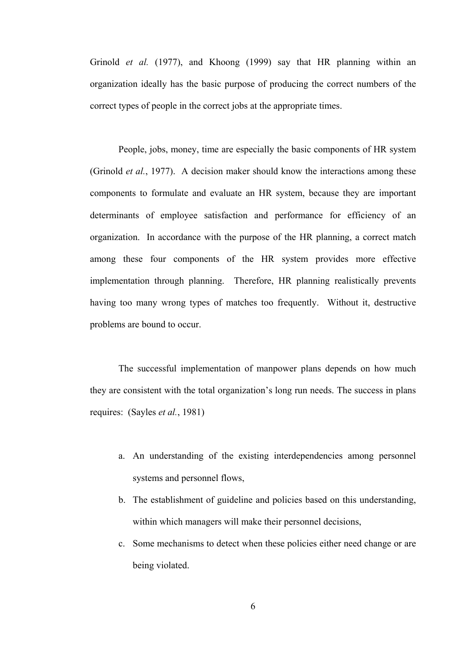Grinold *et al.* (1977), and Khoong (1999) say that HR planning within an organization ideally has the basic purpose of producing the correct numbers of the correct types of people in the correct jobs at the appropriate times.

People, jobs, money, time are especially the basic components of HR system (Grinold *et al.*, 1977). A decision maker should know the interactions among these components to formulate and evaluate an HR system, because they are important determinants of employee satisfaction and performance for efficiency of an organization. In accordance with the purpose of the HR planning, a correct match among these four components of the HR system provides more effective implementation through planning. Therefore, HR planning realistically prevents having too many wrong types of matches too frequently. Without it, destructive problems are bound to occur.

The successful implementation of manpower plans depends on how much they are consistent with the total organization's long run needs. The success in plans requires: (Sayles *et al.*, 1981)

- a. An understanding of the existing interdependencies among personnel systems and personnel flows,
- b. The establishment of guideline and policies based on this understanding, within which managers will make their personnel decisions,
- c. Some mechanisms to detect when these policies either need change or are being violated.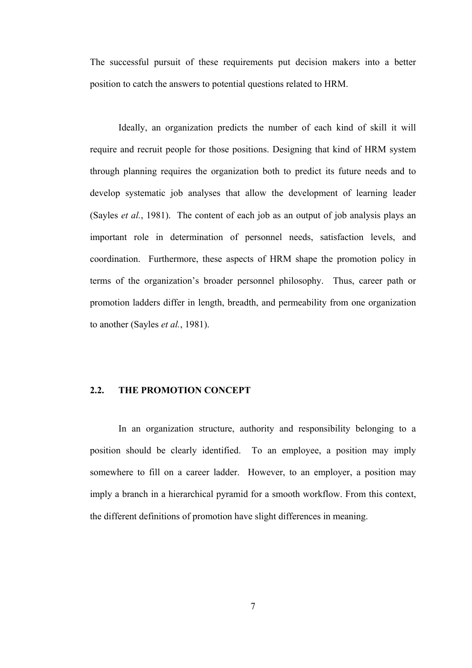The successful pursuit of these requirements put decision makers into a better position to catch the answers to potential questions related to HRM.

Ideally, an organization predicts the number of each kind of skill it will require and recruit people for those positions. Designing that kind of HRM system through planning requires the organization both to predict its future needs and to develop systematic job analyses that allow the development of learning leader (Sayles *et al.*, 1981). The content of each job as an output of job analysis plays an important role in determination of personnel needs, satisfaction levels, and coordination. Furthermore, these aspects of HRM shape the promotion policy in terms of the organization's broader personnel philosophy. Thus, career path or promotion ladders differ in length, breadth, and permeability from one organization to another (Sayles *et al.*, 1981).

### **2.2. THE PROMOTION CONCEPT**

In an organization structure, authority and responsibility belonging to a position should be clearly identified. To an employee, a position may imply somewhere to fill on a career ladder. However, to an employer, a position may imply a branch in a hierarchical pyramid for a smooth workflow. From this context, the different definitions of promotion have slight differences in meaning.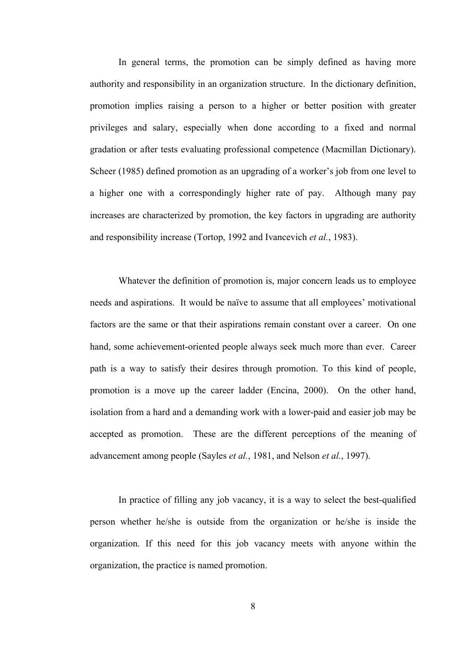In general terms, the promotion can be simply defined as having more authority and responsibility in an organization structure. In the dictionary definition, promotion implies raising a person to a higher or better position with greater privileges and salary, especially when done according to a fixed and normal gradation or after tests evaluating professional competence (Macmillan Dictionary). Scheer (1985) defined promotion as an upgrading of a worker's job from one level to a higher one with a correspondingly higher rate of pay. Although many pay increases are characterized by promotion, the key factors in upgrading are authority and responsibility increase (Tortop, 1992 and Ivancevich *et al.*, 1983).

Whatever the definition of promotion is, major concern leads us to employee needs and aspirations. It would be naïve to assume that all employees' motivational factors are the same or that their aspirations remain constant over a career. On one hand, some achievement-oriented people always seek much more than ever. Career path is a way to satisfy their desires through promotion. To this kind of people, promotion is a move up the career ladder (Encina, 2000). On the other hand, isolation from a hard and a demanding work with a lower-paid and easier job may be accepted as promotion. These are the different perceptions of the meaning of advancement among people (Sayles *et al.*, 1981, and Nelson *et al.*, 1997).

In practice of filling any job vacancy, it is a way to select the best-qualified person whether he/she is outside from the organization or he/she is inside the organization. If this need for this job vacancy meets with anyone within the organization, the practice is named promotion.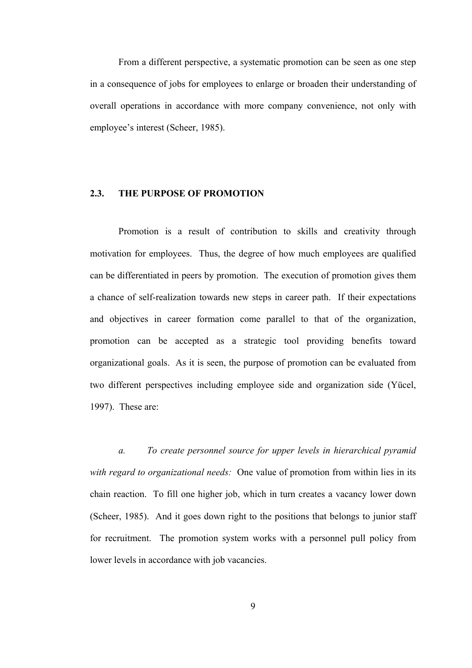From a different perspective, a systematic promotion can be seen as one step in a consequence of jobs for employees to enlarge or broaden their understanding of overall operations in accordance with more company convenience, not only with employee's interest (Scheer, 1985).

#### **2.3. THE PURPOSE OF PROMOTION**

Promotion is a result of contribution to skills and creativity through motivation for employees. Thus, the degree of how much employees are qualified can be differentiated in peers by promotion. The execution of promotion gives them a chance of self-realization towards new steps in career path. If their expectations and objectives in career formation come parallel to that of the organization, promotion can be accepted as a strategic tool providing benefits toward organizational goals. As it is seen, the purpose of promotion can be evaluated from two different perspectives including employee side and organization side (Yücel, 1997). These are:

*a. To create personnel source for upper levels in hierarchical pyramid with regard to organizational needs:* One value of promotion from within lies in its chain reaction. To fill one higher job, which in turn creates a vacancy lower down (Scheer, 1985). And it goes down right to the positions that belongs to junior staff for recruitment. The promotion system works with a personnel pull policy from lower levels in accordance with job vacancies.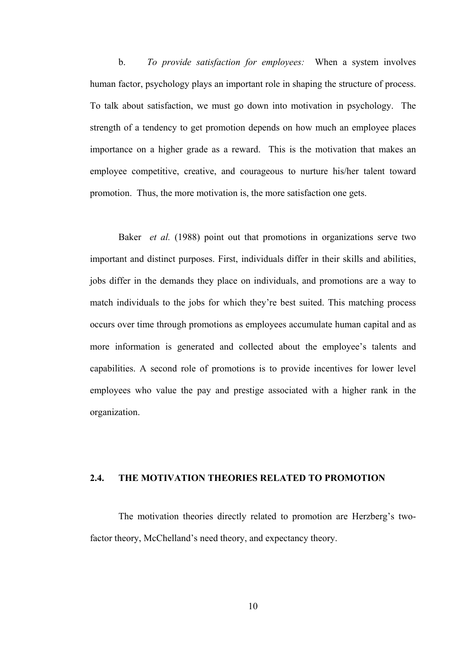b. *To provide satisfaction for employees:* When a system involves human factor, psychology plays an important role in shaping the structure of process. To talk about satisfaction, we must go down into motivation in psychology. The strength of a tendency to get promotion depends on how much an employee places importance on a higher grade as a reward. This is the motivation that makes an employee competitive, creative, and courageous to nurture his/her talent toward promotion. Thus, the more motivation is, the more satisfaction one gets.

Baker *et al.* (1988) point out that promotions in organizations serve two important and distinct purposes. First, individuals differ in their skills and abilities, jobs differ in the demands they place on individuals, and promotions are a way to match individuals to the jobs for which they're best suited. This matching process occurs over time through promotions as employees accumulate human capital and as more information is generated and collected about the employee's talents and capabilities. A second role of promotions is to provide incentives for lower level employees who value the pay and prestige associated with a higher rank in the organization.

### **2.4. THE MOTIVATION THEORIES RELATED TO PROMOTION**

The motivation theories directly related to promotion are Herzberg's twofactor theory, McChelland's need theory, and expectancy theory.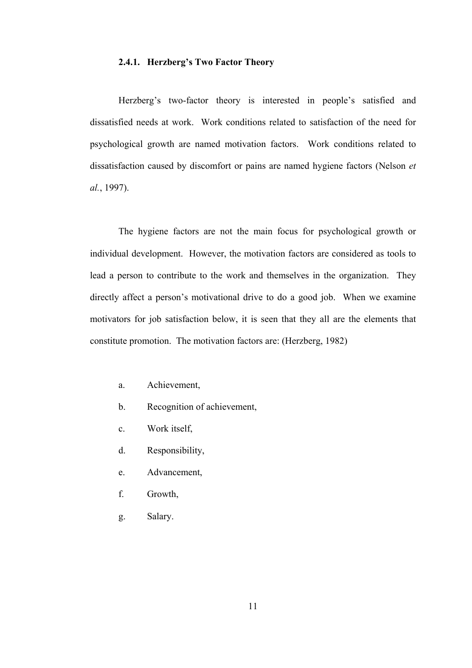#### **2.4.1. Herzberg's Two Factor Theory**

Herzberg's two-factor theory is interested in people's satisfied and dissatisfied needs at work. Work conditions related to satisfaction of the need for psychological growth are named motivation factors. Work conditions related to dissatisfaction caused by discomfort or pains are named hygiene factors (Nelson *et al.*, 1997).

The hygiene factors are not the main focus for psychological growth or individual development. However, the motivation factors are considered as tools to lead a person to contribute to the work and themselves in the organization. They directly affect a person's motivational drive to do a good job. When we examine motivators for job satisfaction below, it is seen that they all are the elements that constitute promotion. The motivation factors are: (Herzberg, 1982)

- a. Achievement,
- b. Recognition of achievement,
- c. Work itself,
- d. Responsibility,
- e. Advancement,
- f. Growth,
- g. Salary.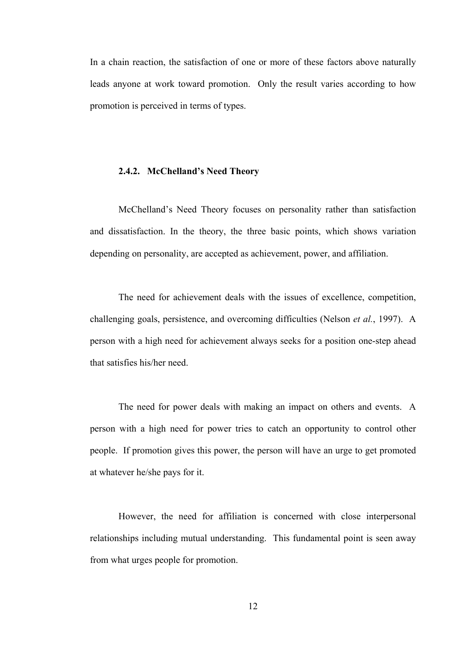In a chain reaction, the satisfaction of one or more of these factors above naturally leads anyone at work toward promotion. Only the result varies according to how promotion is perceived in terms of types.

#### **2.4.2. McChelland's Need Theory**

McChelland's Need Theory focuses on personality rather than satisfaction and dissatisfaction. In the theory, the three basic points, which shows variation depending on personality, are accepted as achievement, power, and affiliation.

The need for achievement deals with the issues of excellence, competition, challenging goals, persistence, and overcoming difficulties (Nelson *et al.*, 1997). A person with a high need for achievement always seeks for a position one-step ahead that satisfies his/her need.

The need for power deals with making an impact on others and events. A person with a high need for power tries to catch an opportunity to control other people. If promotion gives this power, the person will have an urge to get promoted at whatever he/she pays for it.

However, the need for affiliation is concerned with close interpersonal relationships including mutual understanding. This fundamental point is seen away from what urges people for promotion.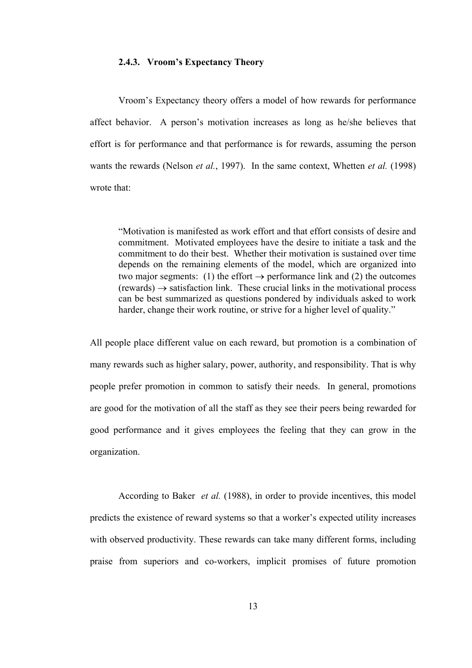#### **2.4.3. Vroom's Expectancy Theory**

Vroom's Expectancy theory offers a model of how rewards for performance affect behavior. A person's motivation increases as long as he/she believes that effort is for performance and that performance is for rewards, assuming the person wants the rewards (Nelson *et al.*, 1997). In the same context, Whetten *et al.* (1998) wrote that:

"Motivation is manifested as work effort and that effort consists of desire and commitment. Motivated employees have the desire to initiate a task and the commitment to do their best. Whether their motivation is sustained over time depends on the remaining elements of the model, which are organized into two major segments: (1) the effort  $\rightarrow$  performance link and (2) the outcomes  $(rewards) \rightarrow satisfaction link$ . These crucial links in the motivational process can be best summarized as questions pondered by individuals asked to work harder, change their work routine, or strive for a higher level of quality."

All people place different value on each reward, but promotion is a combination of many rewards such as higher salary, power, authority, and responsibility. That is why people prefer promotion in common to satisfy their needs. In general, promotions are good for the motivation of all the staff as they see their peers being rewarded for good performance and it gives employees the feeling that they can grow in the organization.

According to Baker *et al.* (1988), in order to provide incentives, this model predicts the existence of reward systems so that a worker's expected utility increases with observed productivity. These rewards can take many different forms, including praise from superiors and co-workers, implicit promises of future promotion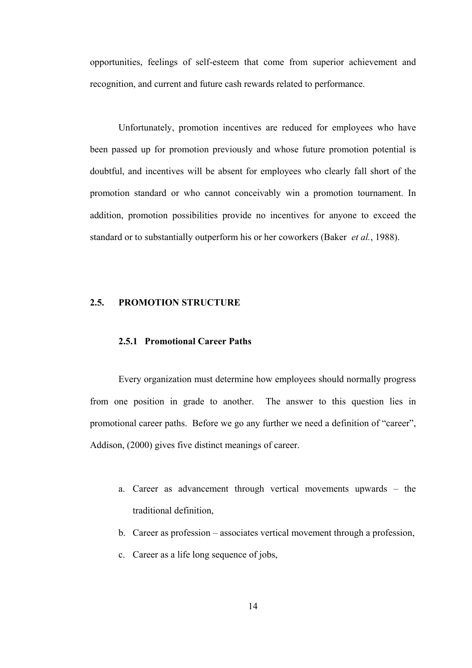opportunities, feelings of self-esteem that come from superior achievement and recognition, and current and future cash rewards related to performance.

Unfortunately, promotion incentives are reduced for employees who have been passed up for promotion previously and whose future promotion potential is doubtful, and incentives will be absent for employees who clearly fall short of the promotion standard or who cannot conceivably win a promotion tournament. In addition, promotion possibilities provide no incentives for anyone to exceed the standard or to substantially outperform his or her coworkers (Baker *et al.*, 1988).

#### **2.5. PROMOTION STRUCTURE**

#### **2.5.1 Promotional Career Paths**

Every organization must determine how employees should normally progress from one position in grade to another. The answer to this question lies in promotional career paths. Before we go any further we need a definition of "career", Addison, (2000) gives five distinct meanings of career.

- a. Career as advancement through vertical movements upwards the traditional definition,
- b. Career as profession associates vertical movement through a profession,
- c. Career as a life long sequence of jobs,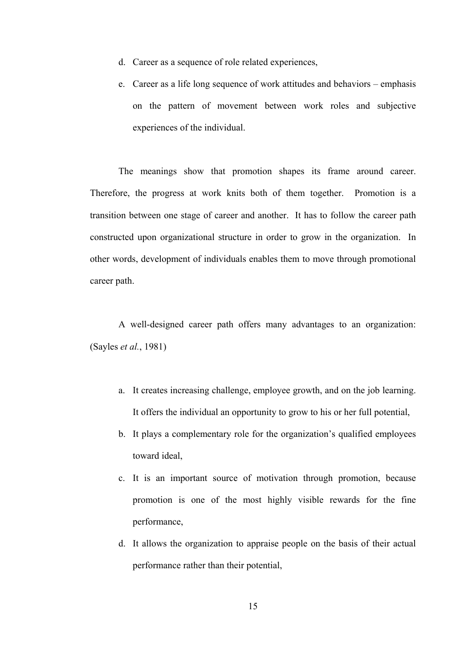- d. Career as a sequence of role related experiences,
- e. Career as a life long sequence of work attitudes and behaviors emphasis on the pattern of movement between work roles and subjective experiences of the individual.

The meanings show that promotion shapes its frame around career. Therefore, the progress at work knits both of them together. Promotion is a transition between one stage of career and another. It has to follow the career path constructed upon organizational structure in order to grow in the organization. In other words, development of individuals enables them to move through promotional career path.

A well-designed career path offers many advantages to an organization: (Sayles *et al.*, 1981)

- a. It creates increasing challenge, employee growth, and on the job learning. It offers the individual an opportunity to grow to his or her full potential,
- b. It plays a complementary role for the organization's qualified employees toward ideal,
- c. It is an important source of motivation through promotion, because promotion is one of the most highly visible rewards for the fine performance,
- d. It allows the organization to appraise people on the basis of their actual performance rather than their potential,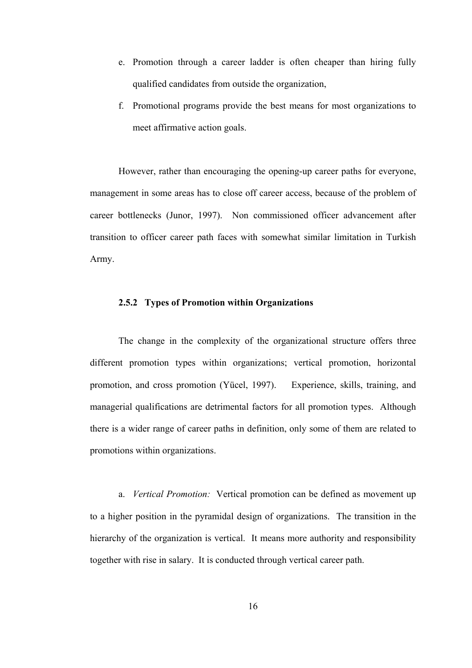- e. Promotion through a career ladder is often cheaper than hiring fully qualified candidates from outside the organization,
- f. Promotional programs provide the best means for most organizations to meet affirmative action goals.

However, rather than encouraging the opening-up career paths for everyone, management in some areas has to close off career access, because of the problem of career bottlenecks (Junor, 1997). Non commissioned officer advancement after transition to officer career path faces with somewhat similar limitation in Turkish Army.

#### **2.5.2 Types of Promotion within Organizations**

The change in the complexity of the organizational structure offers three different promotion types within organizations; vertical promotion, horizontal promotion, and cross promotion (Yücel, 1997). Experience, skills, training, and managerial qualifications are detrimental factors for all promotion types. Although there is a wider range of career paths in definition, only some of them are related to promotions within organizations.

a. *Vertical Promotion:* Vertical promotion can be defined as movement up to a higher position in the pyramidal design of organizations. The transition in the hierarchy of the organization is vertical. It means more authority and responsibility together with rise in salary. It is conducted through vertical career path.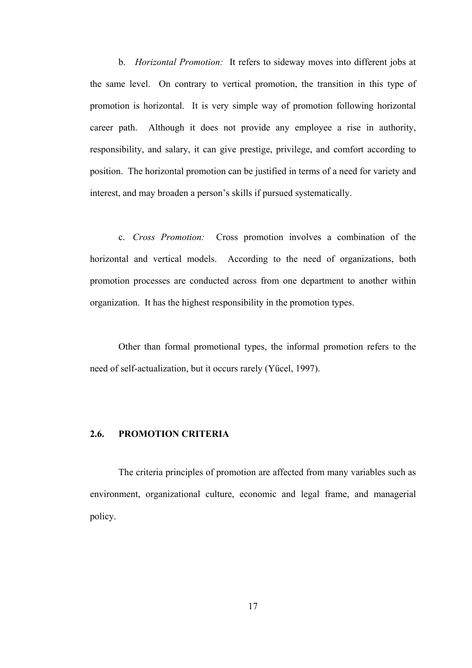b. *Horizontal Promotion:* It refers to sideway moves into different jobs at the same level. On contrary to vertical promotion, the transition in this type of promotion is horizontal. It is very simple way of promotion following horizontal career path. Although it does not provide any employee a rise in authority, responsibility, and salary, it can give prestige, privilege, and comfort according to position. The horizontal promotion can be justified in terms of a need for variety and interest, and may broaden a person's skills if pursued systematically.

c. *Cross Promotion:* Cross promotion involves a combination of the horizontal and vertical models. According to the need of organizations, both promotion processes are conducted across from one department to another within organization. It has the highest responsibility in the promotion types.

Other than formal promotional types, the informal promotion refers to the need of self-actualization, but it occurs rarely (Yücel, 1997).

### **2.6. PROMOTION CRITERIA**

The criteria principles of promotion are affected from many variables such as environment, organizational culture, economic and legal frame, and managerial policy.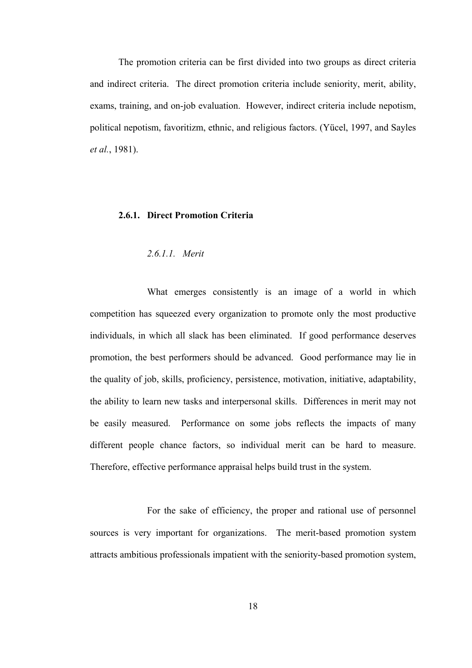The promotion criteria can be first divided into two groups as direct criteria and indirect criteria. The direct promotion criteria include seniority, merit, ability, exams, training, and on-job evaluation. However, indirect criteria include nepotism, political nepotism, favoritizm, ethnic, and religious factors. (Yücel, 1997, and Sayles *et al.*, 1981).

#### **2.6.1. Direct Promotion Criteria**

#### *2.6.1.1. Merit*

What emerges consistently is an image of a world in which competition has squeezed every organization to promote only the most productive individuals, in which all slack has been eliminated. If good performance deserves promotion, the best performers should be advanced. Good performance may lie in the quality of job, skills, proficiency, persistence, motivation, initiative, adaptability, the ability to learn new tasks and interpersonal skills. Differences in merit may not be easily measured. Performance on some jobs reflects the impacts of many different people chance factors, so individual merit can be hard to measure. Therefore, effective performance appraisal helps build trust in the system.

For the sake of efficiency, the proper and rational use of personnel sources is very important for organizations. The merit-based promotion system attracts ambitious professionals impatient with the seniority-based promotion system,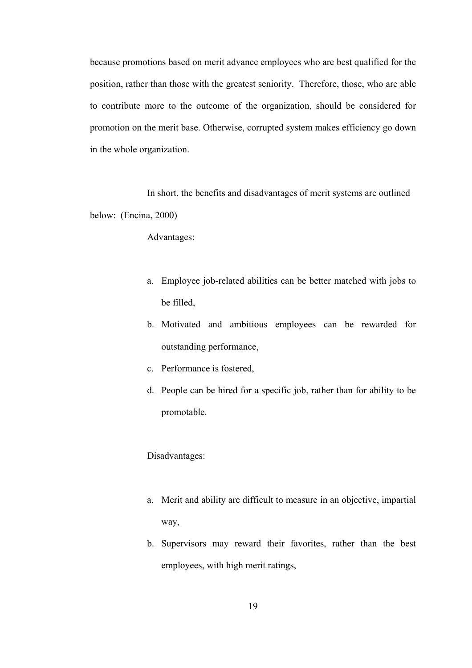because promotions based on merit advance employees who are best qualified for the position, rather than those with the greatest seniority. Therefore, those, who are able to contribute more to the outcome of the organization, should be considered for promotion on the merit base. Otherwise, corrupted system makes efficiency go down in the whole organization.

In short, the benefits and disadvantages of merit systems are outlined below: (Encina, 2000)

Advantages:

- a. Employee job-related abilities can be better matched with jobs to be filled,
- b. Motivated and ambitious employees can be rewarded for outstanding performance,
- c. Performance is fostered,
- d. People can be hired for a specific job, rather than for ability to be promotable.

Disadvantages:

- a. Merit and ability are difficult to measure in an objective, impartial way,
- b. Supervisors may reward their favorites, rather than the best employees, with high merit ratings,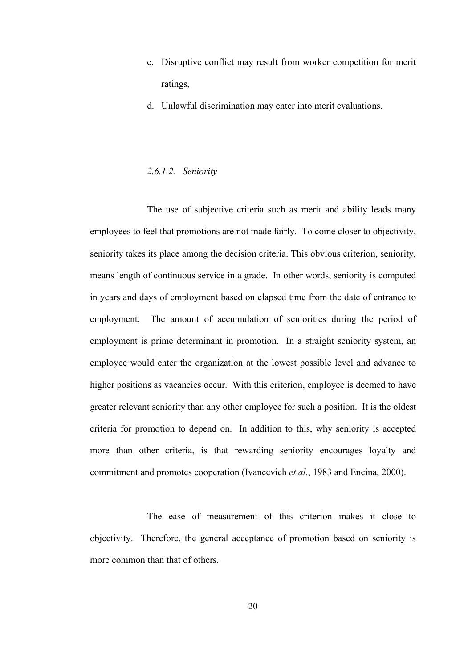- c. Disruptive conflict may result from worker competition for merit ratings,
- d. Unlawful discrimination may enter into merit evaluations.

### *2.6.1.2. Seniority*

The use of subjective criteria such as merit and ability leads many employees to feel that promotions are not made fairly. To come closer to objectivity, seniority takes its place among the decision criteria. This obvious criterion, seniority, means length of continuous service in a grade. In other words, seniority is computed in years and days of employment based on elapsed time from the date of entrance to employment. The amount of accumulation of seniorities during the period of employment is prime determinant in promotion. In a straight seniority system, an employee would enter the organization at the lowest possible level and advance to higher positions as vacancies occur. With this criterion, employee is deemed to have greater relevant seniority than any other employee for such a position. It is the oldest criteria for promotion to depend on. In addition to this, why seniority is accepted more than other criteria, is that rewarding seniority encourages loyalty and commitment and promotes cooperation (Ivancevich *et al.*, 1983 and Encina, 2000).

The ease of measurement of this criterion makes it close to objectivity. Therefore, the general acceptance of promotion based on seniority is more common than that of others.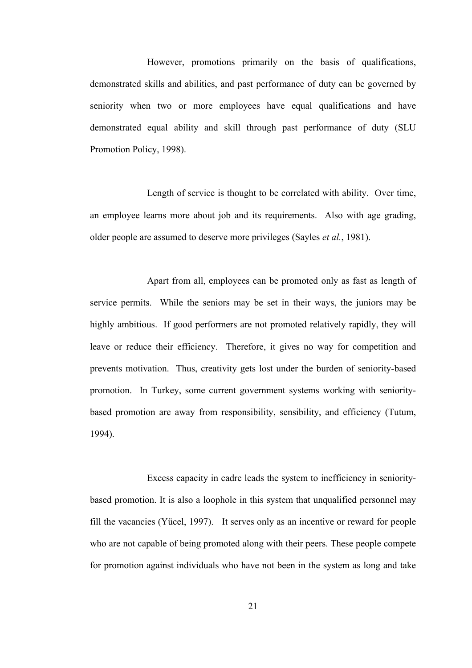However, promotions primarily on the basis of qualifications, demonstrated skills and abilities, and past performance of duty can be governed by seniority when two or more employees have equal qualifications and have demonstrated equal ability and skill through past performance of duty (SLU Promotion Policy, 1998).

Length of service is thought to be correlated with ability. Over time, an employee learns more about job and its requirements. Also with age grading, older people are assumed to deserve more privileges (Sayles *et al.*, 1981).

Apart from all, employees can be promoted only as fast as length of service permits. While the seniors may be set in their ways, the juniors may be highly ambitious. If good performers are not promoted relatively rapidly, they will leave or reduce their efficiency. Therefore, it gives no way for competition and prevents motivation. Thus, creativity gets lost under the burden of seniority-based promotion. In Turkey, some current government systems working with senioritybased promotion are away from responsibility, sensibility, and efficiency (Tutum, 1994).

Excess capacity in cadre leads the system to inefficiency in senioritybased promotion. It is also a loophole in this system that unqualified personnel may fill the vacancies (Yücel, 1997). It serves only as an incentive or reward for people who are not capable of being promoted along with their peers. These people compete for promotion against individuals who have not been in the system as long and take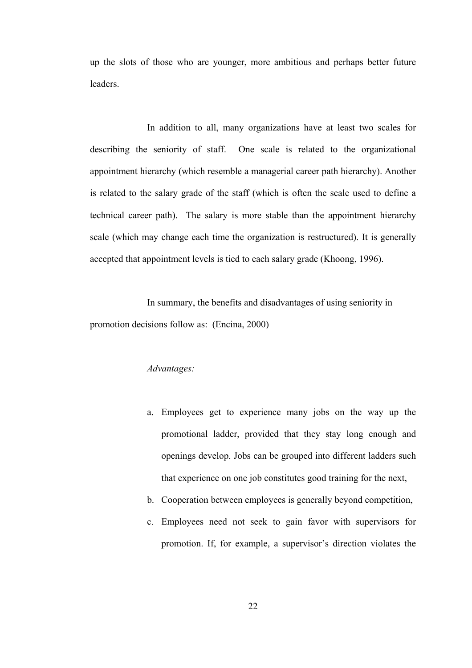up the slots of those who are younger, more ambitious and perhaps better future leaders.

In addition to all, many organizations have at least two scales for describing the seniority of staff. One scale is related to the organizational appointment hierarchy (which resemble a managerial career path hierarchy). Another is related to the salary grade of the staff (which is often the scale used to define a technical career path). The salary is more stable than the appointment hierarchy scale (which may change each time the organization is restructured). It is generally accepted that appointment levels is tied to each salary grade (Khoong, 1996).

In summary, the benefits and disadvantages of using seniority in promotion decisions follow as: (Encina, 2000)

## *Advantages:*

- a. Employees get to experience many jobs on the way up the promotional ladder, provided that they stay long enough and openings develop. Jobs can be grouped into different ladders such that experience on one job constitutes good training for the next,
- b. Cooperation between employees is generally beyond competition,
- c. Employees need not seek to gain favor with supervisors for promotion. If, for example, a supervisor's direction violates the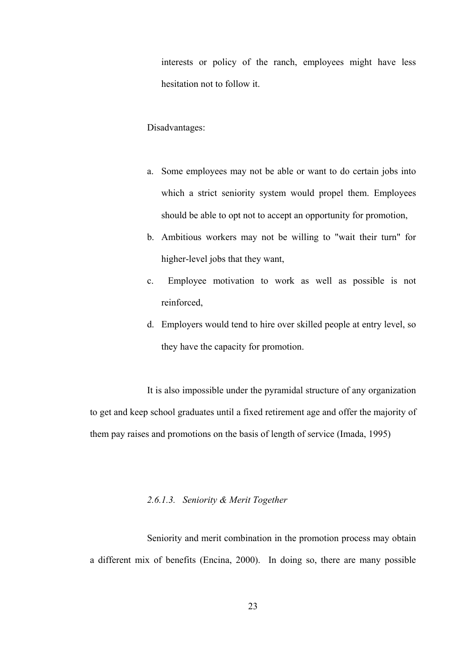interests or policy of the ranch, employees might have less hesitation not to follow it.

## Disadvantages:

- a. Some employees may not be able or want to do certain jobs into which a strict seniority system would propel them. Employees should be able to opt not to accept an opportunity for promotion,
- b. Ambitious workers may not be willing to "wait their turn" for higher-level jobs that they want,
- c. Employee motivation to work as well as possible is not reinforced,
- d. Employers would tend to hire over skilled people at entry level, so they have the capacity for promotion.

It is also impossible under the pyramidal structure of any organization to get and keep school graduates until a fixed retirement age and offer the majority of them pay raises and promotions on the basis of length of service (Imada, 1995)

## *2.6.1.3. Seniority & Merit Together*

Seniority and merit combination in the promotion process may obtain a different mix of benefits (Encina, 2000). In doing so, there are many possible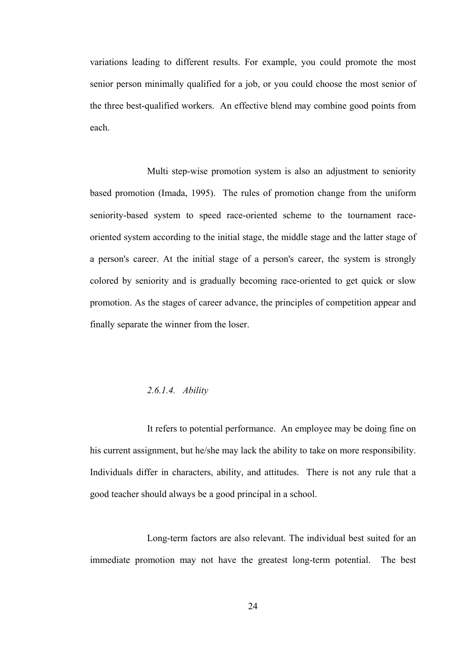variations leading to different results. For example, you could promote the most senior person minimally qualified for a job, or you could choose the most senior of the three best-qualified workers. An effective blend may combine good points from each.

Multi step-wise promotion system is also an adjustment to seniority based promotion (Imada, 1995). The rules of promotion change from the uniform seniority-based system to speed race-oriented scheme to the tournament raceoriented system according to the initial stage, the middle stage and the latter stage of a person's career. At the initial stage of a person's career, the system is strongly colored by seniority and is gradually becoming race-oriented to get quick or slow promotion. As the stages of career advance, the principles of competition appear and finally separate the winner from the loser.

#### *2.6.1.4. Ability*

It refers to potential performance. An employee may be doing fine on his current assignment, but he/she may lack the ability to take on more responsibility. Individuals differ in characters, ability, and attitudes. There is not any rule that a good teacher should always be a good principal in a school.

Long-term factors are also relevant. The individual best suited for an immediate promotion may not have the greatest long-term potential. The best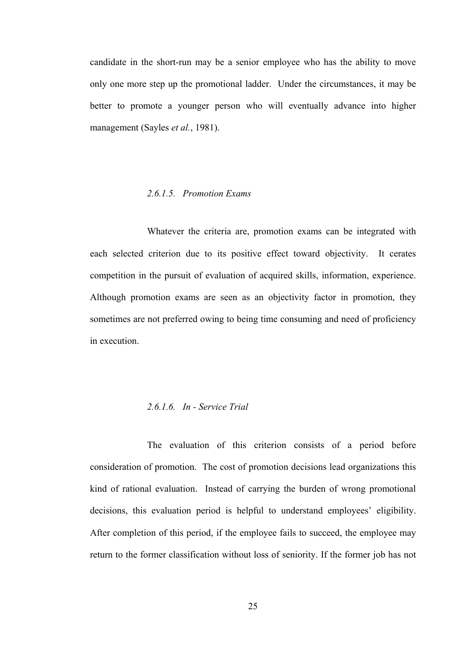candidate in the short-run may be a senior employee who has the ability to move only one more step up the promotional ladder. Under the circumstances, it may be better to promote a younger person who will eventually advance into higher management (Sayles *et al.*, 1981).

#### *2.6.1.5. Promotion Exams*

Whatever the criteria are, promotion exams can be integrated with each selected criterion due to its positive effect toward objectivity. It cerates competition in the pursuit of evaluation of acquired skills, information, experience. Although promotion exams are seen as an objectivity factor in promotion, they sometimes are not preferred owing to being time consuming and need of proficiency in execution.

#### *2.6.1.6. In - Service Trial*

The evaluation of this criterion consists of a period before consideration of promotion. The cost of promotion decisions lead organizations this kind of rational evaluation. Instead of carrying the burden of wrong promotional decisions, this evaluation period is helpful to understand employees' eligibility. After completion of this period, if the employee fails to succeed, the employee may return to the former classification without loss of seniority. If the former job has not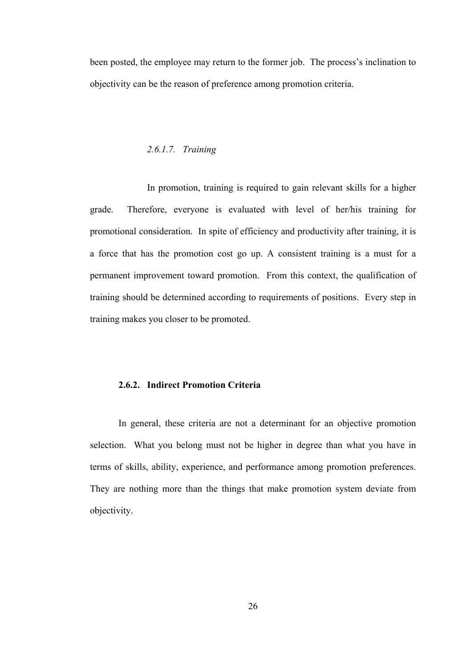been posted, the employee may return to the former job. The process's inclination to objectivity can be the reason of preference among promotion criteria.

#### *2.6.1.7. Training*

In promotion, training is required to gain relevant skills for a higher grade. Therefore, everyone is evaluated with level of her/his training for promotional consideration. In spite of efficiency and productivity after training, it is a force that has the promotion cost go up. A consistent training is a must for a permanent improvement toward promotion. From this context, the qualification of training should be determined according to requirements of positions. Every step in training makes you closer to be promoted.

#### **2.6.2. Indirect Promotion Criteria**

In general, these criteria are not a determinant for an objective promotion selection. What you belong must not be higher in degree than what you have in terms of skills, ability, experience, and performance among promotion preferences. They are nothing more than the things that make promotion system deviate from objectivity.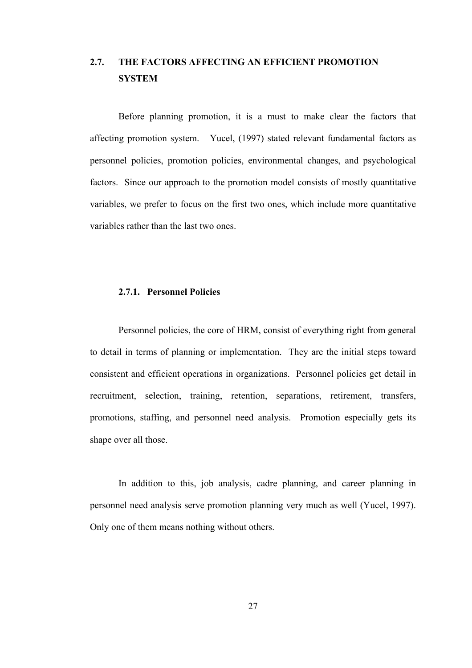## **2.7. THE FACTORS AFFECTING AN EFFICIENT PROMOTION SYSTEM**

Before planning promotion, it is a must to make clear the factors that affecting promotion system. Yucel, (1997) stated relevant fundamental factors as personnel policies, promotion policies, environmental changes, and psychological factors. Since our approach to the promotion model consists of mostly quantitative variables, we prefer to focus on the first two ones, which include more quantitative variables rather than the last two ones.

#### **2.7.1. Personnel Policies**

Personnel policies, the core of HRM, consist of everything right from general to detail in terms of planning or implementation. They are the initial steps toward consistent and efficient operations in organizations. Personnel policies get detail in recruitment, selection, training, retention, separations, retirement, transfers, promotions, staffing, and personnel need analysis. Promotion especially gets its shape over all those.

In addition to this, job analysis, cadre planning, and career planning in personnel need analysis serve promotion planning very much as well (Yucel, 1997). Only one of them means nothing without others.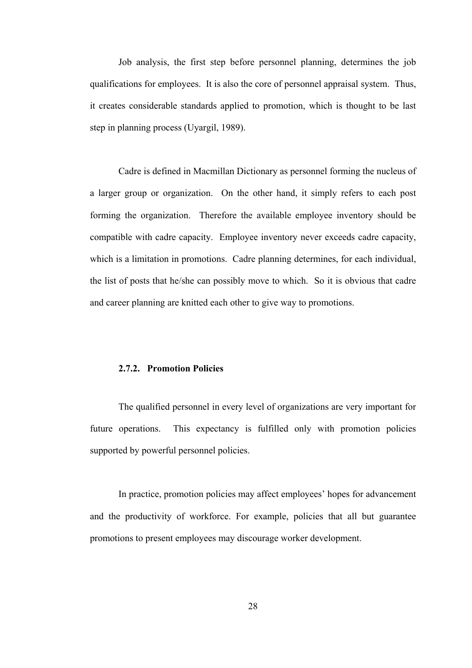Job analysis, the first step before personnel planning, determines the job qualifications for employees. It is also the core of personnel appraisal system. Thus, it creates considerable standards applied to promotion, which is thought to be last step in planning process (Uyargil, 1989).

Cadre is defined in Macmillan Dictionary as personnel forming the nucleus of a larger group or organization. On the other hand, it simply refers to each post forming the organization. Therefore the available employee inventory should be compatible with cadre capacity. Employee inventory never exceeds cadre capacity, which is a limitation in promotions. Cadre planning determines, for each individual, the list of posts that he/she can possibly move to which. So it is obvious that cadre and career planning are knitted each other to give way to promotions.

#### **2.7.2. Promotion Policies**

The qualified personnel in every level of organizations are very important for future operations. This expectancy is fulfilled only with promotion policies supported by powerful personnel policies.

In practice, promotion policies may affect employees' hopes for advancement and the productivity of workforce. For example, policies that all but guarantee promotions to present employees may discourage worker development.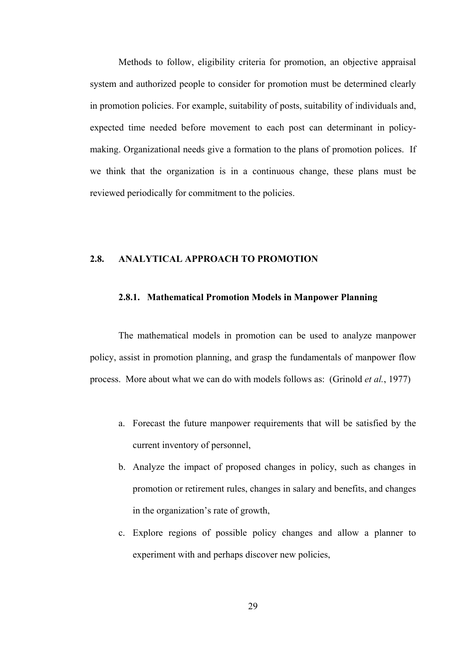Methods to follow, eligibility criteria for promotion, an objective appraisal system and authorized people to consider for promotion must be determined clearly in promotion policies. For example, suitability of posts, suitability of individuals and, expected time needed before movement to each post can determinant in policymaking. Organizational needs give a formation to the plans of promotion polices. If we think that the organization is in a continuous change, these plans must be reviewed periodically for commitment to the policies.

## **2.8. ANALYTICAL APPROACH TO PROMOTION**

#### **2.8.1. Mathematical Promotion Models in Manpower Planning**

The mathematical models in promotion can be used to analyze manpower policy, assist in promotion planning, and grasp the fundamentals of manpower flow process. More about what we can do with models follows as: (Grinold *et al.*, 1977)

- a. Forecast the future manpower requirements that will be satisfied by the current inventory of personnel,
- b. Analyze the impact of proposed changes in policy, such as changes in promotion or retirement rules, changes in salary and benefits, and changes in the organization's rate of growth,
- c. Explore regions of possible policy changes and allow a planner to experiment with and perhaps discover new policies,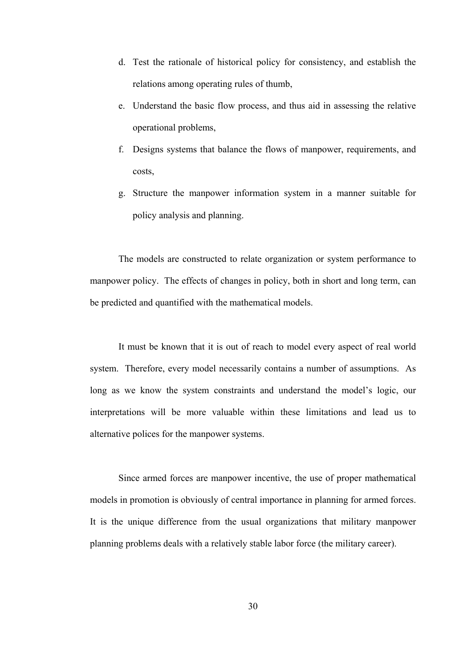- d. Test the rationale of historical policy for consistency, and establish the relations among operating rules of thumb,
- e. Understand the basic flow process, and thus aid in assessing the relative operational problems,
- f. Designs systems that balance the flows of manpower, requirements, and costs,
- g. Structure the manpower information system in a manner suitable for policy analysis and planning.

The models are constructed to relate organization or system performance to manpower policy. The effects of changes in policy, both in short and long term, can be predicted and quantified with the mathematical models.

It must be known that it is out of reach to model every aspect of real world system. Therefore, every model necessarily contains a number of assumptions. As long as we know the system constraints and understand the model's logic, our interpretations will be more valuable within these limitations and lead us to alternative polices for the manpower systems.

Since armed forces are manpower incentive, the use of proper mathematical models in promotion is obviously of central importance in planning for armed forces. It is the unique difference from the usual organizations that military manpower planning problems deals with a relatively stable labor force (the military career).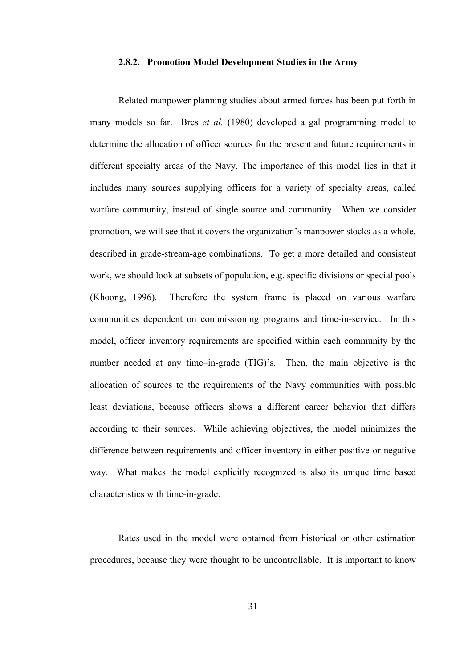#### **2.8.2. Promotion Model Development Studies in the Army**

Related manpower planning studies about armed forces has been put forth in many models so far. Bres *et al.* (1980) developed a gal programming model to determine the allocation of officer sources for the present and future requirements in different specialty areas of the Navy. The importance of this model lies in that it includes many sources supplying officers for a variety of specialty areas, called warfare community, instead of single source and community. When we consider promotion, we will see that it covers the organization's manpower stocks as a whole, described in grade-stream-age combinations. To get a more detailed and consistent work, we should look at subsets of population, e.g. specific divisions or special pools (Khoong, 1996). Therefore the system frame is placed on various warfare communities dependent on commissioning programs and time-in-service. In this model, officer inventory requirements are specified within each community by the number needed at any time–in-grade (TIG)'s. Then, the main objective is the allocation of sources to the requirements of the Navy communities with possible least deviations, because officers shows a different career behavior that differs according to their sources. While achieving objectives, the model minimizes the difference between requirements and officer inventory in either positive or negative way. What makes the model explicitly recognized is also its unique time based characteristics with time-in-grade.

Rates used in the model were obtained from historical or other estimation procedures, because they were thought to be uncontrollable. It is important to know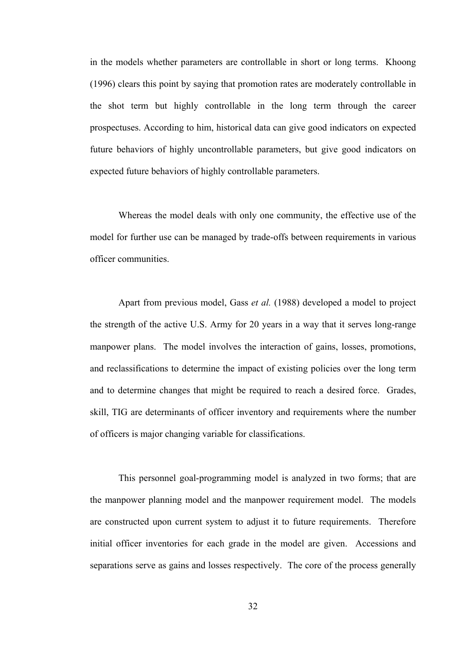in the models whether parameters are controllable in short or long terms. Khoong (1996) clears this point by saying that promotion rates are moderately controllable in the shot term but highly controllable in the long term through the career prospectuses. According to him, historical data can give good indicators on expected future behaviors of highly uncontrollable parameters, but give good indicators on expected future behaviors of highly controllable parameters.

Whereas the model deals with only one community, the effective use of the model for further use can be managed by trade-offs between requirements in various officer communities.

Apart from previous model, Gass *et al.* (1988) developed a model to project the strength of the active U.S. Army for 20 years in a way that it serves long-range manpower plans. The model involves the interaction of gains, losses, promotions, and reclassifications to determine the impact of existing policies over the long term and to determine changes that might be required to reach a desired force. Grades, skill, TIG are determinants of officer inventory and requirements where the number of officers is major changing variable for classifications.

This personnel goal-programming model is analyzed in two forms; that are the manpower planning model and the manpower requirement model. The models are constructed upon current system to adjust it to future requirements. Therefore initial officer inventories for each grade in the model are given. Accessions and separations serve as gains and losses respectively. The core of the process generally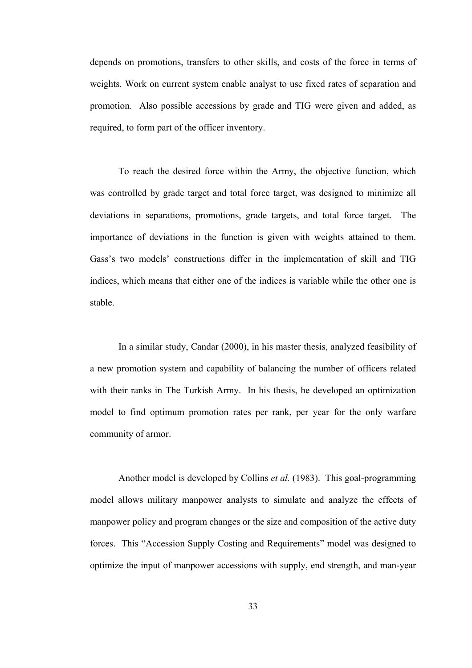depends on promotions, transfers to other skills, and costs of the force in terms of weights. Work on current system enable analyst to use fixed rates of separation and promotion. Also possible accessions by grade and TIG were given and added, as required, to form part of the officer inventory.

To reach the desired force within the Army, the objective function, which was controlled by grade target and total force target, was designed to minimize all deviations in separations, promotions, grade targets, and total force target. The importance of deviations in the function is given with weights attained to them. Gass's two models' constructions differ in the implementation of skill and TIG indices, which means that either one of the indices is variable while the other one is stable.

In a similar study, Candar (2000), in his master thesis, analyzed feasibility of a new promotion system and capability of balancing the number of officers related with their ranks in The Turkish Army. In his thesis, he developed an optimization model to find optimum promotion rates per rank, per year for the only warfare community of armor.

Another model is developed by Collins *et al.* (1983). This goal-programming model allows military manpower analysts to simulate and analyze the effects of manpower policy and program changes or the size and composition of the active duty forces. This "Accession Supply Costing and Requirements" model was designed to optimize the input of manpower accessions with supply, end strength, and man-year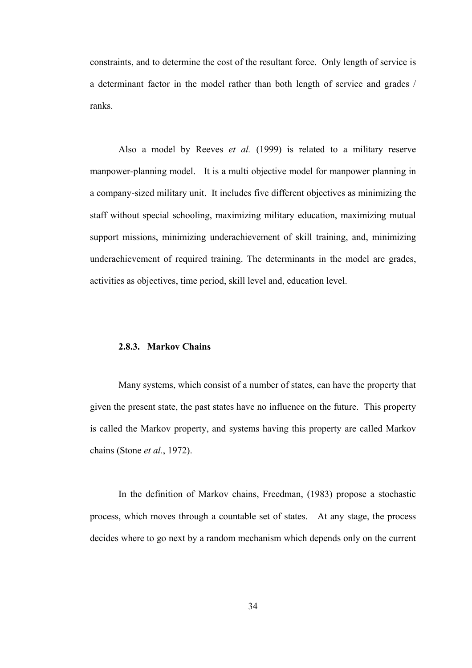constraints, and to determine the cost of the resultant force. Only length of service is a determinant factor in the model rather than both length of service and grades / ranks.

Also a model by Reeves *et al.* (1999) is related to a military reserve manpower-planning model. It is a multi objective model for manpower planning in a company-sized military unit. It includes five different objectives as minimizing the staff without special schooling, maximizing military education, maximizing mutual support missions, minimizing underachievement of skill training, and, minimizing underachievement of required training. The determinants in the model are grades, activities as objectives, time period, skill level and, education level.

#### **2.8.3. Markov Chains**

Many systems, which consist of a number of states, can have the property that given the present state, the past states have no influence on the future. This property is called the Markov property, and systems having this property are called Markov chains (Stone *et al.*, 1972).

In the definition of Markov chains, Freedman, (1983) propose a stochastic process, which moves through a countable set of states. At any stage, the process decides where to go next by a random mechanism which depends only on the current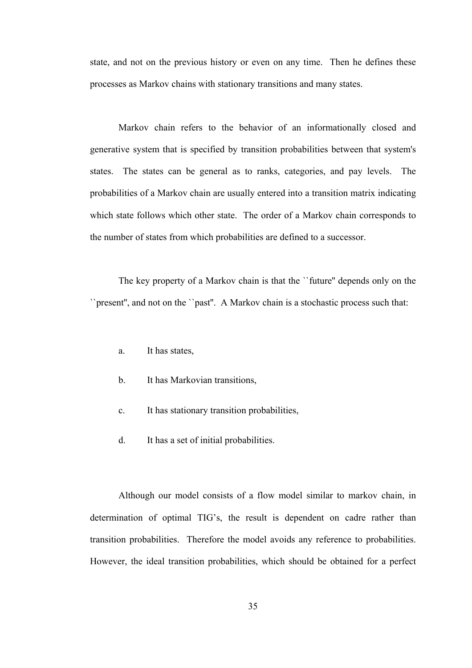state, and not on the previous history or even on any time. Then he defines these processes as Markov chains with stationary transitions and many states.

Markov chain refers to the behavior of an informationally closed and generative system that is specified by transition probabilities between that system's states. The states can be general as to ranks, categories, and pay levels. The probabilities of a Markov chain are usually entered into a transition matrix indicating which state follows which other state. The order of a Markov chain corresponds to the number of states from which probabilities are defined to a successor.

The key property of a Markov chain is that the ``future'' depends only on the ``present'', and not on the ``past''. A Markov chain is a stochastic process such that:

- a. It has states,
- b. It has Markovian transitions,
- c. It has stationary transition probabilities,
- d. It has a set of initial probabilities.

Although our model consists of a flow model similar to markov chain, in determination of optimal TIG's, the result is dependent on cadre rather than transition probabilities. Therefore the model avoids any reference to probabilities. However, the ideal transition probabilities, which should be obtained for a perfect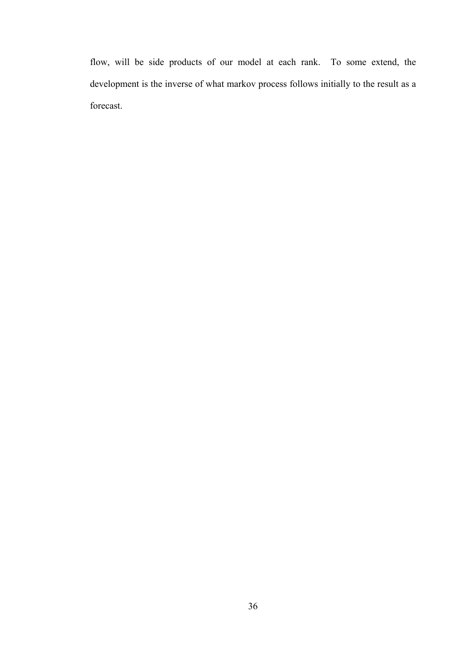flow, will be side products of our model at each rank. To some extend, the development is the inverse of what markov process follows initially to the result as a forecast.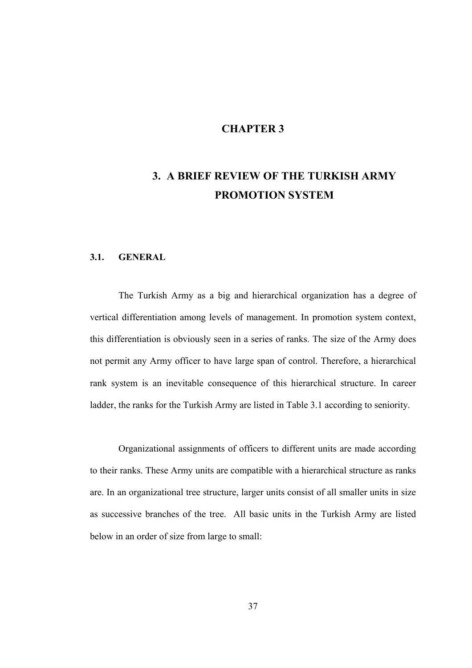## **CHAPTER 3**

# **3. A BRIEF REVIEW OF THE TURKISH ARMY PROMOTION SYSTEM**

## **3.1. GENERAL**

The Turkish Army as a big and hierarchical organization has a degree of vertical differentiation among levels of management. In promotion system context, this differentiation is obviously seen in a series of ranks. The size of the Army does not permit any Army officer to have large span of control. Therefore, a hierarchical rank system is an inevitable consequence of this hierarchical structure. In career ladder, the ranks for the Turkish Army are listed in Table 3.1 according to seniority.

Organizational assignments of officers to different units are made according to their ranks. These Army units are compatible with a hierarchical structure as ranks are. In an organizational tree structure, larger units consist of all smaller units in size as successive branches of the tree. All basic units in the Turkish Army are listed below in an order of size from large to small: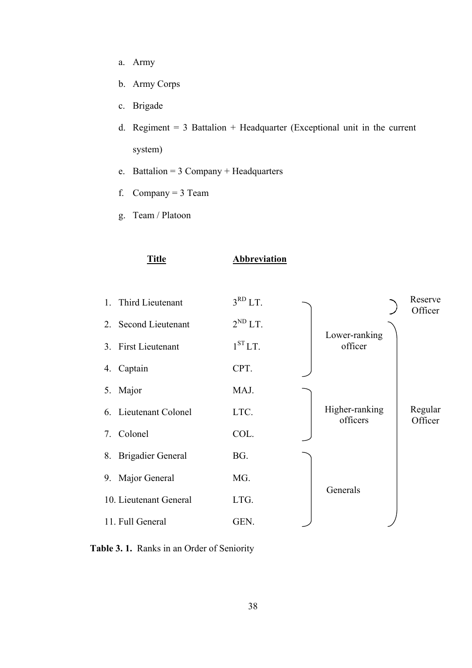- a. Army
- b. Army Corps
- c. Brigade
- d. Regiment  $= 3$  Battalion  $+$  Headquarter (Exceptional unit in the current system)
- e. Battalion =  $3$  Company + Headquarters
- f. Company =  $3$  Team
- g. Team / Platoon



### **Title Abbreviation**



**Table 3. 1.** Ranks in an Order of Seniority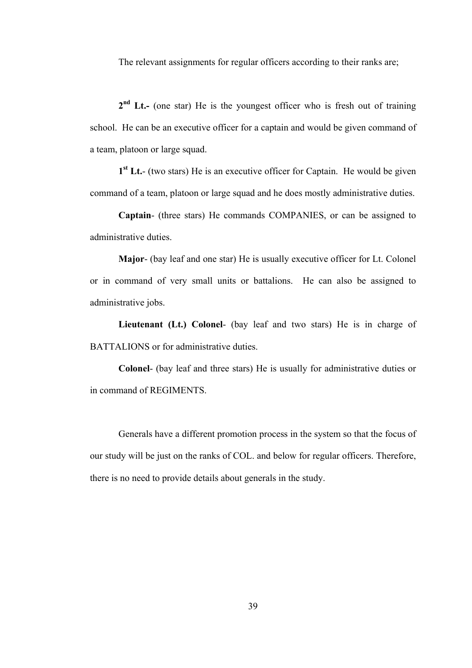The relevant assignments for regular officers according to their ranks are;

**2nd Lt.-** (one star) He is the youngest officer who is fresh out of training school. He can be an executive officer for a captain and would be given command of a team, platoon or large squad.

**1st Lt.**- (two stars) He is an executive officer for Captain. He would be given command of a team, platoon or large squad and he does mostly administrative duties.

**Captain**- (three stars) He commands COMPANIES, or can be assigned to administrative duties.

**Major**- (bay leaf and one star) He is usually executive officer for Lt. Colonel or in command of very small units or battalions. He can also be assigned to administrative jobs.

**Lieutenant (Lt.) Colonel**- (bay leaf and two stars) He is in charge of BATTALIONS or for administrative duties.

**Colonel**- (bay leaf and three stars) He is usually for administrative duties or in command of REGIMENTS.

Generals have a different promotion process in the system so that the focus of our study will be just on the ranks of COL. and below for regular officers. Therefore, there is no need to provide details about generals in the study.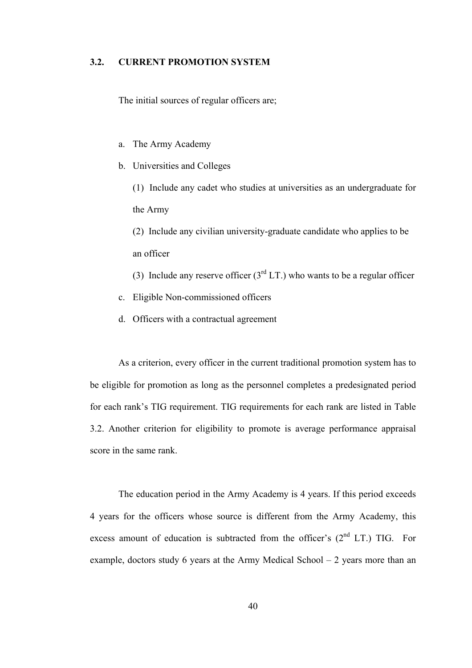## **3.2. CURRENT PROMOTION SYSTEM**

The initial sources of regular officers are;

- a. The Army Academy
- b. Universities and Colleges

(1) Include any cadet who studies at universities as an undergraduate for the Army

(2) Include any civilian university-graduate candidate who applies to be an officer

- (3) Include any reserve officer ( $3<sup>rd</sup>LT$ .) who wants to be a regular officer
- c. Eligible Non-commissioned officers
- d. Officers with a contractual agreement

As a criterion, every officer in the current traditional promotion system has to be eligible for promotion as long as the personnel completes a predesignated period for each rank's TIG requirement. TIG requirements for each rank are listed in Table 3.2. Another criterion for eligibility to promote is average performance appraisal score in the same rank.

The education period in the Army Academy is 4 years. If this period exceeds 4 years for the officers whose source is different from the Army Academy, this excess amount of education is subtracted from the officer's  $(2<sup>nd</sup> LT.) TIG.$  For example, doctors study 6 years at the Army Medical School – 2 years more than an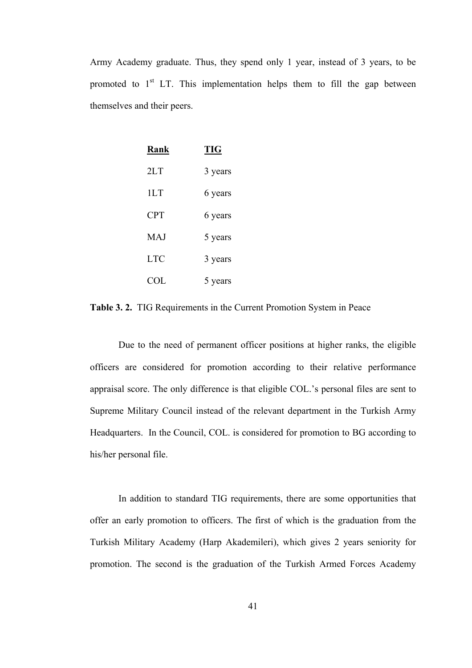Army Academy graduate. Thus, they spend only 1 year, instead of 3 years, to be promoted to  $1<sup>st</sup>$  LT. This implementation helps them to fill the gap between themselves and their peers.

| Rank       | <b>TIG</b> |  |  |  |
|------------|------------|--|--|--|
| 2LT        | 3 years    |  |  |  |
| 1LT        | 6 years    |  |  |  |
| <b>CPT</b> | 6 years    |  |  |  |
| <b>MAJ</b> | 5 years    |  |  |  |
| <b>LTC</b> | 3 years    |  |  |  |
| COL.       | 5 years    |  |  |  |

**Table 3. 2.** TIG Requirements in the Current Promotion System in Peace

Due to the need of permanent officer positions at higher ranks, the eligible officers are considered for promotion according to their relative performance appraisal score. The only difference is that eligible COL.'s personal files are sent to Supreme Military Council instead of the relevant department in the Turkish Army Headquarters. In the Council, COL. is considered for promotion to BG according to his/her personal file.

In addition to standard TIG requirements, there are some opportunities that offer an early promotion to officers. The first of which is the graduation from the Turkish Military Academy (Harp Akademileri), which gives 2 years seniority for promotion. The second is the graduation of the Turkish Armed Forces Academy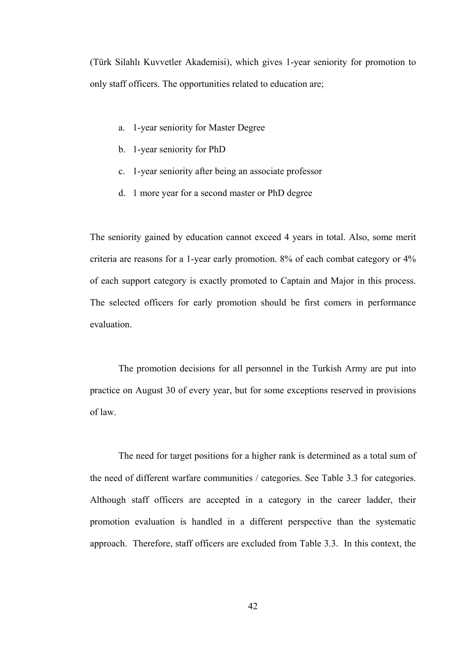(Türk Silahlı Kuvvetler Akademisi), which gives 1-year seniority for promotion to only staff officers. The opportunities related to education are;

- a. 1-year seniority for Master Degree
- b. 1-year seniority for PhD
- c. 1-year seniority after being an associate professor
- d. 1 more year for a second master or PhD degree

The seniority gained by education cannot exceed 4 years in total. Also, some merit criteria are reasons for a 1-year early promotion. 8% of each combat category or 4% of each support category is exactly promoted to Captain and Major in this process. The selected officers for early promotion should be first comers in performance evaluation.

The promotion decisions for all personnel in the Turkish Army are put into practice on August 30 of every year, but for some exceptions reserved in provisions of law.

The need for target positions for a higher rank is determined as a total sum of the need of different warfare communities / categories. See Table 3.3 for categories. Although staff officers are accepted in a category in the career ladder, their promotion evaluation is handled in a different perspective than the systematic approach. Therefore, staff officers are excluded from Table 3.3. In this context, the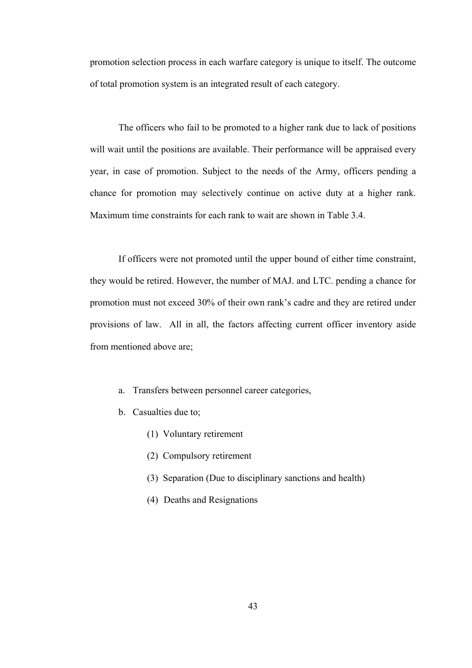promotion selection process in each warfare category is unique to itself. The outcome of total promotion system is an integrated result of each category.

The officers who fail to be promoted to a higher rank due to lack of positions will wait until the positions are available. Their performance will be appraised every year, in case of promotion. Subject to the needs of the Army, officers pending a chance for promotion may selectively continue on active duty at a higher rank. Maximum time constraints for each rank to wait are shown in Table 3.4.

If officers were not promoted until the upper bound of either time constraint, they would be retired. However, the number of MAJ. and LTC. pending a chance for promotion must not exceed 30% of their own rank's cadre and they are retired under provisions of law. All in all, the factors affecting current officer inventory aside from mentioned above are;

- a. Transfers between personnel career categories,
- b. Casualties due to;
	- (1) Voluntary retirement
	- (2) Compulsory retirement
	- (3) Separation (Due to disciplinary sanctions and health)
	- (4) Deaths and Resignations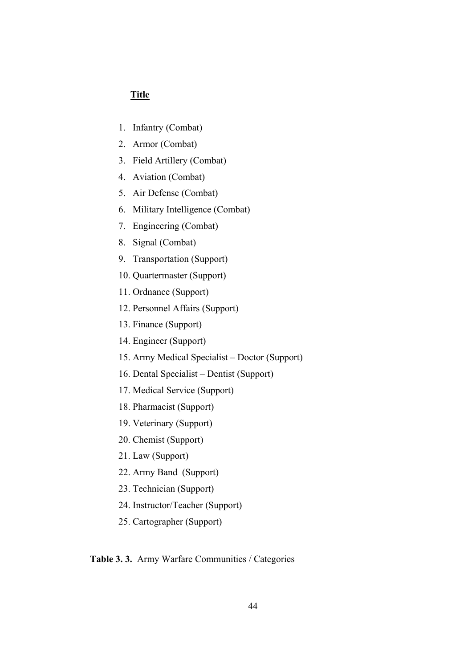## **Title**

- 1. Infantry (Combat)
- 2. Armor (Combat)
- 3. Field Artillery (Combat)
- 4. Aviation (Combat)
- 5. Air Defense (Combat)
- 6. Military Intelligence (Combat)
- 7. Engineering (Combat)
- 8. Signal (Combat)
- 9. Transportation (Support)
- 10. Quartermaster (Support)
- 11. Ordnance (Support)
- 12. Personnel Affairs (Support)
- 13. Finance (Support)
- 14. Engineer (Support)
- 15. Army Medical Specialist Doctor (Support)
- 16. Dental Specialist Dentist (Support)
- 17. Medical Service (Support)
- 18. Pharmacist (Support)
- 19. Veterinary (Support)
- 20. Chemist (Support)
- 21. Law (Support)
- 22. Army Band (Support)
- 23. Technician (Support)
- 24. Instructor/Teacher (Support)
- 25. Cartographer (Support)

#### **Table 3. 3.** Army Warfare Communities / Categories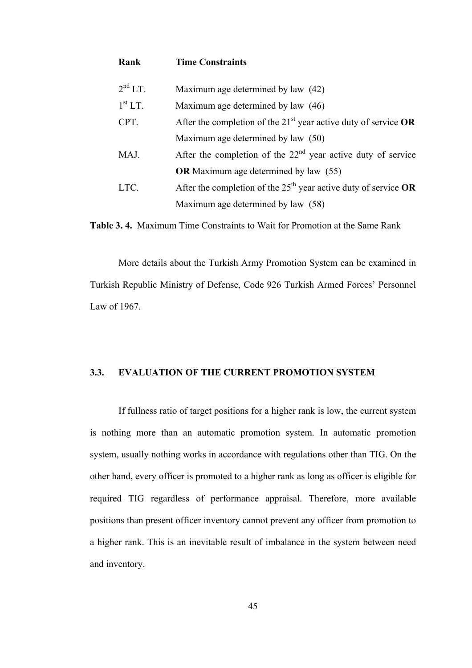| Rank                | <b>Time Constraints</b>                                                     |
|---------------------|-----------------------------------------------------------------------------|
| $2^{nd}LT$ .        | Maximum age determined by law (42)                                          |
| 1 <sup>st</sup> LT. | Maximum age determined by law (46)                                          |
| CPT.                | After the completion of the 21 <sup>st</sup> year active duty of service OR |
|                     | Maximum age determined by law (50)                                          |
| MAJ.                | After the completion of the $22nd$ year active duty of service              |
|                     | <b>OR</b> Maximum age determined by law (55)                                |
| LTC.                | After the completion of the $25th$ year active duty of service OR           |
|                     | Maximum age determined by law (58)                                          |

**Table 3. 4.** Maximum Time Constraints to Wait for Promotion at the Same Rank

More details about the Turkish Army Promotion System can be examined in Turkish Republic Ministry of Defense, Code 926 Turkish Armed Forces' Personnel Law of 1967.

#### **3.3. EVALUATION OF THE CURRENT PROMOTION SYSTEM**

If fullness ratio of target positions for a higher rank is low, the current system is nothing more than an automatic promotion system. In automatic promotion system, usually nothing works in accordance with regulations other than TIG. On the other hand, every officer is promoted to a higher rank as long as officer is eligible for required TIG regardless of performance appraisal. Therefore, more available positions than present officer inventory cannot prevent any officer from promotion to a higher rank. This is an inevitable result of imbalance in the system between need and inventory.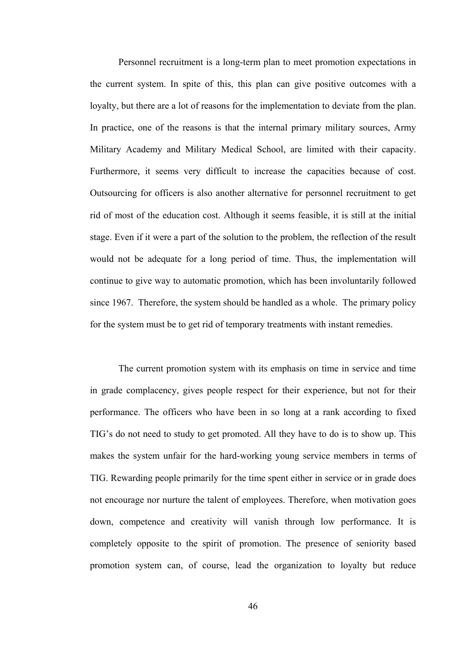Personnel recruitment is a long-term plan to meet promotion expectations in the current system. In spite of this, this plan can give positive outcomes with a loyalty, but there are a lot of reasons for the implementation to deviate from the plan. In practice, one of the reasons is that the internal primary military sources, Army Military Academy and Military Medical School, are limited with their capacity. Furthermore, it seems very difficult to increase the capacities because of cost. Outsourcing for officers is also another alternative for personnel recruitment to get rid of most of the education cost. Although it seems feasible, it is still at the initial stage. Even if it were a part of the solution to the problem, the reflection of the result would not be adequate for a long period of time. Thus, the implementation will continue to give way to automatic promotion, which has been involuntarily followed since 1967. Therefore, the system should be handled as a whole. The primary policy for the system must be to get rid of temporary treatments with instant remedies.

The current promotion system with its emphasis on time in service and time in grade complacency, gives people respect for their experience, but not for their performance. The officers who have been in so long at a rank according to fixed TIG's do not need to study to get promoted. All they have to do is to show up. This makes the system unfair for the hard-working young service members in terms of TIG. Rewarding people primarily for the time spent either in service or in grade does not encourage nor nurture the talent of employees. Therefore, when motivation goes down, competence and creativity will vanish through low performance. It is completely opposite to the spirit of promotion. The presence of seniority based promotion system can, of course, lead the organization to loyalty but reduce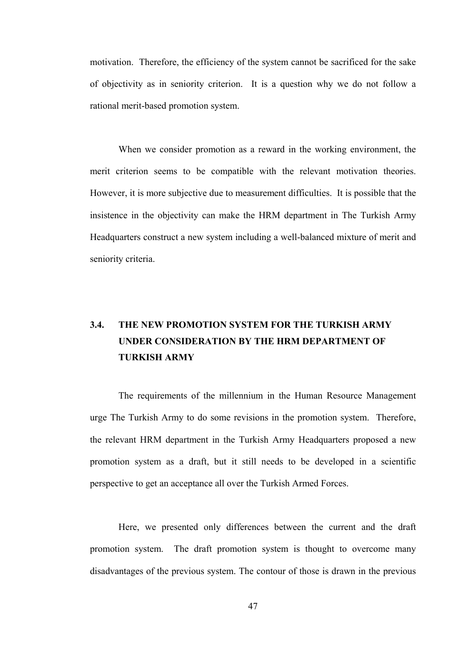motivation. Therefore, the efficiency of the system cannot be sacrificed for the sake of objectivity as in seniority criterion. It is a question why we do not follow a rational merit-based promotion system.

When we consider promotion as a reward in the working environment, the merit criterion seems to be compatible with the relevant motivation theories. However, it is more subjective due to measurement difficulties. It is possible that the insistence in the objectivity can make the HRM department in The Turkish Army Headquarters construct a new system including a well-balanced mixture of merit and seniority criteria.

## **3.4. THE NEW PROMOTION SYSTEM FOR THE TURKISH ARMY UNDER CONSIDERATION BY THE HRM DEPARTMENT OF TURKISH ARMY**

The requirements of the millennium in the Human Resource Management urge The Turkish Army to do some revisions in the promotion system. Therefore, the relevant HRM department in the Turkish Army Headquarters proposed a new promotion system as a draft, but it still needs to be developed in a scientific perspective to get an acceptance all over the Turkish Armed Forces.

Here, we presented only differences between the current and the draft promotion system. The draft promotion system is thought to overcome many disadvantages of the previous system. The contour of those is drawn in the previous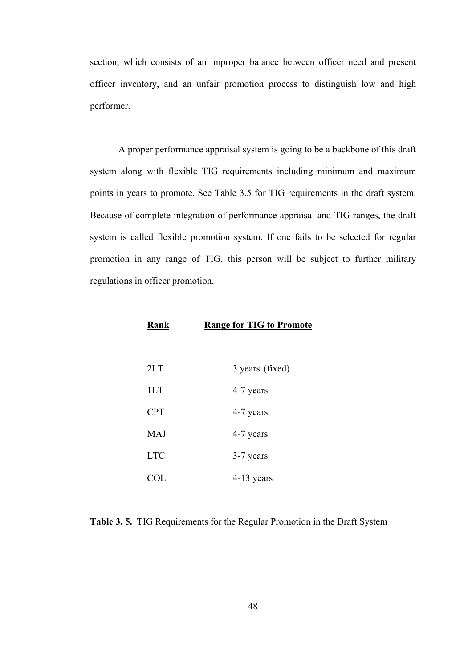section, which consists of an improper balance between officer need and present officer inventory, and an unfair promotion process to distinguish low and high performer.

A proper performance appraisal system is going to be a backbone of this draft system along with flexible TIG requirements including minimum and maximum points in years to promote. See Table 3.5 for TIG requirements in the draft system. Because of complete integration of performance appraisal and TIG ranges, the draft system is called flexible promotion system. If one fails to be selected for regular promotion in any range of TIG, this person will be subject to further military regulations in officer promotion.

| Rank | <b>Range for TIG to Promote</b> |  |  |
|------|---------------------------------|--|--|
|------|---------------------------------|--|--|

| 2LT        | 3 years (fixed) |
|------------|-----------------|
| 1LT        | 4-7 years       |
| <b>CPT</b> | 4-7 years       |
| <b>MAJ</b> | 4-7 years       |
| <b>LTC</b> | 3-7 years       |
| COL.       | $4-13$ years    |

| Table 3.5. TIG Requirements for the Regular Promotion in the Draft System |  |  |  |  |  |  |  |  |
|---------------------------------------------------------------------------|--|--|--|--|--|--|--|--|
|---------------------------------------------------------------------------|--|--|--|--|--|--|--|--|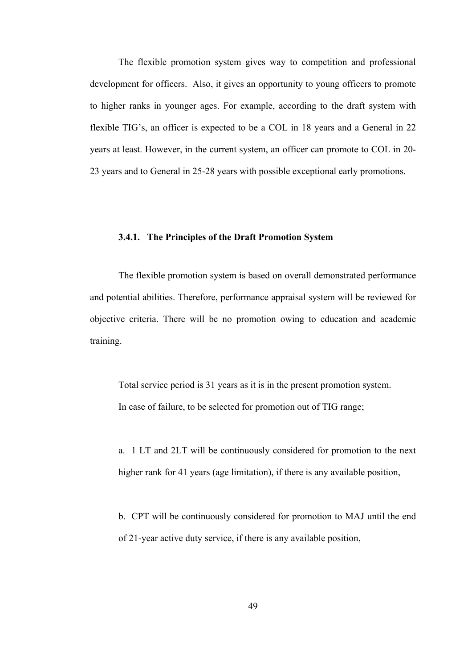The flexible promotion system gives way to competition and professional development for officers. Also, it gives an opportunity to young officers to promote to higher ranks in younger ages. For example, according to the draft system with flexible TIG's, an officer is expected to be a COL in 18 years and a General in 22 years at least. However, in the current system, an officer can promote to COL in 20- 23 years and to General in 25-28 years with possible exceptional early promotions.

#### **3.4.1. The Principles of the Draft Promotion System**

The flexible promotion system is based on overall demonstrated performance and potential abilities. Therefore, performance appraisal system will be reviewed for objective criteria. There will be no promotion owing to education and academic training.

Total service period is 31 years as it is in the present promotion system. In case of failure, to be selected for promotion out of TIG range;

a. 1 LT and 2LT will be continuously considered for promotion to the next higher rank for 41 years (age limitation), if there is any available position,

b. CPT will be continuously considered for promotion to MAJ until the end of 21-year active duty service, if there is any available position,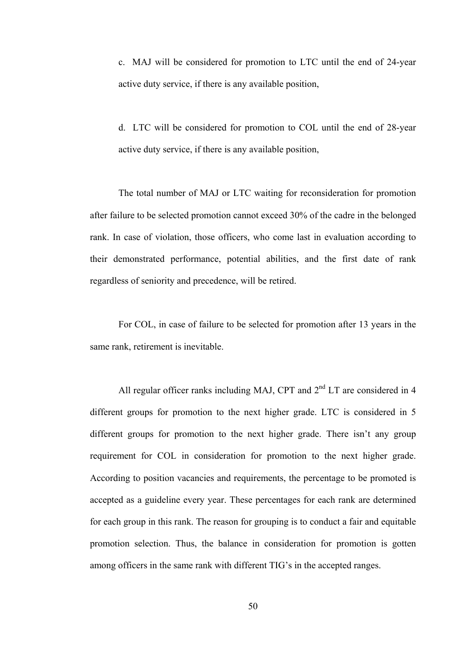c. MAJ will be considered for promotion to LTC until the end of 24-year active duty service, if there is any available position,

d. LTC will be considered for promotion to COL until the end of 28-year active duty service, if there is any available position,

The total number of MAJ or LTC waiting for reconsideration for promotion after failure to be selected promotion cannot exceed 30% of the cadre in the belonged rank. In case of violation, those officers, who come last in evaluation according to their demonstrated performance, potential abilities, and the first date of rank regardless of seniority and precedence, will be retired.

For COL, in case of failure to be selected for promotion after 13 years in the same rank, retirement is inevitable.

All regular officer ranks including MAJ, CPT and  $2<sup>nd</sup>$  LT are considered in 4 different groups for promotion to the next higher grade. LTC is considered in 5 different groups for promotion to the next higher grade. There isn't any group requirement for COL in consideration for promotion to the next higher grade. According to position vacancies and requirements, the percentage to be promoted is accepted as a guideline every year. These percentages for each rank are determined for each group in this rank. The reason for grouping is to conduct a fair and equitable promotion selection. Thus, the balance in consideration for promotion is gotten among officers in the same rank with different TIG's in the accepted ranges.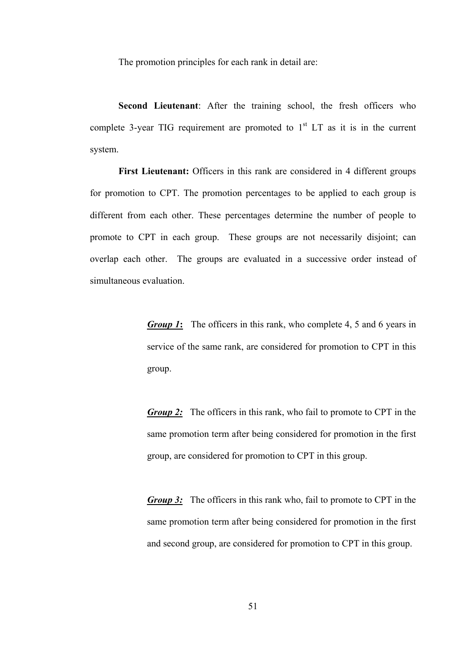The promotion principles for each rank in detail are:

**Second Lieutenant**: After the training school, the fresh officers who complete 3-year TIG requirement are promoted to  $1<sup>st</sup> LT$  as it is in the current system.

**First Lieutenant:** Officers in this rank are considered in 4 different groups for promotion to CPT. The promotion percentages to be applied to each group is different from each other. These percentages determine the number of people to promote to CPT in each group. These groups are not necessarily disjoint; can overlap each other. The groups are evaluated in a successive order instead of simultaneous evaluation.

> *Group 1***:** The officers in this rank, who complete 4, 5 and 6 years in service of the same rank, are considered for promotion to CPT in this group.

> *Group 2:* The officers in this rank, who fail to promote to CPT in the same promotion term after being considered for promotion in the first group, are considered for promotion to CPT in this group.

> *Group* 3: The officers in this rank who, fail to promote to CPT in the same promotion term after being considered for promotion in the first and second group, are considered for promotion to CPT in this group.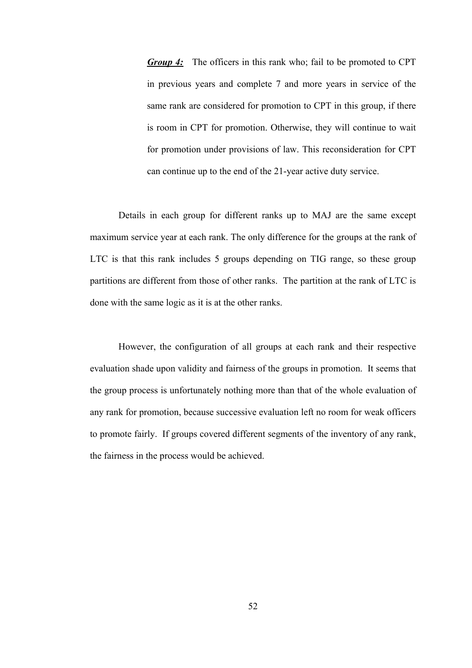*Group 4:* The officers in this rank who; fail to be promoted to CPT in previous years and complete 7 and more years in service of the same rank are considered for promotion to CPT in this group, if there is room in CPT for promotion. Otherwise, they will continue to wait for promotion under provisions of law. This reconsideration for CPT can continue up to the end of the 21-year active duty service.

Details in each group for different ranks up to MAJ are the same except maximum service year at each rank. The only difference for the groups at the rank of LTC is that this rank includes 5 groups depending on TIG range, so these group partitions are different from those of other ranks. The partition at the rank of LTC is done with the same logic as it is at the other ranks.

However, the configuration of all groups at each rank and their respective evaluation shade upon validity and fairness of the groups in promotion. It seems that the group process is unfortunately nothing more than that of the whole evaluation of any rank for promotion, because successive evaluation left no room for weak officers to promote fairly. If groups covered different segments of the inventory of any rank, the fairness in the process would be achieved.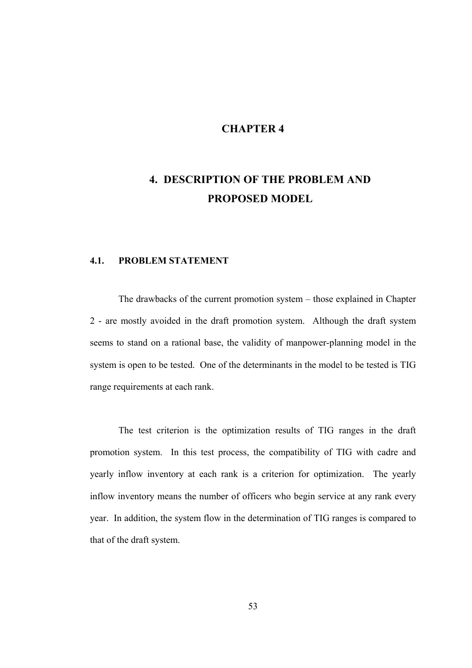## **CHAPTER 4**

# **4. DESCRIPTION OF THE PROBLEM AND PROPOSED MODEL**

## **4.1. PROBLEM STATEMENT**

The drawbacks of the current promotion system – those explained in Chapter 2 - are mostly avoided in the draft promotion system. Although the draft system seems to stand on a rational base, the validity of manpower-planning model in the system is open to be tested. One of the determinants in the model to be tested is TIG range requirements at each rank.

The test criterion is the optimization results of TIG ranges in the draft promotion system. In this test process, the compatibility of TIG with cadre and yearly inflow inventory at each rank is a criterion for optimization. The yearly inflow inventory means the number of officers who begin service at any rank every year. In addition, the system flow in the determination of TIG ranges is compared to that of the draft system.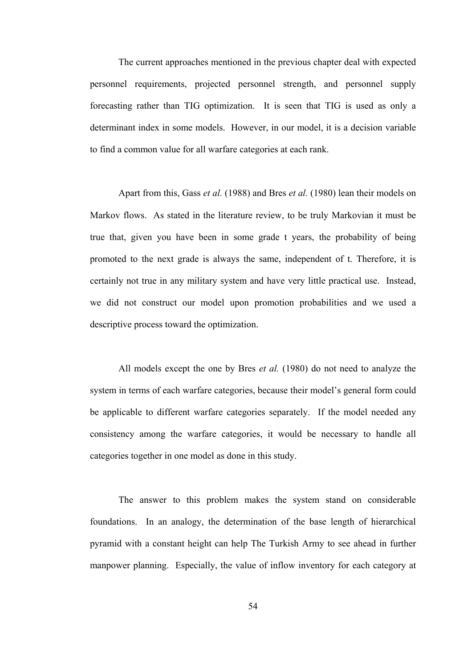The current approaches mentioned in the previous chapter deal with expected personnel requirements, projected personnel strength, and personnel supply forecasting rather than TIG optimization. It is seen that TIG is used as only a determinant index in some models. However, in our model, it is a decision variable to find a common value for all warfare categories at each rank.

Apart from this, Gass *et al.* (1988) and Bres *et al.* (1980) lean their models on Markov flows. As stated in the literature review, to be truly Markovian it must be true that, given you have been in some grade t years, the probability of being promoted to the next grade is always the same, independent of t. Therefore, it is certainly not true in any military system and have very little practical use. Instead, we did not construct our model upon promotion probabilities and we used a descriptive process toward the optimization.

All models except the one by Bres *et al.* (1980) do not need to analyze the system in terms of each warfare categories, because their model's general form could be applicable to different warfare categories separately. If the model needed any consistency among the warfare categories, it would be necessary to handle all categories together in one model as done in this study.

The answer to this problem makes the system stand on considerable foundations. In an analogy, the determination of the base length of hierarchical pyramid with a constant height can help The Turkish Army to see ahead in further manpower planning. Especially, the value of inflow inventory for each category at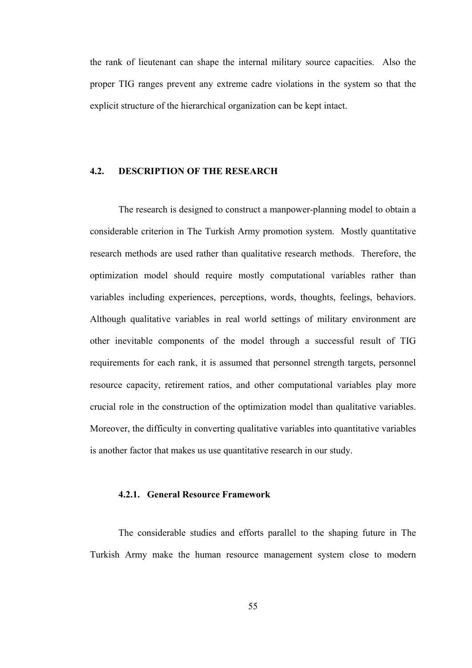the rank of lieutenant can shape the internal military source capacities. Also the proper TIG ranges prevent any extreme cadre violations in the system so that the explicit structure of the hierarchical organization can be kept intact.

### **4.2. DESCRIPTION OF THE RESEARCH**

The research is designed to construct a manpower-planning model to obtain a considerable criterion in The Turkish Army promotion system. Mostly quantitative research methods are used rather than qualitative research methods. Therefore, the optimization model should require mostly computational variables rather than variables including experiences, perceptions, words, thoughts, feelings, behaviors. Although qualitative variables in real world settings of military environment are other inevitable components of the model through a successful result of TIG requirements for each rank, it is assumed that personnel strength targets, personnel resource capacity, retirement ratios, and other computational variables play more crucial role in the construction of the optimization model than qualitative variables. Moreover, the difficulty in converting qualitative variables into quantitative variables is another factor that makes us use quantitative research in our study.

#### **4.2.1. General Resource Framework**

The considerable studies and efforts parallel to the shaping future in The Turkish Army make the human resource management system close to modern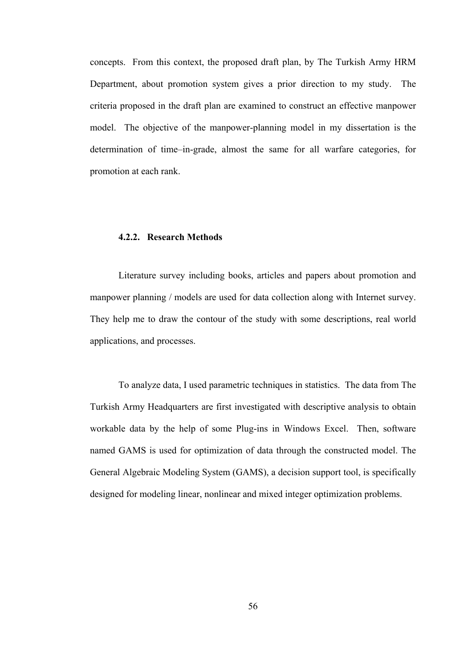concepts. From this context, the proposed draft plan, by The Turkish Army HRM Department, about promotion system gives a prior direction to my study. The criteria proposed in the draft plan are examined to construct an effective manpower model. The objective of the manpower-planning model in my dissertation is the determination of time–in-grade, almost the same for all warfare categories, for promotion at each rank.

#### **4.2.2. Research Methods**

Literature survey including books, articles and papers about promotion and manpower planning / models are used for data collection along with Internet survey. They help me to draw the contour of the study with some descriptions, real world applications, and processes.

To analyze data, I used parametric techniques in statistics. The data from The Turkish Army Headquarters are first investigated with descriptive analysis to obtain workable data by the help of some Plug-ins in Windows Excel. Then, software named GAMS is used for optimization of data through the constructed model. The General Algebraic Modeling System (GAMS), a decision support tool, is specifically designed for modeling linear, nonlinear and mixed integer optimization problems.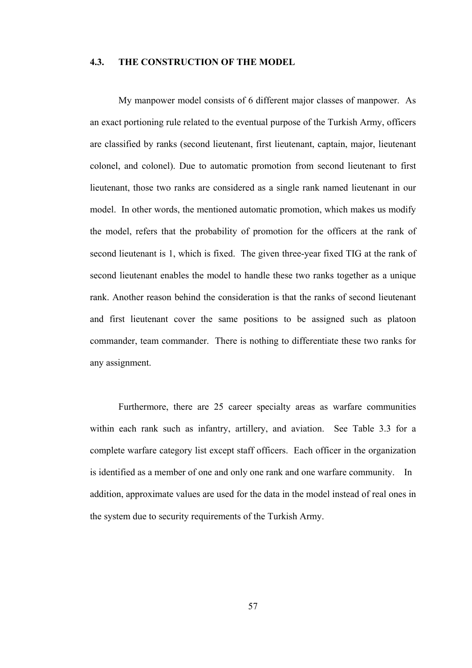## **4.3. THE CONSTRUCTION OF THE MODEL**

My manpower model consists of 6 different major classes of manpower. As an exact portioning rule related to the eventual purpose of the Turkish Army, officers are classified by ranks (second lieutenant, first lieutenant, captain, major, lieutenant colonel, and colonel). Due to automatic promotion from second lieutenant to first lieutenant, those two ranks are considered as a single rank named lieutenant in our model. In other words, the mentioned automatic promotion, which makes us modify the model, refers that the probability of promotion for the officers at the rank of second lieutenant is 1, which is fixed. The given three-year fixed TIG at the rank of second lieutenant enables the model to handle these two ranks together as a unique rank. Another reason behind the consideration is that the ranks of second lieutenant and first lieutenant cover the same positions to be assigned such as platoon commander, team commander. There is nothing to differentiate these two ranks for any assignment.

Furthermore, there are 25 career specialty areas as warfare communities within each rank such as infantry, artillery, and aviation. See Table 3.3 for a complete warfare category list except staff officers. Each officer in the organization is identified as a member of one and only one rank and one warfare community. In addition, approximate values are used for the data in the model instead of real ones in the system due to security requirements of the Turkish Army.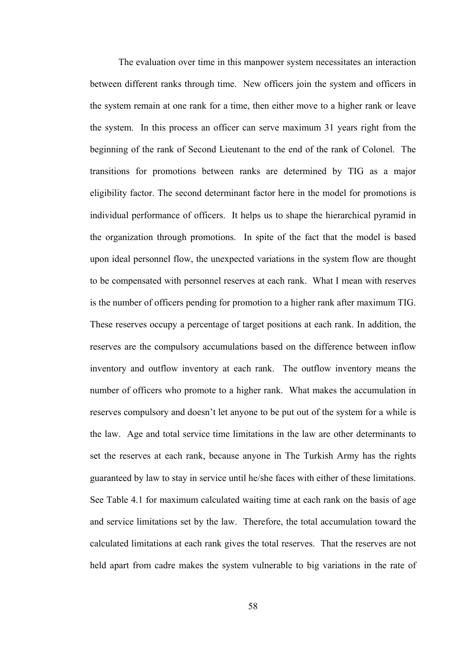The evaluation over time in this manpower system necessitates an interaction between different ranks through time. New officers join the system and officers in the system remain at one rank for a time, then either move to a higher rank or leave the system. In this process an officer can serve maximum 31 years right from the beginning of the rank of Second Lieutenant to the end of the rank of Colonel. The transitions for promotions between ranks are determined by TIG as a major eligibility factor. The second determinant factor here in the model for promotions is individual performance of officers. It helps us to shape the hierarchical pyramid in the organization through promotions. In spite of the fact that the model is based upon ideal personnel flow, the unexpected variations in the system flow are thought to be compensated with personnel reserves at each rank. What I mean with reserves is the number of officers pending for promotion to a higher rank after maximum TIG. These reserves occupy a percentage of target positions at each rank. In addition, the reserves are the compulsory accumulations based on the difference between inflow inventory and outflow inventory at each rank. The outflow inventory means the number of officers who promote to a higher rank. What makes the accumulation in reserves compulsory and doesn't let anyone to be put out of the system for a while is the law. Age and total service time limitations in the law are other determinants to set the reserves at each rank, because anyone in The Turkish Army has the rights guaranteed by law to stay in service until he/she faces with either of these limitations. See Table 4.1 for maximum calculated waiting time at each rank on the basis of age and service limitations set by the law. Therefore, the total accumulation toward the calculated limitations at each rank gives the total reserves. That the reserves are not held apart from cadre makes the system vulnerable to big variations in the rate of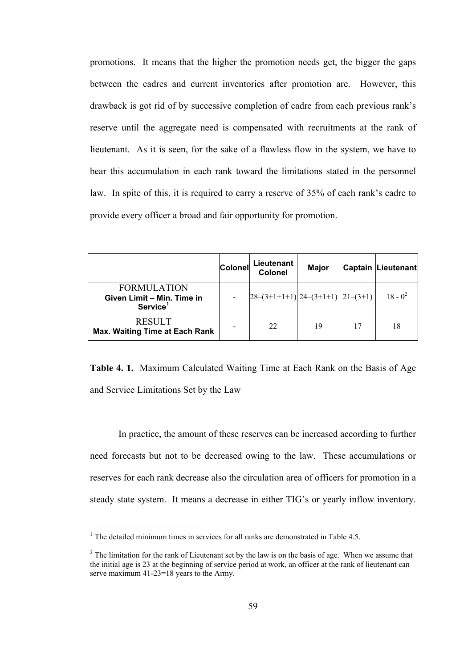promotions. It means that the higher the promotion needs get, the bigger the gaps between the cadres and current inventories after promotion are. However, this drawback is got rid of by successive completion of cadre from each previous rank's reserve until the aggregate need is compensated with recruitments at the rank of lieutenant. As it is seen, for the sake of a flawless flow in the system, we have to bear this accumulation in each rank toward the limitations stated in the personnel law. In spite of this, it is required to carry a reserve of 35% of each rank's cadre to provide every officer a broad and fair opportunity for promotion.

|                                                                          | <b>Colonel</b>               | Lieutenant<br>Colonel                                      | <b>Major</b> | <b>Captain Lieutenant</b> |
|--------------------------------------------------------------------------|------------------------------|------------------------------------------------------------|--------------|---------------------------|
| <b>FORMULATION</b><br>Given Limit - Min. Time in<br>Service <sup>1</sup> | $\qquad \qquad \blacksquare$ | $\left[28-(3+1+1+1)\right]24-(3+1+1)\left[21-(3+1)\right]$ |              | $18 - 0^2$                |
| <b>RESULT</b><br><b>Max. Waiting Time at Each Rank</b>                   |                              | 22                                                         | 19           | 18                        |

**Table 4. 1.** Maximum Calculated Waiting Time at Each Rank on the Basis of Age and Service Limitations Set by the Law

In practice, the amount of these reserves can be increased according to further need forecasts but not to be decreased owing to the law. These accumulations or reserves for each rank decrease also the circulation area of officers for promotion in a steady state system. It means a decrease in either TIG's or yearly inflow inventory.

 $\overline{a}$ 

<sup>&</sup>lt;sup>1</sup> The detailed minimum times in services for all ranks are demonstrated in Table 4.5.

 $2^2$  The limitation for the rank of Lieutenant set by the law is on the basis of age. When we assume that the initial age is 23 at the beginning of service period at work, an officer at the rank of lieutenant can serve maximum 41-23=18 years to the Army.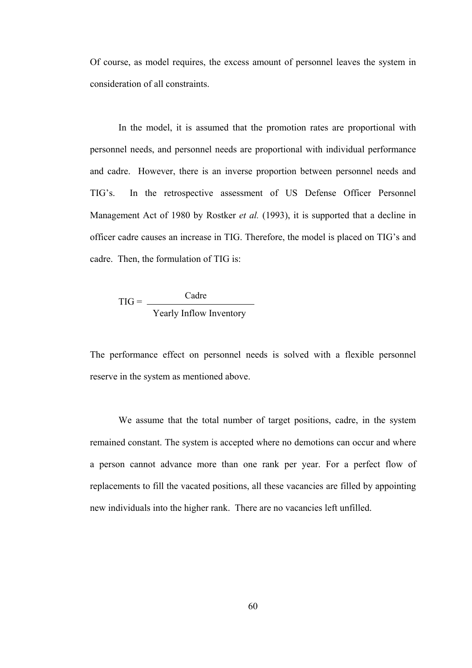Of course, as model requires, the excess amount of personnel leaves the system in consideration of all constraints.

In the model, it is assumed that the promotion rates are proportional with personnel needs, and personnel needs are proportional with individual performance and cadre. However, there is an inverse proportion between personnel needs and TIG's. In the retrospective assessment of US Defense Officer Personnel Management Act of 1980 by Rostker *et al.* (1993), it is supported that a decline in officer cadre causes an increase in TIG. Therefore, the model is placed on TIG's and cadre. Then, the formulation of TIG is:

$$
TIG = \frac{Cadre}{Yearly Inflow Inventory}
$$

The performance effect on personnel needs is solved with a flexible personnel reserve in the system as mentioned above.

We assume that the total number of target positions, cadre, in the system remained constant. The system is accepted where no demotions can occur and where a person cannot advance more than one rank per year. For a perfect flow of replacements to fill the vacated positions, all these vacancies are filled by appointing new individuals into the higher rank. There are no vacancies left unfilled.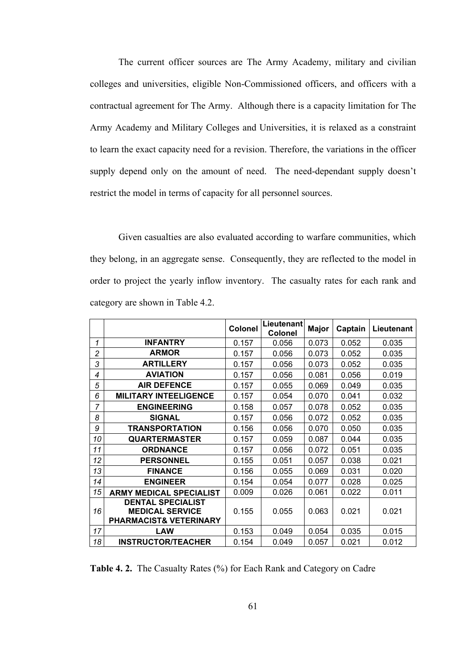The current officer sources are The Army Academy, military and civilian colleges and universities, eligible Non-Commissioned officers, and officers with a contractual agreement for The Army. Although there is a capacity limitation for The Army Academy and Military Colleges and Universities, it is relaxed as a constraint to learn the exact capacity need for a revision. Therefore, the variations in the officer supply depend only on the amount of need. The need-dependant supply doesn't restrict the model in terms of capacity for all personnel sources.

Given casualties are also evaluated according to warfare communities, which they belong, in an aggregate sense. Consequently, they are reflected to the model in order to project the yearly inflow inventory. The casualty rates for each rank and category are shown in Table 4.2.

|                |                                                                                         | Colonel | Lieutenant<br><b>Colonel</b> | Major | Captain | Lieutenant |
|----------------|-----------------------------------------------------------------------------------------|---------|------------------------------|-------|---------|------------|
| 1              | <b>INFANTRY</b>                                                                         | 0.157   | 0.056                        | 0.073 | 0.052   | 0.035      |
| $\overline{c}$ | <b>ARMOR</b>                                                                            | 0.157   | 0.056                        | 0.073 | 0.052   | 0.035      |
| 3              | <b>ARTILLERY</b>                                                                        | 0.157   | 0.056                        | 0.073 | 0.052   | 0.035      |
| $\overline{4}$ | <b>AVIATION</b>                                                                         | 0.157   | 0.056                        | 0.081 | 0.056   | 0.019      |
| 5              | <b>AIR DEFENCE</b>                                                                      | 0.157   | 0.055                        | 0.069 | 0.049   | 0.035      |
| 6              | <b>MILITARY INTEELIGENCE</b>                                                            | 0.157   | 0.054                        | 0.070 | 0.041   | 0.032      |
| 7              | <b>ENGINEERING</b>                                                                      | 0.158   | 0.057                        | 0.078 | 0.052   | 0.035      |
| 8              | <b>SIGNAL</b>                                                                           | 0.157   | 0.056                        | 0.072 | 0.052   | 0.035      |
| 9              | <b>TRANSPORTATION</b>                                                                   | 0.156   | 0.056                        | 0.070 | 0.050   | 0.035      |
| 10             | <b>QUARTERMASTER</b>                                                                    | 0.157   | 0.059                        | 0.087 | 0.044   | 0.035      |
| 11             | <b>ORDNANCE</b>                                                                         | 0.157   | 0.056                        | 0.072 | 0.051   | 0.035      |
| 12             | <b>PERSONNEL</b>                                                                        | 0.155   | 0.051                        | 0.057 | 0.038   | 0.021      |
| 13             | <b>FINANCE</b>                                                                          | 0.156   | 0.055                        | 0.069 | 0.031   | 0.020      |
| 14             | <b>ENGINEER</b>                                                                         | 0.154   | 0.054                        | 0.077 | 0.028   | 0.025      |
| 15             | <b>ARMY MEDICAL SPECIALIST</b>                                                          | 0.009   | 0.026                        | 0.061 | 0.022   | 0.011      |
| 16             | <b>DENTAL SPECIALIST</b><br><b>MEDICAL SERVICE</b><br><b>PHARMACIST&amp; VETERINARY</b> | 0.155   | 0.055                        | 0.063 | 0.021   | 0.021      |
| 17             | <b>LAW</b>                                                                              | 0.153   | 0.049                        | 0.054 | 0.035   | 0.015      |
| 18             | <b>INSTRUCTOR/TEACHER</b>                                                               | 0.154   | 0.049                        | 0.057 | 0.021   | 0.012      |

**Table 4. 2.** The Casualty Rates (%) for Each Rank and Category on Cadre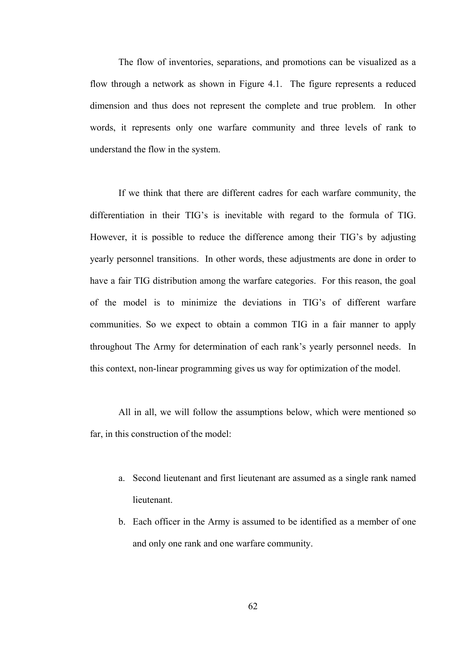The flow of inventories, separations, and promotions can be visualized as a flow through a network as shown in Figure 4.1. The figure represents a reduced dimension and thus does not represent the complete and true problem. In other words, it represents only one warfare community and three levels of rank to understand the flow in the system.

If we think that there are different cadres for each warfare community, the differentiation in their TIG's is inevitable with regard to the formula of TIG. However, it is possible to reduce the difference among their TIG's by adjusting yearly personnel transitions. In other words, these adjustments are done in order to have a fair TIG distribution among the warfare categories. For this reason, the goal of the model is to minimize the deviations in TIG's of different warfare communities. So we expect to obtain a common TIG in a fair manner to apply throughout The Army for determination of each rank's yearly personnel needs. In this context, non-linear programming gives us way for optimization of the model.

All in all, we will follow the assumptions below, which were mentioned so far, in this construction of the model:

- a. Second lieutenant and first lieutenant are assumed as a single rank named lieutenant.
- b. Each officer in the Army is assumed to be identified as a member of one and only one rank and one warfare community.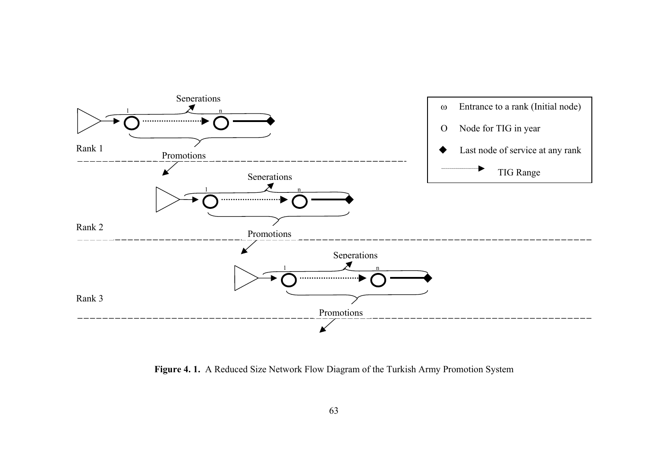

**Figure 4. 1.** A Reduced Size Network Flow Diagram of the Turkish Army Promotion System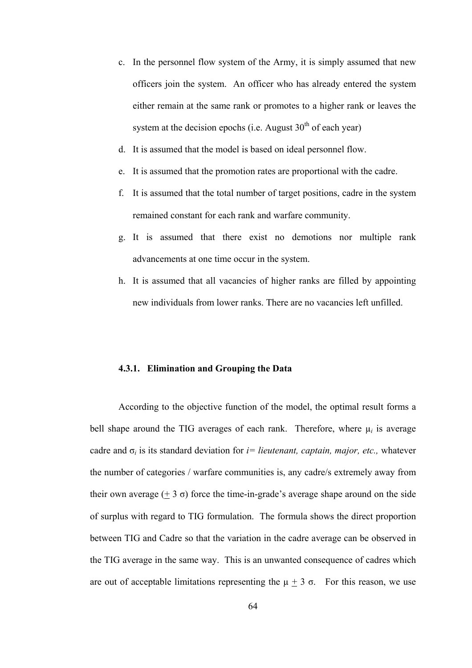- c. In the personnel flow system of the Army, it is simply assumed that new officers join the system. An officer who has already entered the system either remain at the same rank or promotes to a higher rank or leaves the system at the decision epochs (i.e. August  $30<sup>th</sup>$  of each year)
- d. It is assumed that the model is based on ideal personnel flow.
- e. It is assumed that the promotion rates are proportional with the cadre.
- f. It is assumed that the total number of target positions, cadre in the system remained constant for each rank and warfare community.
- g. It is assumed that there exist no demotions nor multiple rank advancements at one time occur in the system.
- h. It is assumed that all vacancies of higher ranks are filled by appointing new individuals from lower ranks. There are no vacancies left unfilled.

#### **4.3.1. Elimination and Grouping the Data**

According to the objective function of the model, the optimal result forms a bell shape around the TIG averages of each rank. Therefore, where  $\mu_i$  is average cadre and  $\sigma_i$  is its standard deviation for *i*= *lieutenant, captain, major, etc.,* whatever the number of categories / warfare communities is, any cadre/s extremely away from their own average  $(\pm 3 \sigma)$  force the time-in-grade's average shape around on the side of surplus with regard to TIG formulation. The formula shows the direct proportion between TIG and Cadre so that the variation in the cadre average can be observed in the TIG average in the same way. This is an unwanted consequence of cadres which are out of acceptable limitations representing the  $\mu \pm 3\sigma$ . For this reason, we use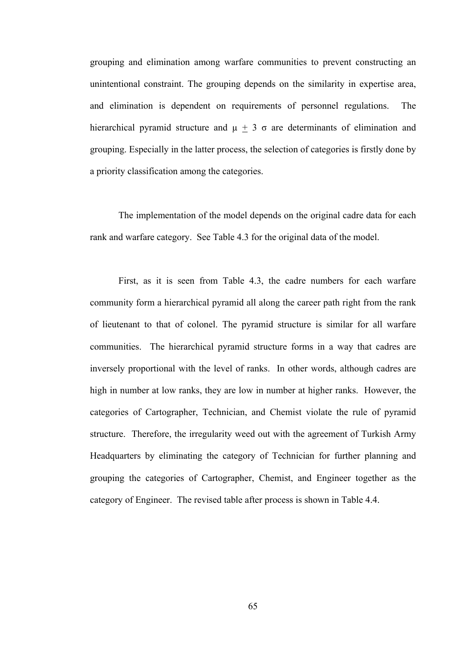grouping and elimination among warfare communities to prevent constructing an unintentional constraint. The grouping depends on the similarity in expertise area, and elimination is dependent on requirements of personnel regulations. The hierarchical pyramid structure and  $\mu + 3\sigma$  are determinants of elimination and grouping. Especially in the latter process, the selection of categories is firstly done by a priority classification among the categories.

The implementation of the model depends on the original cadre data for each rank and warfare category. See Table 4.3 for the original data of the model.

First, as it is seen from Table 4.3, the cadre numbers for each warfare community form a hierarchical pyramid all along the career path right from the rank of lieutenant to that of colonel. The pyramid structure is similar for all warfare communities. The hierarchical pyramid structure forms in a way that cadres are inversely proportional with the level of ranks. In other words, although cadres are high in number at low ranks, they are low in number at higher ranks. However, the categories of Cartographer, Technician, and Chemist violate the rule of pyramid structure. Therefore, the irregularity weed out with the agreement of Turkish Army Headquarters by eliminating the category of Technician for further planning and grouping the categories of Cartographer, Chemist, and Engineer together as the category of Engineer. The revised table after process is shown in Table 4.4.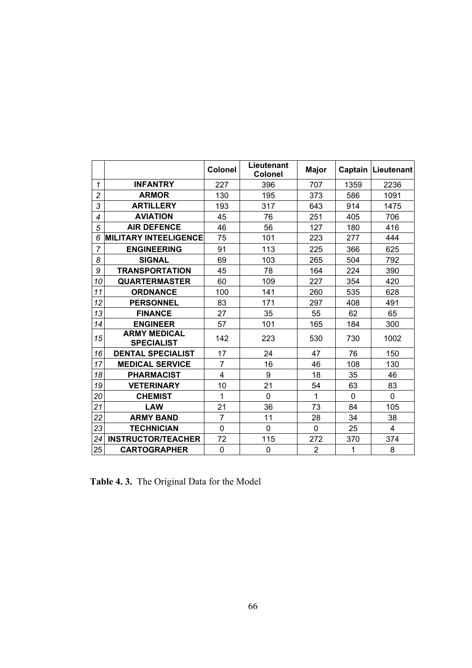|                |                                          | <b>Colonel</b> | Lieutenant<br><b>Colonel</b> | <b>Major</b>   | Captain      | Lieutenant     |
|----------------|------------------------------------------|----------------|------------------------------|----------------|--------------|----------------|
| 1              | <b>INFANTRY</b>                          | 227            | 396                          | 707            | 1359         | 2236           |
| $\overline{c}$ | <b>ARMOR</b>                             | 130            | 195                          | 373            | 586          | 1091           |
| 3              | <b>ARTILLERY</b>                         | 193            | 317                          | 643            | 914          | 1475           |
| 4              | <b>AVIATION</b>                          | 45             | 76                           | 251            | 405          | 706            |
| 5              | <b>AIR DEFENCE</b>                       | 46             | 56                           | 127            | 180          | 416            |
| 6              | <b>MILITARY INTEELIGENCE</b>             | 75             | 101                          | 223            | 277          | 444            |
| 7              | <b>ENGINEERING</b>                       | 91             | 113                          | 225            | 366          | 625            |
| 8              | <b>SIGNAL</b>                            | 69             | 103                          | 265            | 504          | 792            |
| 9              | <b>TRANSPORTATION</b>                    | 45             | 78                           | 164            | 224          | 390            |
| 10             | <b>QUARTERMASTER</b>                     | 60             | 109                          | 227            | 354          | 420            |
| 11             | <b>ORDNANCE</b>                          | 100            | 141                          | 260            | 535          | 628            |
| 12             | <b>PERSONNEL</b>                         | 83             | 171                          | 297            | 408          | 491            |
| 13             | <b>FINANCE</b>                           | 27             | 35                           | 55             | 62           | 65             |
| 14             | <b>ENGINEER</b>                          | 57             | 101                          | 165            | 184          | 300            |
| 15             | <b>ARMY MEDICAL</b><br><b>SPECIALIST</b> | 142            | 223                          | 530            | 730          | 1002           |
| 16             | <b>DENTAL SPECIALIST</b>                 | 17             | 24                           | 47             | 76           | 150            |
| 17             | <b>MEDICAL SERVICE</b>                   | $\overline{7}$ | 16                           | 46             | 108          | 130            |
| 18             | <b>PHARMACIST</b>                        | 4              | 9                            | 18             | 35           | 46             |
| 19             | <b>VETERINARY</b>                        | 10             | 21                           | 54             | 63           | 83             |
| 20             | <b>CHEMIST</b>                           | 1              | 0                            | 1              | $\mathbf{0}$ | 0              |
| 21             | <b>LAW</b>                               | 21             | 36                           | 73             | 84           | 105            |
| 22             | <b>ARMY BAND</b>                         | $\overline{7}$ | 11                           | 28             | 34           | 38             |
| 23             | <b>TECHNICIAN</b>                        | $\mathbf 0$    | 0                            | 0              | 25           | $\overline{4}$ |
| 24             | <b>INSTRUCTOR/TEACHER</b>                | 72             | 115                          | 272            | 370          | 374            |
| 25             | <b>CARTOGRAPHER</b>                      | $\mathbf 0$    | 0                            | $\overline{2}$ | 1            | 8              |

**Table 4. 3.** The Original Data for the Model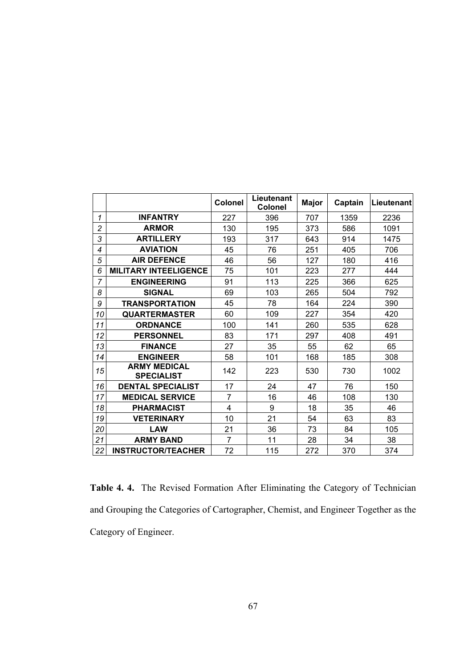|                |                                          | <b>Colonel</b> | Lieutenant<br><b>Colonel</b> | <b>Major</b> | Captain | Lieutenant |
|----------------|------------------------------------------|----------------|------------------------------|--------------|---------|------------|
| 1              | <b>INFANTRY</b>                          | 227            | 396                          | 707          | 1359    | 2236       |
| $\overline{c}$ | <b>ARMOR</b>                             | 130            | 195                          | 373          | 586     | 1091       |
| 3              | <b>ARTILLERY</b>                         | 193            | 317                          | 643          | 914     | 1475       |
| 4              | <b>AVIATION</b>                          | 45             | 76                           | 251          | 405     | 706        |
| 5              | <b>AIR DEFENCE</b>                       | 46             | 56                           | 127          | 180     | 416        |
| 6              | <b>MILITARY INTEELIGENCE</b>             | 75             | 101                          | 223          | 277     | 444        |
| $\overline{7}$ | <b>ENGINEERING</b>                       | 91             | 113                          | 225          | 366     | 625        |
| 8              | <b>SIGNAL</b>                            | 69             | 103                          | 265          | 504     | 792        |
| 9              | <b>TRANSPORTATION</b>                    | 45             | 78                           | 164          | 224     | 390        |
| 10             | <b>QUARTERMASTER</b>                     | 60             | 109                          | 227          | 354     | 420        |
| 11             | <b>ORDNANCE</b>                          | 100            | 141                          | 260          | 535     | 628        |
| 12             | <b>PERSONNEL</b>                         | 83             | 171                          | 297          | 408     | 491        |
| 13             | <b>FINANCE</b>                           | 27             | 35                           | 55           | 62      | 65         |
| 14             | <b>ENGINEER</b>                          | 58             | 101                          | 168          | 185     | 308        |
| 15             | <b>ARMY MEDICAL</b><br><b>SPECIALIST</b> | 142            | 223                          | 530          | 730     | 1002       |
| 16             | <b>DENTAL SPECIALIST</b>                 | 17             | 24                           | 47           | 76      | 150        |
| 17             | <b>MEDICAL SERVICE</b>                   | $\overline{7}$ | 16                           | 46           | 108     | 130        |
| 18             | <b>PHARMACIST</b>                        | 4              | 9                            | 18           | 35      | 46         |
| 19             | <b>VETERINARY</b>                        | 10             | 21                           | 54           | 63      | 83         |
| 20             | <b>LAW</b>                               | 21             | 36                           | 73           | 84      | 105        |
| 21             | <b>ARMY BAND</b>                         | $\overline{7}$ | 11                           | 28           | 34      | 38         |
| 22             | <b>INSTRUCTOR/TEACHER</b>                | 72             | 115                          | 272          | 370     | 374        |

**Table 4. 4.** The Revised Formation After Eliminating the Category of Technician and Grouping the Categories of Cartographer, Chemist, and Engineer Together as the Category of Engineer.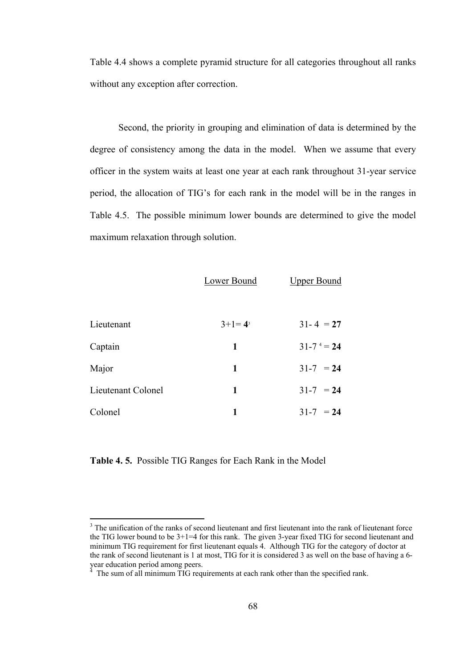Table 4.4 shows a complete pyramid structure for all categories throughout all ranks without any exception after correction.

Second, the priority in grouping and elimination of data is determined by the degree of consistency among the data in the model. When we assume that every officer in the system waits at least one year at each rank throughout 31-year service period, the allocation of TIG's for each rank in the model will be in the ranges in Table 4.5. The possible minimum lower bounds are determined to give the model maximum relaxation through solution.

|                    | Lower Bound | <b>Upper Bound</b> |
|--------------------|-------------|--------------------|
|                    |             |                    |
| Lieutenant         | $3+1=4^3$   | $31 - 4 = 27$      |
| Captain            | 1           | $31 - 7 = 24$      |
| Major              | 1           | $31-7 = 24$        |
| Lieutenant Colonel | 1           | $31-7 = 24$        |
| Colonel            | 1           | $31 - 7 = 24$      |

**Table 4. 5.** Possible TIG Ranges for Each Rank in the Model

 $\overline{a}$ 

<sup>&</sup>lt;sup>3</sup> The unification of the ranks of second lieutenant and first lieutenant into the rank of lieutenant force the TIG lower bound to be 3+1=4 for this rank. The given 3-year fixed TIG for second lieutenant and minimum TIG requirement for first lieutenant equals 4. Although TIG for the category of doctor at the rank of second lieutenant is 1 at most, TIG for it is considered 3 as well on the base of having a 6 year education period among peers. 4 The sum of all minimum TIG requirements at each rank other than the specified rank.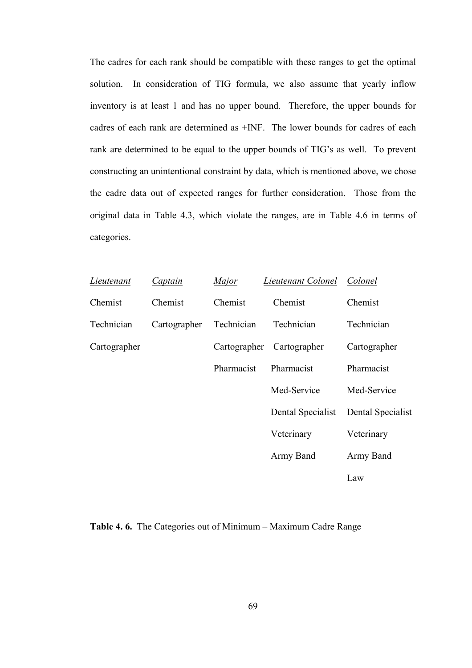The cadres for each rank should be compatible with these ranges to get the optimal solution. In consideration of TIG formula, we also assume that yearly inflow inventory is at least 1 and has no upper bound. Therefore, the upper bounds for cadres of each rank are determined as +INF. The lower bounds for cadres of each rank are determined to be equal to the upper bounds of TIG's as well. To prevent constructing an unintentional constraint by data, which is mentioned above, we chose the cadre data out of expected ranges for further consideration. Those from the original data in Table 4.3, which violate the ranges, are in Table 4.6 in terms of categories.

| Lieutenant   | Captain      | Major        | Lieutenant Colonel | Colonel           |
|--------------|--------------|--------------|--------------------|-------------------|
| Chemist      | Chemist      | Chemist      | Chemist            | Chemist           |
| Technician   | Cartographer | Technician   | Technician         | Technician        |
| Cartographer |              | Cartographer | Cartographer       | Cartographer      |
|              |              | Pharmacist   | Pharmacist         | Pharmacist        |
|              |              |              | Med-Service        | Med-Service       |
|              |              |              | Dental Specialist  | Dental Specialist |
|              |              |              | Veterinary         | Veterinary        |
|              |              |              | Army Band          | Army Band         |
|              |              |              |                    | Law               |

**Table 4. 6.** The Categories out of Minimum – Maximum Cadre Range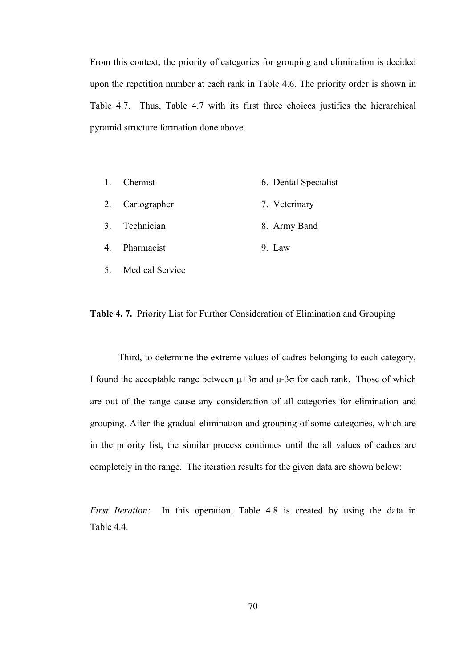From this context, the priority of categories for grouping and elimination is decided upon the repetition number at each rank in Table 4.6. The priority order is shown in Table 4.7. Thus, Table 4.7 with its first three choices justifies the hierarchical pyramid structure formation done above.

- 1. Chemist 6. Dental Specialist
- 2. Cartographer 7. Veterinary
- 3. Technician 8. Army Band
- 4. Pharmacist 9. Law
- 5. Medical Service

### **Table 4. 7.** Priority List for Further Consideration of Elimination and Grouping

Third, to determine the extreme values of cadres belonging to each category, I found the acceptable range between  $\mu$ +3 $\sigma$  and  $\mu$ -3 $\sigma$  for each rank. Those of which are out of the range cause any consideration of all categories for elimination and grouping. After the gradual elimination and grouping of some categories, which are in the priority list, the similar process continues until the all values of cadres are completely in the range. The iteration results for the given data are shown below:

*First Iteration:* In this operation, Table 4.8 is created by using the data in Table 44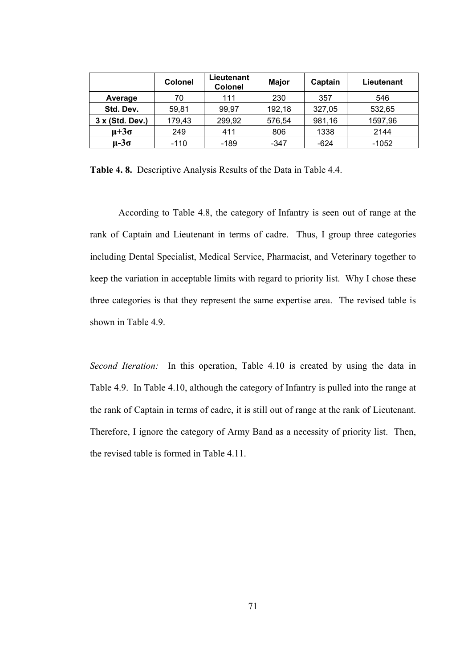|                 | <b>Colonel</b> | Lieutenant<br><b>Colonel</b> | <b>Major</b> | Captain | Lieutenant |
|-----------------|----------------|------------------------------|--------------|---------|------------|
| Average         | 70             | 111                          | 230          | 357     | 546        |
| Std. Dev.       | 59,81          | 99,97                        | 192,18       | 327,05  | 532,65     |
| 3 x (Std. Dev.) | 179,43         | 299,92                       | 576,54       | 981,16  | 1597,96    |
| $\mu + 3\sigma$ | 249            | 411                          | 806          | 1338    | 2144       |
| $\mu - 3\sigma$ | $-110$         | -189                         | -347         | $-624$  | $-1052$    |

**Table 4. 8.** Descriptive Analysis Results of the Data in Table 4.4.

According to Table 4.8, the category of Infantry is seen out of range at the rank of Captain and Lieutenant in terms of cadre. Thus, I group three categories including Dental Specialist, Medical Service, Pharmacist, and Veterinary together to keep the variation in acceptable limits with regard to priority list. Why I chose these three categories is that they represent the same expertise area. The revised table is shown in Table 4.9.

*Second Iteration:* In this operation, Table 4.10 is created by using the data in Table 4.9. In Table 4.10, although the category of Infantry is pulled into the range at the rank of Captain in terms of cadre, it is still out of range at the rank of Lieutenant. Therefore, I ignore the category of Army Band as a necessity of priority list. Then, the revised table is formed in Table 4.11.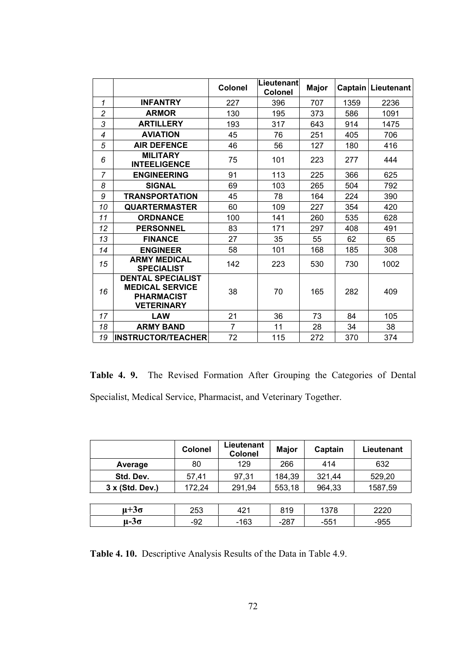|                |                                                                                              | Colonel        | Lieutenant<br>Colonel | <b>Major</b> | Captain | Lieutenant |
|----------------|----------------------------------------------------------------------------------------------|----------------|-----------------------|--------------|---------|------------|
| 1              | <b>INFANTRY</b>                                                                              | 227            | 396                   | 707          | 1359    | 2236       |
| $\overline{c}$ | <b>ARMOR</b>                                                                                 | 130            | 195                   | 373          | 586     | 1091       |
| 3              | <b>ARTILLERY</b>                                                                             | 193            | 317                   | 643          | 914     | 1475       |
| 4              | <b>AVIATION</b>                                                                              | 45             | 76                    | 251          | 405     | 706        |
| 5              | <b>AIR DEFENCE</b>                                                                           | 46             | 56                    | 127          | 180     | 416        |
| 6              | <b>MILITARY</b><br><b>INTEELIGENCE</b>                                                       | 75             | 101                   | 223          | 277     | 444        |
| $\overline{7}$ | <b>ENGINEERING</b>                                                                           | 91             | 113                   | 225          | 366     | 625        |
| 8              | <b>SIGNAL</b>                                                                                | 69             | 103                   | 265          | 504     | 792        |
| 9              | <b>TRANSPORTATION</b>                                                                        | 45             | 78                    | 164          | 224     | 390        |
| 10             | <b>QUARTERMASTER</b>                                                                         | 60             | 109                   | 227          | 354     | 420        |
| 11             | <b>ORDNANCE</b>                                                                              | 100            | 141                   | 260          | 535     | 628        |
| 12             | <b>PERSONNEL</b>                                                                             | 83             | 171                   | 297          | 408     | 491        |
| 13             | <b>FINANCE</b>                                                                               | 27             | 35                    | 55           | 62      | 65         |
| 14             | <b>ENGINEER</b>                                                                              | 58             | 101                   | 168          | 185     | 308        |
| 15             | <b>ARMY MEDICAL</b><br><b>SPECIALIST</b>                                                     | 142            | 223                   | 530          | 730     | 1002       |
| 16             | <b>DENTAL SPECIALIST</b><br><b>MEDICAL SERVICE</b><br><b>PHARMACIST</b><br><b>VETERINARY</b> | 38             | 70                    | 165          | 282     | 409        |
| 17             | <b>LAW</b>                                                                                   | 21             | 36                    | 73           | 84      | 105        |
| 18             | <b>ARMY BAND</b>                                                                             | $\overline{7}$ | 11                    | 28           | 34      | 38         |
| 19             | <b>INSTRUCTOR/TEACHER</b>                                                                    | 72             | 115                   | 272          | 370     | 374        |

**Table 4. 9.** The Revised Formation After Grouping the Categories of Dental Specialist, Medical Service, Pharmacist, and Veterinary Together.

|                 | Colonel | Lieutenant<br><b>Colonel</b> | <b>Major</b> | Captain | Lieutenant |  |
|-----------------|---------|------------------------------|--------------|---------|------------|--|
| Average         | 80      | 129                          | 266          | 414     | 632        |  |
| Std. Dev.       | 57,41   | 97,31                        | 184,39       | 321,44  | 529,20     |  |
| 3 x (Std. Dev.) | 172,24  | 291,94                       | 553,18       | 964,33  | 1587,59    |  |
|                 |         |                              |              |         |            |  |
| $\mu + 3\sigma$ | 253     | 421                          | 819          | 1378    | 2220       |  |
| $\mu - 3\sigma$ | -92     | $-163$                       | -287         | $-551$  | $-955$     |  |

**Table 4. 10.** Descriptive Analysis Results of the Data in Table 4.9.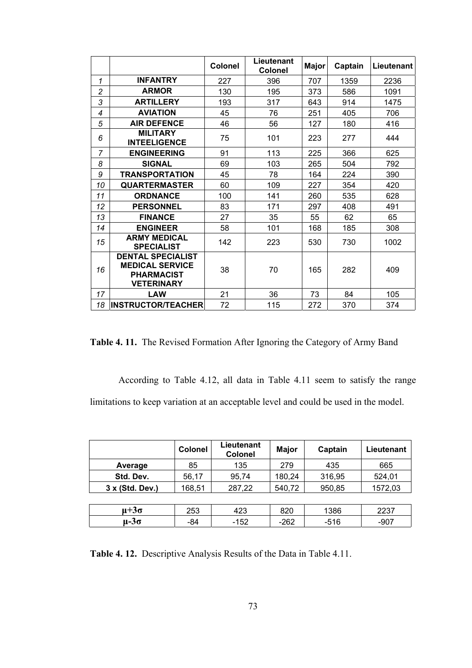|                |                                                                                              | <b>Colonel</b> | Lieutenant<br><b>Colonel</b> | <b>Major</b> | Captain | Lieutenant |
|----------------|----------------------------------------------------------------------------------------------|----------------|------------------------------|--------------|---------|------------|
| 1              | <b>INFANTRY</b>                                                                              | 227            | 396                          | 707          | 1359    | 2236       |
| $\overline{c}$ | <b>ARMOR</b>                                                                                 | 130            | 195                          | 373          | 586     | 1091       |
| 3              | <b>ARTILLERY</b>                                                                             | 193            | 317                          | 643          | 914     | 1475       |
| 4              | <b>AVIATION</b>                                                                              | 45             | 76                           | 251          | 405     | 706        |
| 5              | <b>AIR DEFENCE</b>                                                                           | 46             | 56                           | 127          | 180     | 416        |
| 6              | <b>MILITARY</b><br><b>INTEELIGENCE</b>                                                       | 75             | 101                          | 223          | 277     | 444        |
| $\overline{7}$ | <b>ENGINEERING</b>                                                                           | 91             | 113                          | 225          | 366     | 625        |
| 8              | <b>SIGNAL</b>                                                                                | 69             | 103                          | 265          | 504     | 792        |
| 9              | <b>TRANSPORTATION</b>                                                                        | 45             | 78                           | 164          | 224     | 390        |
| 10             | <b>QUARTERMASTER</b>                                                                         | 60             | 109                          | 227          | 354     | 420        |
| 11             | <b>ORDNANCE</b>                                                                              | 100            | 141                          | 260          | 535     | 628        |
| 12             | <b>PERSONNEL</b>                                                                             | 83             | 171                          | 297          | 408     | 491        |
| 13             | <b>FINANCE</b>                                                                               | 27             | 35                           | 55           | 62      | 65         |
| 14             | <b>ENGINEER</b>                                                                              | 58             | 101                          | 168          | 185     | 308        |
| 15             | <b>ARMY MEDICAL</b><br><b>SPECIALIST</b>                                                     | 142            | 223                          | 530          | 730     | 1002       |
| 16             | <b>DENTAL SPECIALIST</b><br><b>MEDICAL SERVICE</b><br><b>PHARMACIST</b><br><b>VETERINARY</b> | 38             | 70                           | 165          | 282     | 409        |
| 17             | <b>LAW</b>                                                                                   | 21             | 36                           | 73           | 84      | 105        |
| 18             | <b>INSTRUCTOR/TEACHER</b>                                                                    | 72             | 115                          | 272          | 370     | 374        |

**Table 4. 11.** The Revised Formation After Ignoring the Category of Army Band

According to Table 4.12, all data in Table 4.11 seem to satisfy the range limitations to keep variation at an acceptable level and could be used in the model.

|                 | <b>Colonel</b> | Lieutenant<br><b>Colonel</b> | <b>Major</b> | Captain | Lieutenant |
|-----------------|----------------|------------------------------|--------------|---------|------------|
| Average         | 85             | 135                          | 279          | 435     | 665        |
| Std. Dev.       | 56,17          | 95,74                        | 180,24       | 316,95  | 524,01     |
| 3 x (Std. Dev.) | 168,51         | 287,22                       | 540,72       | 950,85  | 1572,03    |
|                 |                |                              |              |         |            |
| $\mu + 3\sigma$ | 253            | 423                          | 820          | 1386    | 2237       |
| $\mu - 3\sigma$ | -84            | -152                         | $-262$       | $-516$  | $-907$     |

**Table 4. 12.** Descriptive Analysis Results of the Data in Table 4.11.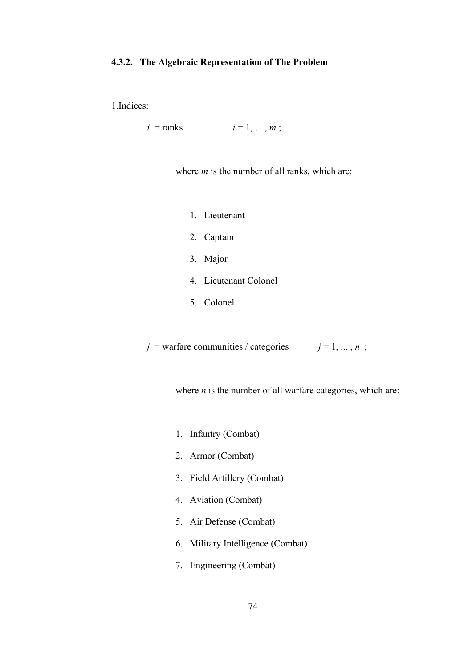### **4.3.2. The Algebraic Representation of The Problem**

1.Indices:

 $i = \text{ranks}$   $i = 1, ..., m;$ 

where *m* is the number of all ranks, which are:

- 1. Lieutenant
- 2. Captain
- 3. Major
- 4. Lieutenant Colonel
- 5. Colonel

 $j =$  warfare communities / categories  $j = 1, ..., n$ ;

where *n* is the number of all warfare categories, which are:

- 1. Infantry (Combat)
- 2. Armor (Combat)
- 3. Field Artillery (Combat)
- 4. Aviation (Combat)
- 5. Air Defense (Combat)
- 6. Military Intelligence (Combat)
- 7. Engineering (Combat)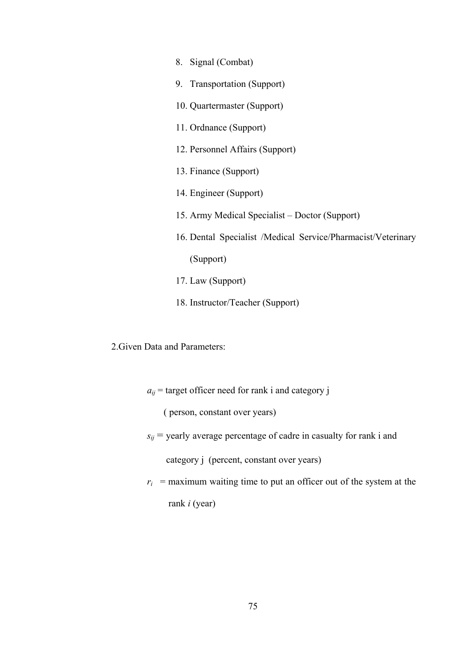- 8. Signal (Combat) 9. Transportation (Support) 10. Quartermaster (Support) 11. Ordnance (Support) 12. Personnel Affairs (Support) 13. Finance (Support) 14. Engineer (Support) 15. Army Medical Specialist – Doctor (Support) 16. Dental Specialist /Medical Service/Pharmacist/Veterinary (Support) 17. Law (Support) 18. Instructor/Teacher (Support)
- 2.Given Data and Parameters:
	- $a_{ij}$  = target officer need for rank i and category j

( person, constant over years)

 $s_{ij}$  = yearly average percentage of cadre in casualty for rank i and

category *j* (percent, constant over years)

 $r_i$  = maximum waiting time to put an officer out of the system at the rank *i* (year)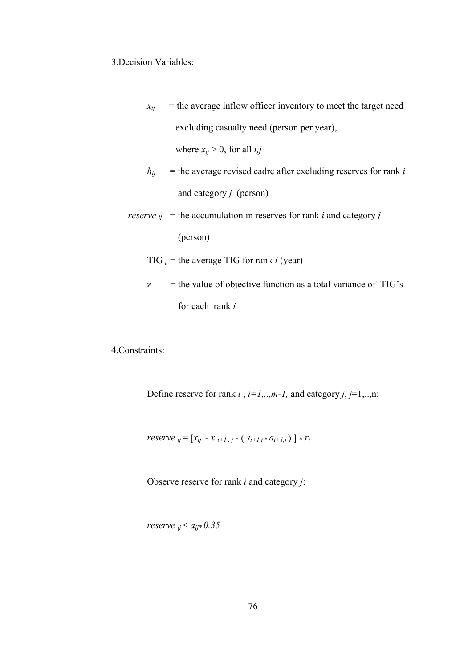## 3.Decision Variables:

 $x_{ij}$  = the average inflow officer inventory to meet the target need excluding casualty need (person per year),

where  $x_{ij} \geq 0$ , for all *i*,*j* 

 $h_{ij}$  = the average revised cadre after excluding reserves for rank *i* and category *j* (person)

*reserve*  $_{ij}$  = the accumulation in reserves for rank *i* and category *j* 

(person)

 $\overline{TIG}_i$  = the average TIG for rank *i* (year)

 $z =$  the value of objective function as a total variance of TIG's for each rank *i*

4.Constraints:

Define reserve for rank  $i$ ,  $i=1,...,m-1$ , and category  $j$ ,  $j=1,...,n$ :

*reserve*  $_{ij} = [x_{ij} - x_{i+1,j} - (s_{i+1,j} * a_{i+1,j})] * r_i$ 

Observe reserve for rank *i* and category *j*:

*reserve*  $_{ii} \le a_{ii} * 0.35$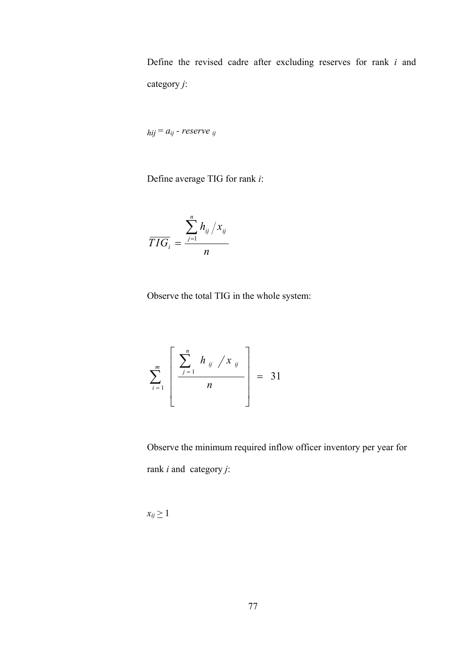Define the revised cadre after excluding reserves for rank *i* and category *j*:

 $hij = a_{ij}$  *- reserve*  $ij$ 

Define average TIG for rank *i*:

$$
\overline{TIG}_i = \frac{\sum_{j=1}^n h_{ij}/x_{ij}}{n}
$$

Observe the total TIG in the whole system:

$$
\sum_{i=1}^{m} \left[ \frac{\sum_{j=1}^{n} h_{ij} / x_{ij}}{n} \right] = 31
$$

Observe the minimum required inflow officer inventory per year for rank *i* and category *j*:

 $x_{ij} \geq 1$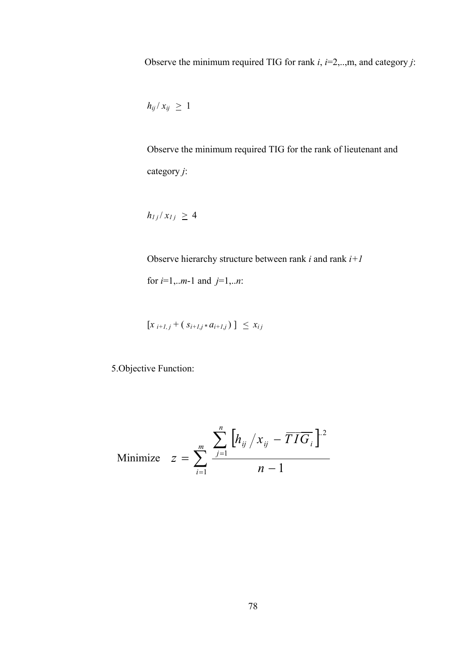Observe the minimum required TIG for rank *i*, *i*=2,..,m, and category *j*:

$$
h_{ij}/x_{ij} \geq 1
$$

Observe the minimum required TIG for the rank of lieutenant and category *j*:

$$
h_{1j}/x_{1j}\,\geq\,4
$$

Observe hierarchy structure between rank *i* and rank *i+1* for *i*=1,..*m*-1 and *j*=1,..*n*:

$$
[x_{i+1,j}+(s_{i+1,j} * a_{i+1,j})] \leq x_{ij}
$$

5.Objective Function:

$$
\text{Minimize} \quad z = \sum_{i=1}^{m} \frac{\sum_{j=1}^{n} \left[ h_{ij} / x_{ij} - \overline{TIG}_i \right]^{2}}{n-1}
$$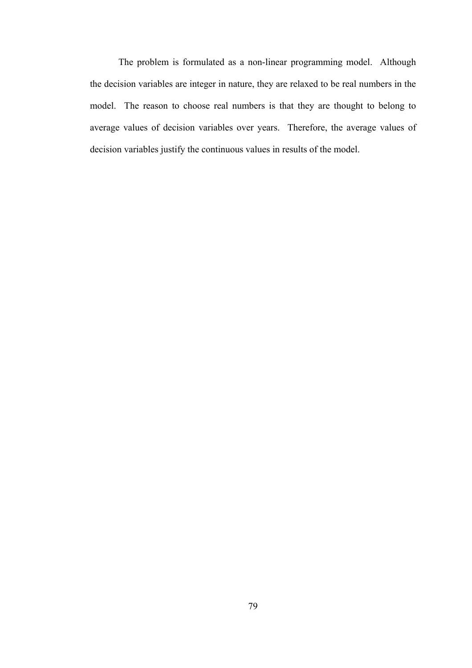The problem is formulated as a non-linear programming model. Although the decision variables are integer in nature, they are relaxed to be real numbers in the model. The reason to choose real numbers is that they are thought to belong to average values of decision variables over years. Therefore, the average values of decision variables justify the continuous values in results of the model.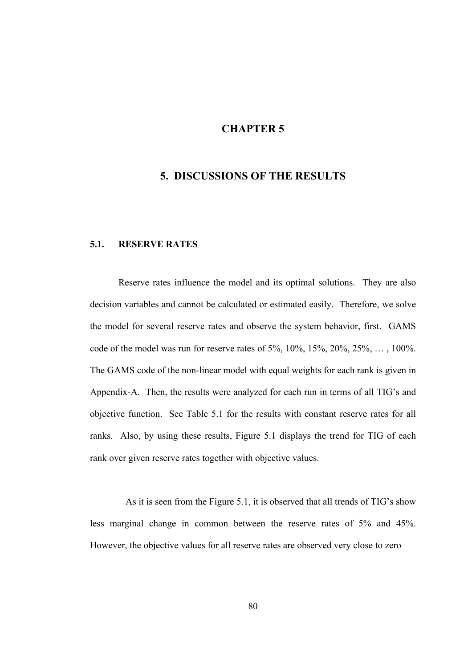# **CHAPTER 5**

## **5. DISCUSSIONS OF THE RESULTS**

## **5.1. RESERVE RATES**

Reserve rates influence the model and its optimal solutions. They are also decision variables and cannot be calculated or estimated easily. Therefore, we solve the model for several reserve rates and observe the system behavior, first. GAMS code of the model was run for reserve rates of 5%, 10%, 15%, 20%, 25%, … , 100%. The GAMS code of the non-linear model with equal weights for each rank is given in Appendix-A. Then, the results were analyzed for each run in terms of all TIG's and objective function. See Table 5.1 for the results with constant reserve rates for all ranks. Also, by using these results, Figure 5.1 displays the trend for TIG of each rank over given reserve rates together with objective values.

As it is seen from the Figure 5.1, it is observed that all trends of TIG's show less marginal change in common between the reserve rates of 5% and 45%. However, the objective values for all reserve rates are observed very close to zero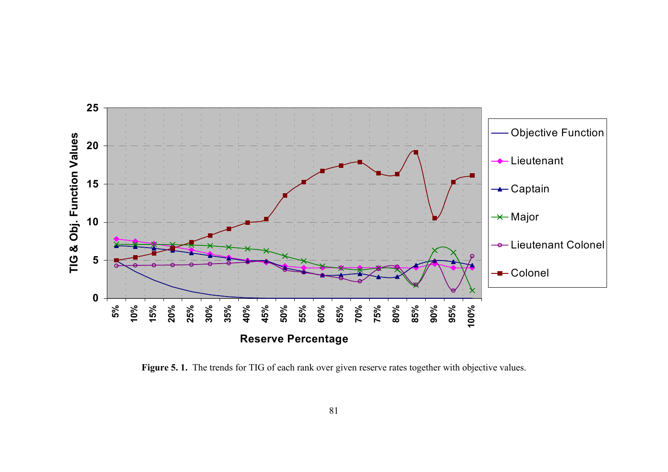

Figure 5. 1. The trends for TIG of each rank over given reserve rates together with objective values.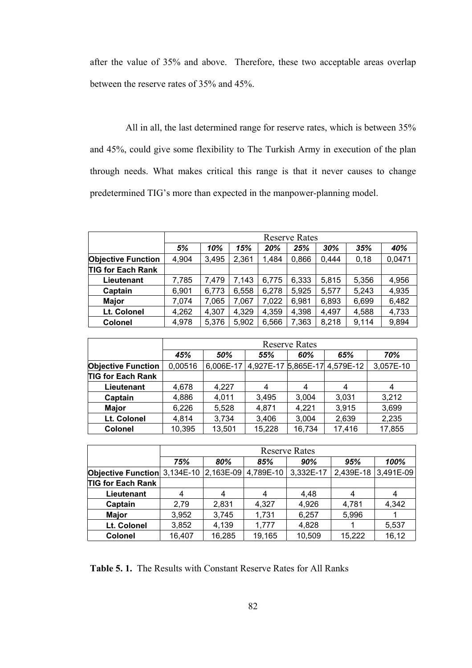after the value of 35% and above. Therefore, these two acceptable areas overlap between the reserve rates of 35% and 45%.

All in all, the last determined range for reserve rates, which is between 35% and 45%, could give some flexibility to The Turkish Army in execution of the plan through needs. What makes critical this range is that it never causes to change predetermined TIG's more than expected in the manpower-planning model.

|                           |       | <b>Reserve Rates</b> |       |       |       |       |       |        |
|---------------------------|-------|----------------------|-------|-------|-------|-------|-------|--------|
|                           | 5%    | 10%                  | 15%   | 20%   | 25%   | 30%   | 35%   | 40%    |
| <b>Objective Function</b> | 4,904 | 3,495                | 2,361 | 1,484 | 0,866 | 0.444 | 0,18  | 0,0471 |
| <b>TIG for Each Rank</b>  |       |                      |       |       |       |       |       |        |
| Lieutenant                | 7,785 | 7,479                | 7,143 | 6,775 | 6,333 | 5,815 | 5,356 | 4,956  |
| Captain                   | 6,901 | 6,773                | 6,558 | 6,278 | 5,925 | 5,577 | 5,243 | 4,935  |
| <b>Major</b>              | 7,074 | 7,065                | 7,067 | 7,022 | 6,981 | 6,893 | 6,699 | 6,482  |
| Lt. Colonel               | 4,262 | 4,307                | 4,329 | 4,359 | 4,398 | 4,497 | 4,588 | 4,733  |
| Colonel                   | 4,978 | 5,376                | 5,902 | 6,566 | 7,363 | 8,218 | 9,114 | 9,894  |

|                           | <b>Reserve Rates</b> |           |        |        |                               |           |  |  |
|---------------------------|----------------------|-----------|--------|--------|-------------------------------|-----------|--|--|
|                           | 45%                  | 50%       | 55%    | 60%    | 65%                           | 70%       |  |  |
| <b>Objective Function</b> | 0,00516              | 6,006E-17 |        |        | 4,927E-17 5,865E-17 4,579E-12 | 3,057E-10 |  |  |
| <b>TIG for Each Rank</b>  |                      |           |        |        |                               |           |  |  |
| Lieutenant                | 4,678                | 4,227     | 4      | 4      | 4                             |           |  |  |
| Captain                   | 4,886                | 4,011     | 3,495  | 3,004  | 3,031                         | 3,212     |  |  |
| <b>Major</b>              | 6,226                | 5,528     | 4,871  | 4,221  | 3,915                         | 3,699     |  |  |
| Lt. Colonel               | 4,814                | 3,734     | 3,406  | 3,004  | 2,639                         | 2,235     |  |  |
| <b>Colonel</b>            | 10,395               | 13,501    | 15,228 | 16,734 | 17,416                        | 17,855    |  |  |

|                                               | <b>Reserve Rates</b> |        |           |           |           |           |  |  |
|-----------------------------------------------|----------------------|--------|-----------|-----------|-----------|-----------|--|--|
|                                               | 75%                  | 80%    | 85%       | 90%       | 95%       | 100%      |  |  |
| <b>Objective Function</b> 3,134E-10 2,163E-09 |                      |        | 4,789E-10 | 3,332E-17 | 2,439E-18 | 3,491E-09 |  |  |
| <b>TIG for Each Rank</b>                      |                      |        |           |           |           |           |  |  |
| Lieutenant                                    | 4                    | 4      | 4         | 4,48      | 4         | 4         |  |  |
| Captain                                       | 2,79                 | 2,831  | 4,327     | 4,926     | 4,781     | 4,342     |  |  |
| <b>Major</b>                                  | 3,952                | 3,745  | 1,731     | 6,257     | 5,996     |           |  |  |
| Lt. Colonel                                   | 3,852                | 4,139  | 1,777     | 4,828     |           | 5,537     |  |  |
| <b>Colonel</b>                                | 16,407               | 16,285 | 19,165    | 10,509    | 15,222    | 16,12     |  |  |

**Table 5. 1.** The Results with Constant Reserve Rates for All Ranks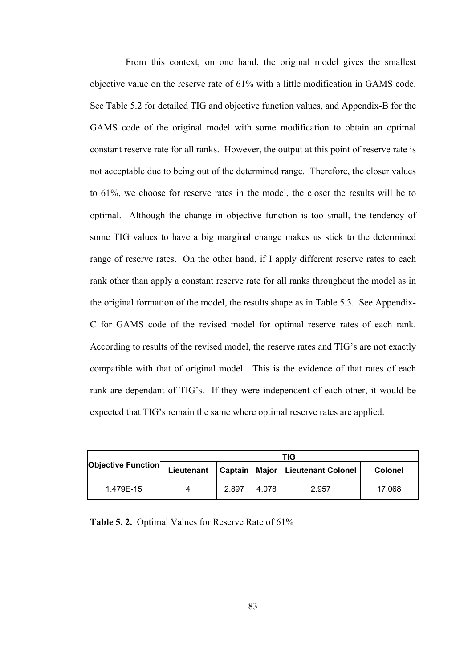From this context, on one hand, the original model gives the smallest objective value on the reserve rate of 61% with a little modification in GAMS code. See Table 5.2 for detailed TIG and objective function values, and Appendix-B for the GAMS code of the original model with some modification to obtain an optimal constant reserve rate for all ranks. However, the output at this point of reserve rate is not acceptable due to being out of the determined range. Therefore, the closer values to 61%, we choose for reserve rates in the model, the closer the results will be to optimal. Although the change in objective function is too small, the tendency of some TIG values to have a big marginal change makes us stick to the determined range of reserve rates. On the other hand, if I apply different reserve rates to each rank other than apply a constant reserve rate for all ranks throughout the model as in the original formation of the model, the results shape as in Table 5.3. See Appendix-C for GAMS code of the revised model for optimal reserve rates of each rank. According to results of the revised model, the reserve rates and TIG's are not exactly compatible with that of original model. This is the evidence of that rates of each rank are dependant of TIG's. If they were independent of each other, it would be expected that TIG's remain the same where optimal reserve rates are applied.

| Objective Function | TIG        |       |       |                                      |                |  |
|--------------------|------------|-------|-------|--------------------------------------|----------------|--|
|                    | Lieutenant |       |       | Captain   Major   Lieutenant Colonel | <b>Colonel</b> |  |
| 1.479E-15          | 4          | 2.897 | 4.078 | 2.957                                | 17.068         |  |

**Table 5. 2.** Optimal Values for Reserve Rate of 61%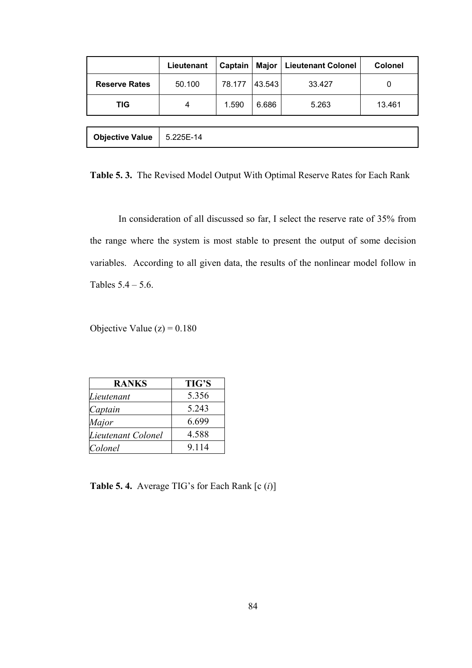|                        | Lieutenant | Captain | Major  | <b>Lieutenant Colonel</b> | <b>Colonel</b> |
|------------------------|------------|---------|--------|---------------------------|----------------|
| <b>Reserve Rates</b>   | 50.100     | 78.177  | 43.543 | 33.427                    | 0              |
| TIG                    | 4          | 1.590   | 6.686  | 5.263                     | 13.461         |
|                        |            |         |        |                           |                |
| <b>Objective Value</b> | 5.225E-14  |         |        |                           |                |

**Table 5. 3.** The Revised Model Output With Optimal Reserve Rates for Each Rank

In consideration of all discussed so far, I select the reserve rate of 35% from the range where the system is most stable to present the output of some decision variables. According to all given data, the results of the nonlinear model follow in Tables  $5.4 - 5.6$ .

Objective Value  $(z) = 0.180$ 

| <b>RANKS</b>       | <b>TIG'S</b> |
|--------------------|--------------|
| Lieutenant         | 5.356        |
| Captain            | 5.243        |
| Major              | 6.699        |
| Lieutenant Colonel | 4.588        |
| Colonel            | 9.114        |

**Table 5. 4.** Average TIG's for Each Rank  $[c (i)]$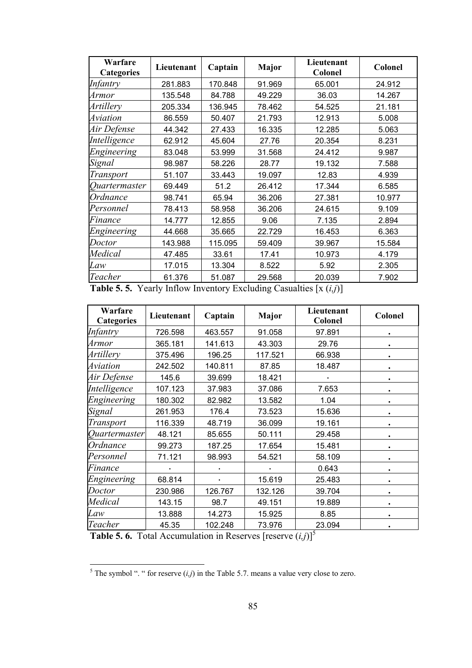| Warfare<br><b>Categories</b> | Lieutenant | Captain | <b>Major</b> | Lieutenant<br>Colonel | <b>Colonel</b> |
|------------------------------|------------|---------|--------------|-----------------------|----------------|
| Infantry                     | 281.883    | 170.848 | 91.969       | 65.001                | 24.912         |
| Armor                        | 135.548    | 84.788  | 49.229       | 36.03                 | 14.267         |
| Artillery                    | 205.334    | 136.945 | 78.462       | 54.525                | 21.181         |
| <i><b>Aviation</b></i>       | 86.559     | 50.407  | 21.793       | 12.913                | 5.008          |
| Air Defense                  | 44.342     | 27.433  | 16.335       | 12.285                | 5.063          |
| Intelligence                 | 62.912     | 45.604  | 27.76        | 20.354                | 8.231          |
| Engineering                  | 83.048     | 53.999  | 31.568       | 24.412                | 9.987          |
| Signal                       | 98.987     | 58.226  | 28.77        | 19.132                | 7.588          |
| Transport                    | 51.107     | 33.443  | 19.097       | 12.83                 | 4.939          |
| Quartermaster                | 69.449     | 51.2    | 26.412       | 17.344                | 6.585          |
| Ordnance                     | 98.741     | 65.94   | 36.206       | 27.381                | 10.977         |
| Personnel                    | 78.413     | 58.958  | 36.206       | 24.615                | 9.109          |
| Finance                      | 14.777     | 12.855  | 9.06         | 7.135                 | 2.894          |
| Engineering                  | 44.668     | 35.665  | 22.729       | 16.453                | 6.363          |
| Doctor                       | 143.988    | 115.095 | 59.409       | 39.967                | 15.584         |
| Medical                      | 47.485     | 33.61   | 17.41        | 10.973                | 4.179          |
| Law                          | 17.015     | 13.304  | 8.522        | 5.92                  | 2.305          |
| Teacher                      | 61.376     | 51.087  | 29.568       | 20.039                | 7.902          |

**Table 5. 5.** Yearly Inflow Inventory Excluding Casualties [x (*i,j*)]

| Warfare<br><b>Categories</b> | Lieutenant | Captain | Major   | Lieutenant<br>Colonel | Colonel   |
|------------------------------|------------|---------|---------|-----------------------|-----------|
| <b>Infantry</b>              | 726.598    | 463.557 | 91.058  | 97.891                |           |
| Armor                        | 365.181    | 141.613 | 43.303  | 29.76                 |           |
| Artillery                    | 375.496    | 196.25  | 117.521 | 66.938                |           |
| Aviation                     | 242.502    | 140.811 | 87.85   | 18.487                |           |
| Air Defense                  | 145.6      | 39.699  | 18.421  |                       | $\bullet$ |
| Intelligence                 | 107.123    | 37.983  | 37.086  | 7.653                 | $\bullet$ |
| Engineering                  | 180.302    | 82.982  | 13.582  | 1.04                  | $\bullet$ |
| Signal                       | 261.953    | 176.4   | 73.523  | 15.636                |           |
| <b>Transport</b>             | 116.339    | 48.719  | 36.099  | 19.161                |           |
| Quartermaster                | 48.121     | 85.655  | 50.111  | 29.458                |           |
| Ordnance                     | 99.273     | 187.25  | 17.654  | 15.481                |           |
| Personnel                    | 71.121     | 98.993  | 54.521  | 58.109                |           |
| Finance                      |            |         |         | 0.643                 | ٠         |
| Engineering                  | 68.814     |         | 15.619  | 25.483                | ٠         |
| Doctor                       | 230.986    | 126.767 | 132.126 | 39.704                |           |
| Medical                      | 143.15     | 98.7    | 49.151  | 19.889                |           |
| Law                          | 13.888     | 14.273  | 15.925  | 8.85                  |           |
| Teacher                      | 45.35      | 102.248 | 73.976  | 23.094                |           |

**Table 5. 6.** Total Accumulation in Reserves [reserve  $(i,j)$ ]<sup>5</sup>

 $\frac{5}{10}$  The symbol ". " for reserve  $(i,j)$  in the Table 5.7. means a value very close to zero.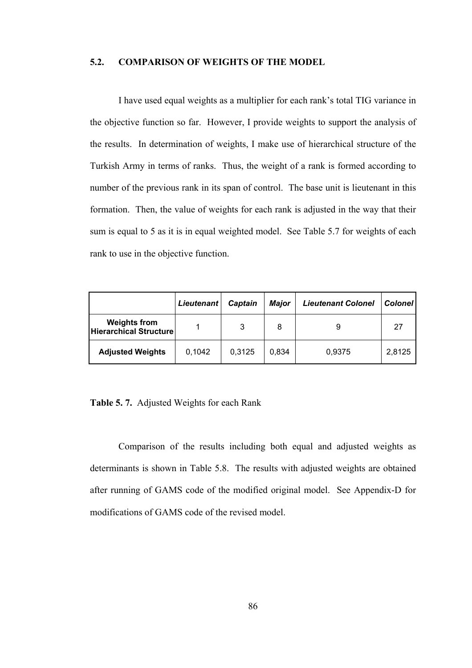#### **5.2. COMPARISON OF WEIGHTS OF THE MODEL**

I have used equal weights as a multiplier for each rank's total TIG variance in the objective function so far. However, I provide weights to support the analysis of the results. In determination of weights, I make use of hierarchical structure of the Turkish Army in terms of ranks. Thus, the weight of a rank is formed according to number of the previous rank in its span of control. The base unit is lieutenant in this formation. Then, the value of weights for each rank is adjusted in the way that their sum is equal to 5 as it is in equal weighted model. See Table 5.7 for weights of each rank to use in the objective function.

|                                               | <b>Lieutenant</b> | Captain | Major | <b>Lieutenant Colonel</b> | <b>Colonel</b> |
|-----------------------------------------------|-------------------|---------|-------|---------------------------|----------------|
| <b>Weights from</b><br>Hierarchical Structure |                   | 3       | 8     | 9                         | 27             |
| <b>Adjusted Weights</b>                       | 0.1042            | 0,3125  | 0.834 | 0,9375                    | 2,8125         |

**Table 5. 7.** Adjusted Weights for each Rank

Comparison of the results including both equal and adjusted weights as determinants is shown in Table 5.8. The results with adjusted weights are obtained after running of GAMS code of the modified original model. See Appendix-D for modifications of GAMS code of the revised model.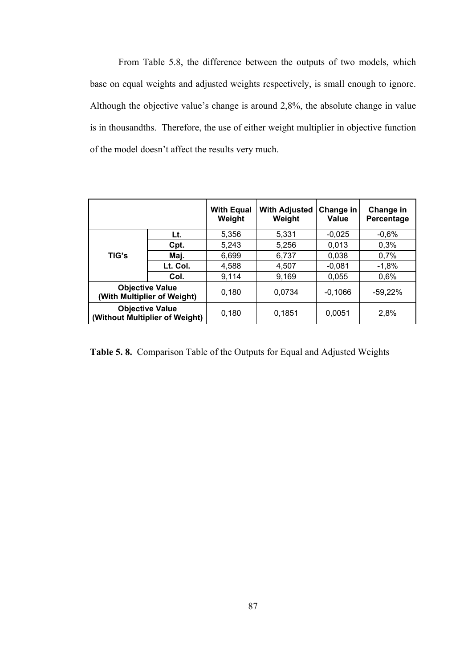From Table 5.8, the difference between the outputs of two models, which base on equal weights and adjusted weights respectively, is small enough to ignore. Although the objective value's change is around 2,8%, the absolute change in value is in thousandths. Therefore, the use of either weight multiplier in objective function of the model doesn't affect the results very much.

|       |                                                          | <b>With Equal</b><br>Weight | <b>With Adjusted</b><br>Weight | Change in<br>Value | Change in<br>Percentage |
|-------|----------------------------------------------------------|-----------------------------|--------------------------------|--------------------|-------------------------|
|       | Lt.                                                      | 5,356                       | 5,331                          | $-0,025$           | $-0,6%$                 |
| TIG's | Cpt.                                                     | 5,243                       | 5,256                          | 0,013              | 0.3%                    |
|       | Maj.                                                     | 6,699                       | 6,737                          | 0,038              | 0,7%                    |
|       | Lt. Col.                                                 | 4,588                       | 4,507                          | $-0,081$           | $-1,8%$                 |
|       | Col.                                                     | 9,114                       | 9,169                          | 0,055              | 0,6%                    |
|       | <b>Objective Value</b><br>(With Multiplier of Weight)    | 0,180                       | 0,0734                         | $-0,1066$          | $-59,22\%$              |
|       | <b>Objective Value</b><br>(Without Multiplier of Weight) | 0,180                       | 0,1851                         | 0,0051             | 2,8%                    |

**Table 5. 8.** Comparison Table of the Outputs for Equal and Adjusted Weights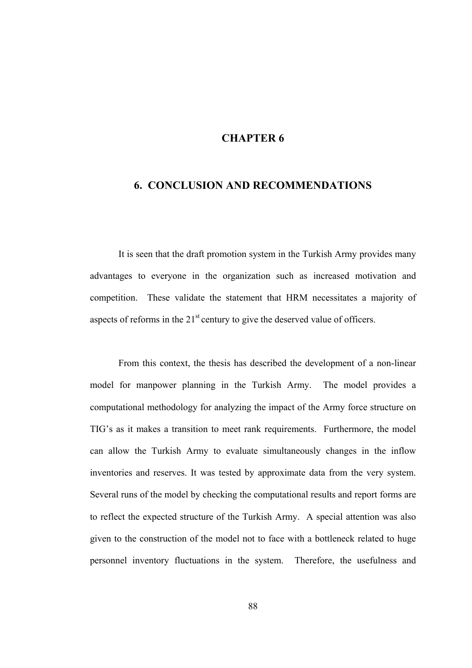## **CHAPTER 6**

## **6. CONCLUSION AND RECOMMENDATIONS**

It is seen that the draft promotion system in the Turkish Army provides many advantages to everyone in the organization such as increased motivation and competition. These validate the statement that HRM necessitates a majority of aspects of reforms in the  $21<sup>st</sup>$  century to give the deserved value of officers.

From this context, the thesis has described the development of a non-linear model for manpower planning in the Turkish Army. The model provides a computational methodology for analyzing the impact of the Army force structure on TIG's as it makes a transition to meet rank requirements. Furthermore, the model can allow the Turkish Army to evaluate simultaneously changes in the inflow inventories and reserves. It was tested by approximate data from the very system. Several runs of the model by checking the computational results and report forms are to reflect the expected structure of the Turkish Army. A special attention was also given to the construction of the model not to face with a bottleneck related to huge personnel inventory fluctuations in the system. Therefore, the usefulness and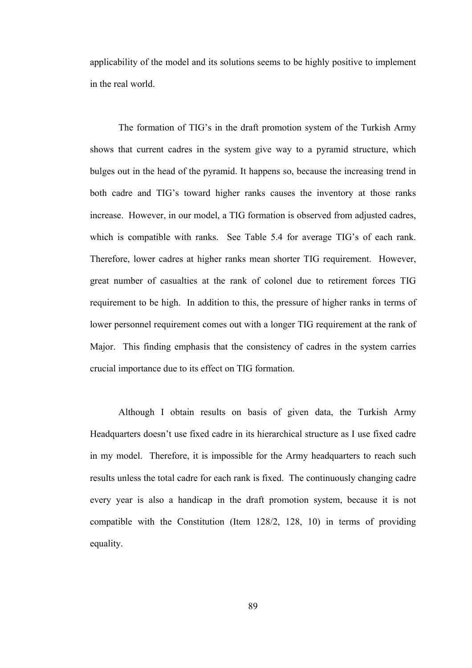applicability of the model and its solutions seems to be highly positive to implement in the real world.

The formation of TIG's in the draft promotion system of the Turkish Army shows that current cadres in the system give way to a pyramid structure, which bulges out in the head of the pyramid. It happens so, because the increasing trend in both cadre and TIG's toward higher ranks causes the inventory at those ranks increase. However, in our model, a TIG formation is observed from adjusted cadres, which is compatible with ranks. See Table 5.4 for average TIG's of each rank. Therefore, lower cadres at higher ranks mean shorter TIG requirement. However, great number of casualties at the rank of colonel due to retirement forces TIG requirement to be high. In addition to this, the pressure of higher ranks in terms of lower personnel requirement comes out with a longer TIG requirement at the rank of Major. This finding emphasis that the consistency of cadres in the system carries crucial importance due to its effect on TIG formation.

Although I obtain results on basis of given data, the Turkish Army Headquarters doesn't use fixed cadre in its hierarchical structure as I use fixed cadre in my model. Therefore, it is impossible for the Army headquarters to reach such results unless the total cadre for each rank is fixed. The continuously changing cadre every year is also a handicap in the draft promotion system, because it is not compatible with the Constitution (Item 128/2, 128, 10) in terms of providing equality.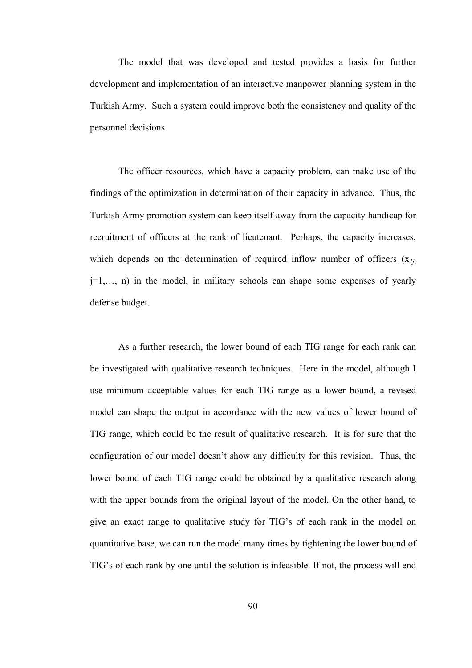The model that was developed and tested provides a basis for further development and implementation of an interactive manpower planning system in the Turkish Army. Such a system could improve both the consistency and quality of the personnel decisions.

The officer resources, which have a capacity problem, can make use of the findings of the optimization in determination of their capacity in advance. Thus, the Turkish Army promotion system can keep itself away from the capacity handicap for recruitment of officers at the rank of lieutenant. Perhaps, the capacity increases, which depends on the determination of required inflow number of officers (x*1j*, j=1,…, n) in the model, in military schools can shape some expenses of yearly defense budget.

As a further research, the lower bound of each TIG range for each rank can be investigated with qualitative research techniques. Here in the model, although I use minimum acceptable values for each TIG range as a lower bound, a revised model can shape the output in accordance with the new values of lower bound of TIG range, which could be the result of qualitative research. It is for sure that the configuration of our model doesn't show any difficulty for this revision. Thus, the lower bound of each TIG range could be obtained by a qualitative research along with the upper bounds from the original layout of the model. On the other hand, to give an exact range to qualitative study for TIG's of each rank in the model on quantitative base, we can run the model many times by tightening the lower bound of TIG's of each rank by one until the solution is infeasible. If not, the process will end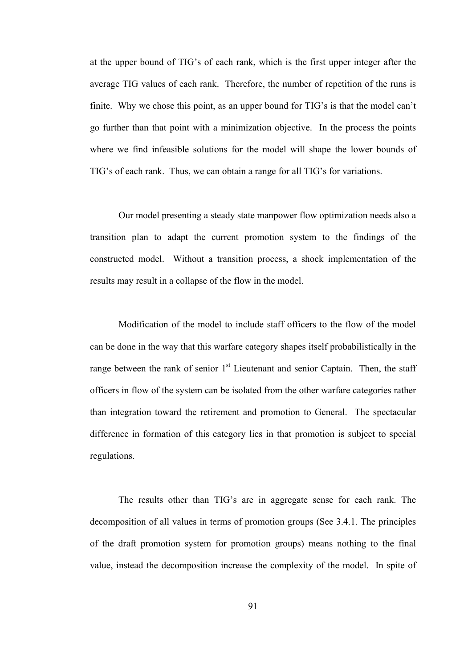at the upper bound of TIG's of each rank, which is the first upper integer after the average TIG values of each rank. Therefore, the number of repetition of the runs is finite. Why we chose this point, as an upper bound for TIG's is that the model can't go further than that point with a minimization objective. In the process the points where we find infeasible solutions for the model will shape the lower bounds of TIG's of each rank. Thus, we can obtain a range for all TIG's for variations.

Our model presenting a steady state manpower flow optimization needs also a transition plan to adapt the current promotion system to the findings of the constructed model. Without a transition process, a shock implementation of the results may result in a collapse of the flow in the model.

Modification of the model to include staff officers to the flow of the model can be done in the way that this warfare category shapes itself probabilistically in the range between the rank of senior  $1<sup>st</sup>$  Lieutenant and senior Captain. Then, the staff officers in flow of the system can be isolated from the other warfare categories rather than integration toward the retirement and promotion to General. The spectacular difference in formation of this category lies in that promotion is subject to special regulations.

The results other than TIG's are in aggregate sense for each rank. The decomposition of all values in terms of promotion groups (See 3.4.1. The principles of the draft promotion system for promotion groups) means nothing to the final value, instead the decomposition increase the complexity of the model. In spite of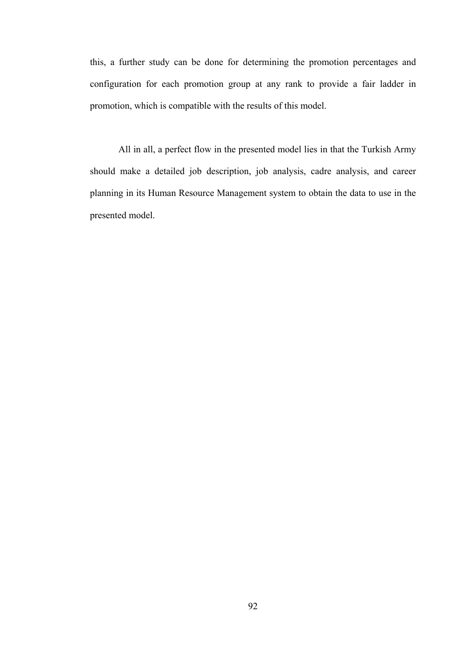this, a further study can be done for determining the promotion percentages and configuration for each promotion group at any rank to provide a fair ladder in promotion, which is compatible with the results of this model.

All in all, a perfect flow in the presented model lies in that the Turkish Army should make a detailed job description, job analysis, cadre analysis, and career planning in its Human Resource Management system to obtain the data to use in the presented model.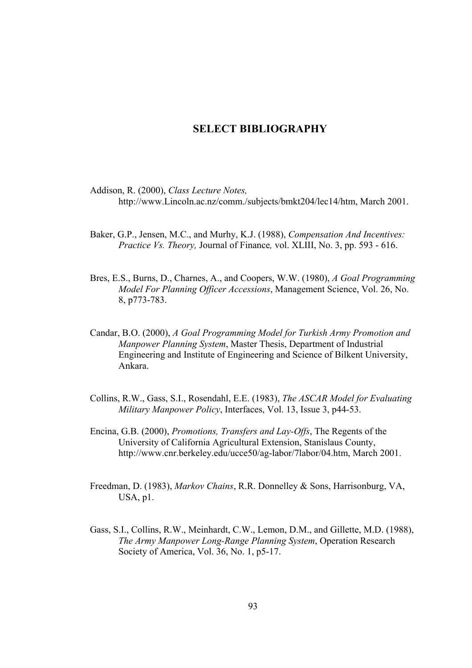## **SELECT BIBLIOGRAPHY**

- Addison, R. (2000), *Class Lecture Notes,* http://www.Lincoln.ac.nz/comm./subjects/bmkt204/lec14/htm, March 2001.
- Baker, G.P., Jensen, M.C., and Murhy, K.J. (1988), *Compensation And Incentives: Practice Vs. Theory,* Journal of Finance*,* vol. XLIII, No. 3, pp. 593 - 616.
- Bres, E.S., Burns, D., Charnes, A., and Coopers, W.W. (1980), *A Goal Programming Model For Planning Officer Accessions*, Management Science, Vol. 26, No. 8, p773-783.
- Candar, B.O. (2000), *A Goal Programming Model for Turkish Army Promotion and Manpower Planning System*, Master Thesis, Department of Industrial Engineering and Institute of Engineering and Science of Bilkent University, Ankara.
- Collins, R.W., Gass, S.I., Rosendahl, E.E. (1983), *The ASCAR Model for Evaluating Military Manpower Policy*, Interfaces, Vol. 13, Issue 3, p44-53.
- Encina, G.B. (2000), *Promotions, Transfers and Lay-Offs*, The Regents of the University of California Agricultural Extension, Stanislaus County, http://www.cnr.berkeley.edu/ucce50/ag-labor/7labor/04.htm, March 2001.
- Freedman, D. (1983), *Markov Chains*, R.R. Donnelley & Sons, Harrisonburg, VA, USA, p1.
- Gass, S.I., Collins, R.W., Meinhardt, C.W., Lemon, D.M., and Gillette, M.D. (1988), *The Army Manpower Long-Range Planning System*, Operation Research Society of America, Vol. 36, No. 1, p5-17.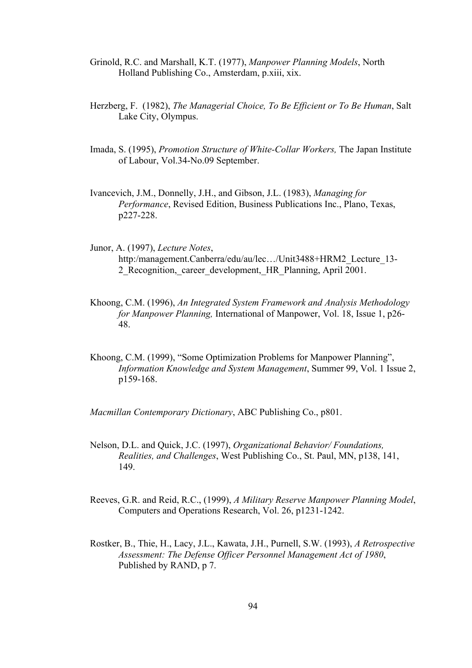- Grinold, R.C. and Marshall, K.T. (1977), *Manpower Planning Models*, North Holland Publishing Co., Amsterdam, p.xiii, xix.
- Herzberg, F. (1982), *The Managerial Choice, To Be Efficient or To Be Human*, Salt Lake City, Olympus.
- Imada, S. (1995), *Promotion Structure of White-Collar Workers,* The Japan Institute of Labour, Vol.34-No.09 September.
- Ivancevich, J.M., Donnelly, J.H., and Gibson, J.L. (1983), *Managing for Performance*, Revised Edition, Business Publications Inc., Plano, Texas, p227-228.
- Junor, A. (1997), *Lecture Notes*, http:/management.Canberra/edu/au/lec.../Unit3488+HRM2\_Lecture\_13-2 Recognition, career development, HR Planning, April 2001.
- Khoong, C.M. (1996), *An Integrated System Framework and Analysis Methodology for Manpower Planning,* International of Manpower, Vol. 18, Issue 1, p26- 48.
- Khoong, C.M. (1999), "Some Optimization Problems for Manpower Planning", *Information Knowledge and System Management*, Summer 99, Vol. 1 Issue 2, p159-168.

*Macmillan Contemporary Dictionary*, ABC Publishing Co., p801.

- Nelson, D.L. and Quick, J.C. (1997), *Organizational Behavior/ Foundations, Realities, and Challenges*, West Publishing Co., St. Paul, MN, p138, 141, 149.
- Reeves, G.R. and Reid, R.C., (1999), *A Military Reserve Manpower Planning Model*, Computers and Operations Research, Vol. 26, p1231-1242.
- Rostker, B., Thie, H., Lacy, J.L., Kawata, J.H., Purnell, S.W. (1993), *A Retrospective Assessment: The Defense Officer Personnel Management Act of 1980*, Published by RAND, p 7.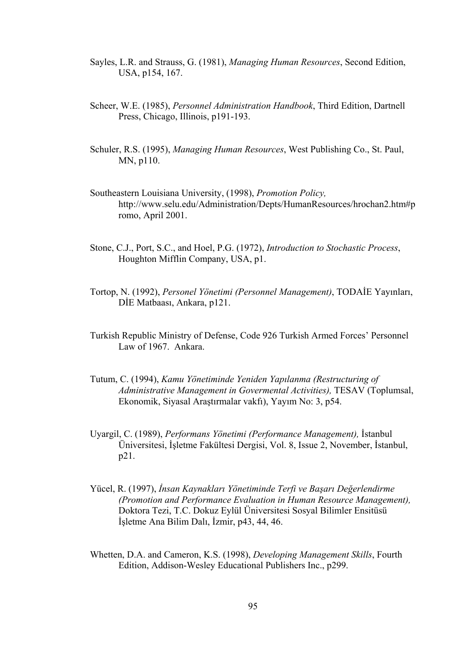- Sayles, L.R. and Strauss, G. (1981), *Managing Human Resources*, Second Edition, USA, p154, 167.
- Scheer, W.E. (1985), *Personnel Administration Handbook*, Third Edition, Dartnell Press, Chicago, Illinois, p191-193.
- Schuler, R.S. (1995), *Managing Human Resources*, West Publishing Co., St. Paul, MN, p110.
- Southeastern Louisiana University, (1998), *Promotion Policy,* http://www.selu.edu/Administration/Depts/HumanResources/hrochan2.htm#p romo, April 2001.
- Stone, C.J., Port, S.C., and Hoel, P.G. (1972), *Introduction to Stochastic Process*, Houghton Mifflin Company, USA, p1.
- Tortop, N. (1992), *Personel Yönetimi (Personnel Management)*, TODAİE Yayınları, DİE Matbaası, Ankara, p121.
- Turkish Republic Ministry of Defense, Code 926 Turkish Armed Forces' Personnel Law of 1967. Ankara.
- Tutum, C. (1994), *Kamu Yönetiminde Yeniden Yapılanma (Restructuring of Administrative Management in Govermental Activities),* TESAV (Toplumsal, Ekonomik, Siyasal Araştırmalar vakfı), Yayım No: 3, p54.
- Uyargil, C. (1989), *Performans Yönetimi (Performance Management),* İstanbul Üniversitesi, İşletme Fakültesi Dergisi, Vol. 8, Issue 2, November, İstanbul, p21.
- Yücel, R. (1997), *İnsan Kaynakları Yönetiminde Terfi ve Başarı Değerlendirme (Promotion and Performance Evaluation in Human Resource Management),* Doktora Tezi, T.C. Dokuz Eylül Üniversitesi Sosyal Bilimler Ensitüsü İşletme Ana Bilim Dalı, İzmir, p43, 44, 46.
- Whetten, D.A. and Cameron, K.S. (1998), *Developing Management Skills*, Fourth Edition, Addison-Wesley Educational Publishers Inc., p299.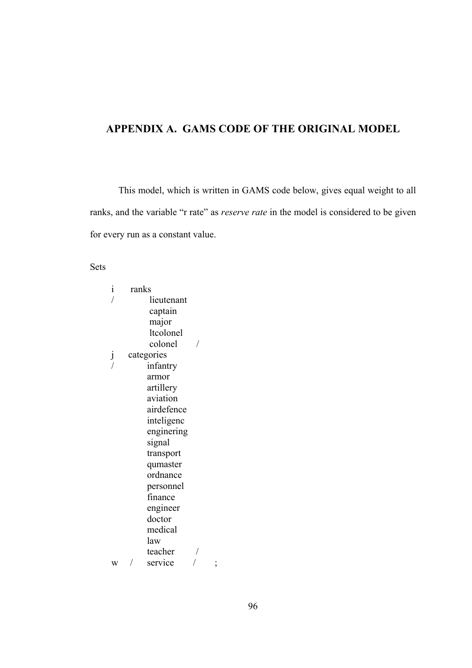### **APPENDIX A. GAMS CODE OF THE ORIGINAL MODEL**

This model, which is written in GAMS code below, gives equal weight to all ranks, and the variable "r rate" as *reserve rate* in the model is considered to be given for every run as a constant value.

Sets

| $\mathbf{i}$ | ranks |            |                |
|--------------|-------|------------|----------------|
|              |       | lieutenant |                |
|              |       | captain    |                |
|              |       | major      |                |
|              |       | ltcolonel  |                |
|              |       | colonel    |                |
| j            |       | categories |                |
|              |       | infantry   |                |
|              |       | armor      |                |
|              |       | artillery  |                |
|              |       | aviation   |                |
|              |       | airdefence |                |
|              |       | inteligenc |                |
|              |       | enginering |                |
|              |       | signal     |                |
|              |       | transport  |                |
|              |       | qumaster   |                |
|              |       | ordnance   |                |
|              |       | personnel  |                |
|              |       | finance    |                |
|              |       | engineer   |                |
|              |       | doctor     |                |
|              |       | medical    |                |
|              |       | law        |                |
|              |       | teacher    |                |
| Ŵ            |       | service    | $\overline{ }$ |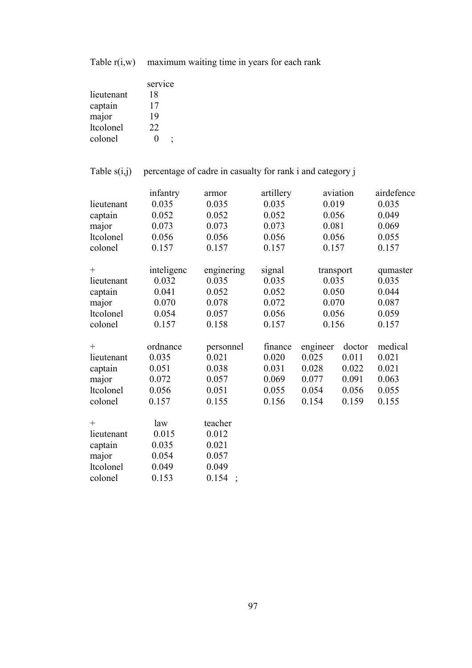Table  $r(i,w)$  maximum waiting time in years for each rank

|                  | service |
|------------------|---------|
| lieutenant       | 18      |
| captain          | 17      |
| major            | 19      |
| <b>ltcolonel</b> | 22      |
| colonel          | 0       |

#### Table  $s(i,j)$  percentage of cadre in casualty for rank i and category j

|            | infantry   | armor      | artillery |           | aviation | airdefence |
|------------|------------|------------|-----------|-----------|----------|------------|
| lieutenant | 0.035      | 0.035      | 0.035     | 0.019     |          | 0.035      |
| captain    | 0.052      | 0.052      | 0.052     | 0.056     |          | 0.049      |
| major      | 0.073      | 0.073      | 0.073     | 0.081     |          | 0.069      |
| ltcolonel  | 0.056      | 0.056      | 0.056     | 0.056     |          | 0.055      |
| colonel    | 0.157      | 0.157      | 0.157     | 0.157     |          | 0.157      |
|            |            |            |           |           |          |            |
| $^{+}$     | inteligenc | enginering | signal    | transport |          | qumaster   |
| lieutenant | 0.032      | 0.035      | 0.035     | 0.035     |          | 0.035      |
| captain    | 0.041      | 0.052      | 0.052     | 0.050     |          | 0.044      |
| major      | 0.070      | 0.078      | 0.072     | 0.070     |          | 0.087      |
| ltcolonel  | 0.054      | 0.057      | 0.056     | 0.056     |          | 0.059      |
| colonel    | 0.157      | 0.158      | 0.157     | 0.156     |          | 0.157      |
|            |            |            |           |           |          |            |
| $^{+}$     | ordnance   | personnel  | finance   | engineer  | doctor   | medical    |
| lieutenant | 0.035      | 0.021      | 0.020     | 0.025     | 0.011    | 0.021      |
| captain    | 0.051      | 0.038      | 0.031     | 0.028     | 0.022    | 0.021      |
| major      | 0.072      | 0.057      | 0.069     | 0.077     | 0.091    | 0.063      |
| ltcolonel  | 0.056      | 0.051      | 0.055     | 0.054     | 0.056    | 0.055      |
| colonel    | 0.157      | 0.155      | 0.156     | 0.154     | 0.159    | 0.155      |
| $^{+}$     | law        | teacher    |           |           |          |            |
| lieutenant | 0.015      | 0.012      |           |           |          |            |
| captain    | 0.035      | 0.021      |           |           |          |            |
| major      | 0.054      | 0.057      |           |           |          |            |
| ltcolonel  | 0.049      | 0.049      |           |           |          |            |
| colonel    | 0.153      | 0.154      |           |           |          |            |
|            |            |            |           |           |          |            |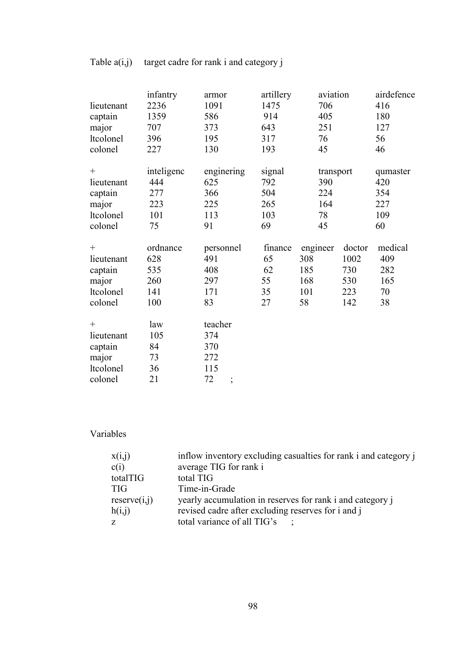| lieutenant<br>captain<br>major<br>ltcolonel<br>colonel           | infantry<br>2236<br>1359<br>707<br>396<br>227 | armor<br>1091<br>586<br>373<br>195<br>130 | artillery<br>1475<br>914<br>643<br>317<br>193 | aviation<br>706<br>405<br>251<br>76<br>45 |        | airdefence<br>416<br>180<br>127<br>56<br>46 |
|------------------------------------------------------------------|-----------------------------------------------|-------------------------------------------|-----------------------------------------------|-------------------------------------------|--------|---------------------------------------------|
| $^{+}$                                                           | inteligenc                                    | enginering                                | signal                                        | transport                                 |        | qumaster                                    |
| lieutenant                                                       | 444                                           | 625                                       | 792                                           | 390                                       |        | 420                                         |
| captain                                                          | 277                                           | 366                                       | 504                                           | 224                                       |        | 354                                         |
| major                                                            | 223                                           | 225                                       | 265                                           | 164                                       |        | 227                                         |
| ltcolonel                                                        | 101                                           | 113                                       | 103                                           | 78                                        |        | 109                                         |
| colonel                                                          | 75                                            | 91                                        | 69                                            | 45                                        |        | 60                                          |
| $^{+}$                                                           | ordnance                                      | personnel                                 | finance                                       | engineer                                  | doctor | medical                                     |
| lieutenant                                                       | 628                                           | 491                                       | 65                                            | 308                                       | 1002   | 409                                         |
| captain                                                          | 535                                           | 408                                       | 62                                            | 185                                       | 730    | 282                                         |
| major                                                            | 260                                           | 297                                       | 55                                            | 168                                       | 530    | 165                                         |
| ltcolonel                                                        | 141                                           | 171                                       | 35                                            | 101                                       | 223    | 70                                          |
| colonel                                                          | 100                                           | 83                                        | 27                                            | 58                                        | 142    | 38                                          |
| $^{+}$<br>lieutenant<br>captain<br>major<br>ltcolonel<br>colonel | law<br>105<br>84<br>73<br>36<br>21            | teacher<br>374<br>370<br>272<br>115<br>72 |                                               |                                           |        |                                             |

# Table  $a(i,j)$  target cadre for rank i and category j

## Variables

| x(i,j)       | inflow inventory excluding casualties for rank i and category i |
|--------------|-----------------------------------------------------------------|
| c(i)         | average TIG for rank i                                          |
| totalTIG     | total TIG                                                       |
| <b>TIG</b>   | Time-in-Grade                                                   |
| reserve(i,j) | yearly accumulation in reserves for rank i and category j       |
| h(i,j)       | revised cadre after excluding reserves for i and j              |
| Z            | total variance of all TIG's                                     |
|              |                                                                 |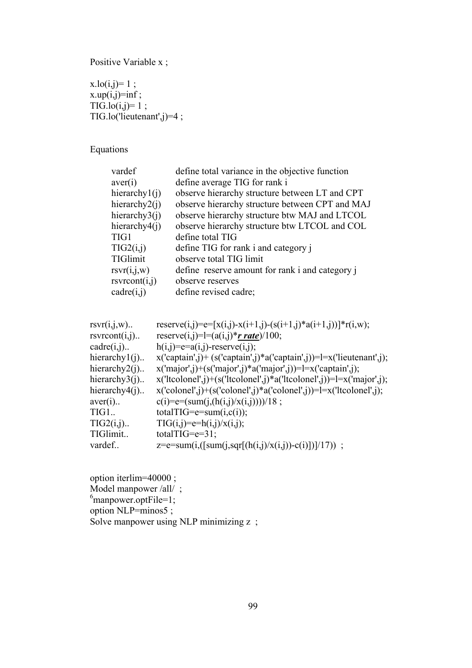Positive Variable x;

 $x.log(i,j)=1$ ;  $x.up(i,j)=inf;$  $TIG-lo(i,j)=1$ ; TIG.lo('lieutenant',j)=4 ;

Equations

| vardef                    | define total variance in the objective function |
|---------------------------|-------------------------------------------------|
| aver(i)                   | define average TIG for rank i                   |
| hierarchy $1(i)$          | observe hierarchy structure between LT and CPT  |
| hierarchy $2(i)$          | observe hierarchy structure between CPT and MAJ |
| hierarchy $3(i)$          | observe hierarchy structure btw MAJ and LTCOL   |
| hierarchy $4(i)$          | observe hierarchy structure btw LTCOL and COL   |
| TIG1                      | define total TIG                                |
| TIG2(i,j)                 | define TIG for rank i and category i            |
| TIGlimit                  | observe total TIG limit                         |
| rsvr(i,j,w)               | define reserve amount for rank i and category i |
| rsv <sub>front(i,j)</sub> | observe reserves                                |
| cadre(i,j)                | define revised cadre;                           |
|                           |                                                 |

| $rsvr(i,j,w)$                                            | reserve(i,j)=e=[x(i,j)-x(i+1,j)-(s(i+1,j)*a(i+1,j))]*r(i,w);          |
|----------------------------------------------------------|-----------------------------------------------------------------------|
| $\text{rsv}$ rcont $(i,j)$                               | reserve(i,j)=l=(a(i,j)* $r$ rate)/100;                                |
| $c\ddot{a}$ $c\ddot{b}$ $\ddot{c}$ $\ddot{c}$ $\ddot{c}$ | $h(i,j)=e=a(i,j)$ -reserve $(i,j)$ ;                                  |
| hierarchy $1(i)$                                         | $x('captain',j)+(s('captain',j)*a('captain',j))=l=x('lieutenant',j);$ |
| hierarchy $2(i)$                                         | $x('major', j)+(s('major', j)*a('major', j))=l=x('captain', j);$      |
| hierarchy $3(i)$                                         | $x('tcolon',j)+(s('tcolon',j)*a('tcolon',j))=l=x('major',j);$         |
| hierarchy $4(i)$                                         | $x('colorel',j)+(s('colorel',j)*a('colorel',j))=l=x('ltcolonel',j);$  |
| $aver(i)$                                                | $c(i)=e=(sum(j,(h(i,j)/x(i,j))))/18;$                                 |
| TIG1                                                     | totalTIG= $e=sum(i,c(i))$ ;                                           |
| $TIG2(i,j)$                                              | $TIG(i,j)=e=h(i,j)/x(i,j);$                                           |
| TIGlimit                                                 | totalTIG= $e=31$ ;                                                    |
| vardef                                                   | z=e=sum(i,([sum(j,sqr[(h(i,j)/x(i,j))-c(i)])]/17)) ;                  |
|                                                          |                                                                       |

option iterlim=40000 ; Model manpower /all/;<br><sup>6</sup>manpower.optFile=1; option NLP=minos5; Solve manpower using NLP minimizing z;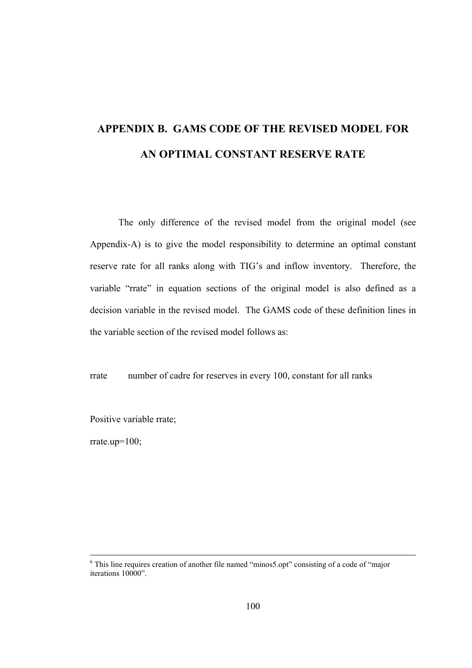# **APPENDIX B. GAMS CODE OF THE REVISED MODEL FOR AN OPTIMAL CONSTANT RESERVE RATE**

The only difference of the revised model from the original model (see Appendix-A) is to give the model responsibility to determine an optimal constant reserve rate for all ranks along with TIG's and inflow inventory. Therefore, the variable "rrate" in equation sections of the original model is also defined as a decision variable in the revised model. The GAMS code of these definition lines in the variable section of the revised model follows as:

rrate number of cadre for reserves in every 100, constant for all ranks

Positive variable rrate;

rrate.up= $100$ ;

 <sup>6</sup> <sup>6</sup> This line requires creation of another file named "minos5.opt" consisting of a code of "major" iterations 10000".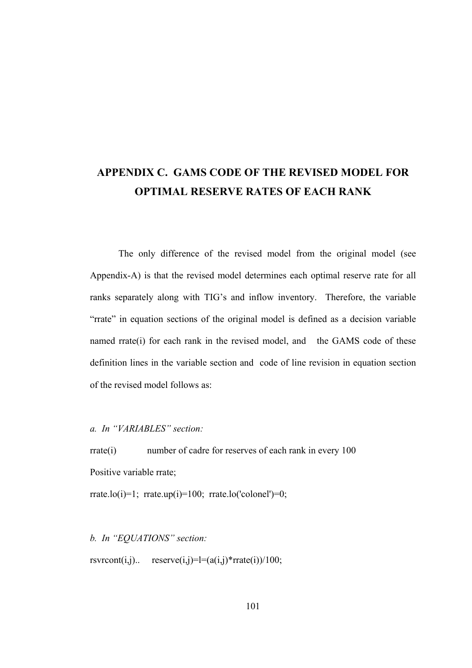## **APPENDIX C. GAMS CODE OF THE REVISED MODEL FOR OPTIMAL RESERVE RATES OF EACH RANK**

The only difference of the revised model from the original model (see Appendix-A) is that the revised model determines each optimal reserve rate for all ranks separately along with TIG's and inflow inventory. Therefore, the variable "rrate" in equation sections of the original model is defined as a decision variable named rrate(i) for each rank in the revised model, and the GAMS code of these definition lines in the variable section and code of line revision in equation section of the revised model follows as:

*a. In "VARIABLES" section:*

rrate(i) number of cadre for reserves of each rank in every 100 Positive variable rrate;

rrate.lo(i)=1; rrate.up(i)=100; rrate.lo('colonel')=0;

*b. In "EQUATIONS" section:*

rsvrcont $(i,j)$ .. reserve $(i,j)$ =l= $(a(i,j)$ \*rrate $(i))/100$ ;